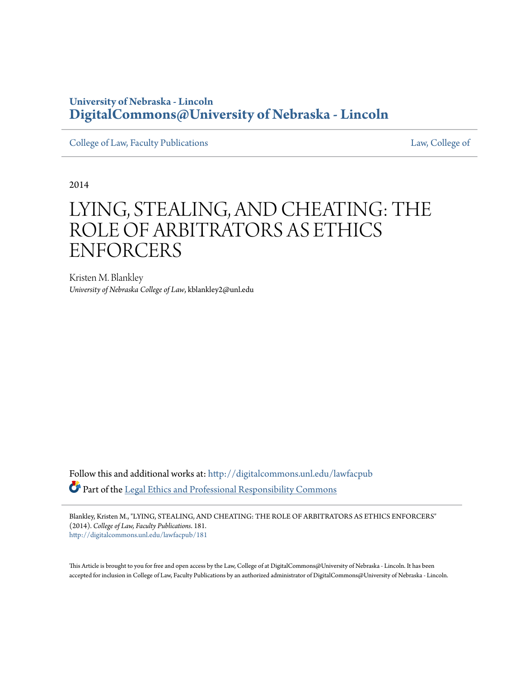# **University of Nebraska - Lincoln [DigitalCommons@University of Nebraska - Lincoln](http://digitalcommons.unl.edu?utm_source=digitalcommons.unl.edu%2Flawfacpub%2F181&utm_medium=PDF&utm_campaign=PDFCoverPages)**

[College of Law, Faculty Publications](http://digitalcommons.unl.edu/lawfacpub?utm_source=digitalcommons.unl.edu%2Flawfacpub%2F181&utm_medium=PDF&utm_campaign=PDFCoverPages) [Law, College of](http://digitalcommons.unl.edu/law?utm_source=digitalcommons.unl.edu%2Flawfacpub%2F181&utm_medium=PDF&utm_campaign=PDFCoverPages) Law, College of

2014

# LYING, STEALING, AND CHEATING: THE ROLE OF ARBITRATORS AS ETHICS ENFORCERS

Kristen M. Blankley *University of Nebraska College of Law*, kblankley2@unl.edu

Follow this and additional works at: [http://digitalcommons.unl.edu/lawfacpub](http://digitalcommons.unl.edu/lawfacpub?utm_source=digitalcommons.unl.edu%2Flawfacpub%2F181&utm_medium=PDF&utm_campaign=PDFCoverPages) Part of the [Legal Ethics and Professional Responsibility Commons](http://network.bepress.com/hgg/discipline/895?utm_source=digitalcommons.unl.edu%2Flawfacpub%2F181&utm_medium=PDF&utm_campaign=PDFCoverPages)

Blankley, Kristen M., "LYING, STEALING, AND CHEATING: THE ROLE OF ARBITRATORS AS ETHICS ENFORCERS" (2014). *College of Law, Faculty Publications*. 181. [http://digitalcommons.unl.edu/lawfacpub/181](http://digitalcommons.unl.edu/lawfacpub/181?utm_source=digitalcommons.unl.edu%2Flawfacpub%2F181&utm_medium=PDF&utm_campaign=PDFCoverPages)

This Article is brought to you for free and open access by the Law, College of at DigitalCommons@University of Nebraska - Lincoln. It has been accepted for inclusion in College of Law, Faculty Publications by an authorized administrator of DigitalCommons@University of Nebraska - Lincoln.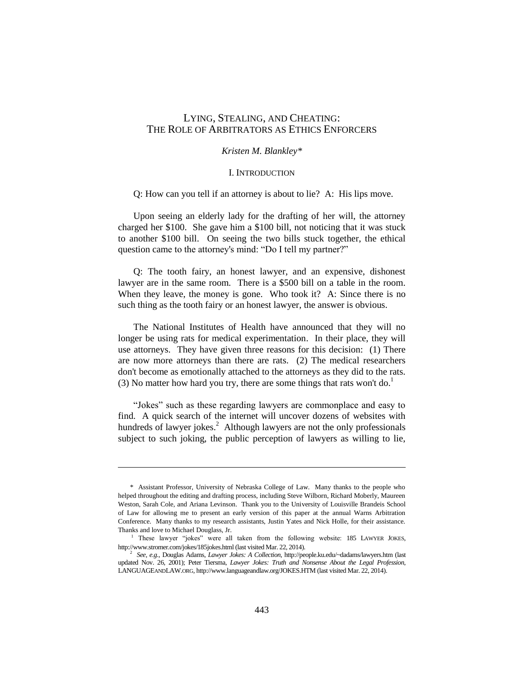# LYING, STEALING, AND CHEATING: THE ROLE OF ARBITRATORS AS ETHICS ENFORCERS

#### *Kristen M. Blankley\**

#### I. INTRODUCTION

Q: How can you tell if an attorney is about to lie? A: His lips move.

Upon seeing an elderly lady for the drafting of her will, the attorney charged her \$100. She gave him a \$100 bill, not noticing that it was stuck to another \$100 bill. On seeing the two bills stuck together, the ethical question came to the attorney's mind: "Do I tell my partner?"

Q: The tooth fairy, an honest lawyer, and an expensive, dishonest lawyer are in the same room. There is a \$500 bill on a table in the room. When they leave, the money is gone. Who took it? A: Since there is no such thing as the tooth fairy or an honest lawyer, the answer is obvious.

The National Institutes of Health have announced that they will no longer be using rats for medical experimentation. In their place, they will use attorneys. They have given three reasons for this decision: (1) There are now more attorneys than there are rats. (2) The medical researchers don't become as emotionally attached to the attorneys as they did to the rats. (3) No matter how hard you try, there are some things that rats won't do.<sup>1</sup>

"Jokes" such as these regarding lawyers are commonplace and easy to find. A quick search of the internet will uncover dozens of websites with hundreds of lawyer jokes. $^{2}$  Although lawyers are not the only professionals subject to such joking, the public perception of lawyers as willing to lie,

 $\overline{a}$ 

<sup>\*</sup> Assistant Professor, University of Nebraska College of Law. Many thanks to the people who helped throughout the editing and drafting process, including Steve Wilborn, Richard Moberly, Maureen Weston, Sarah Cole, and Ariana Levinson. Thank you to the University of Louisville Brandeis School of Law for allowing me to present an early version of this paper at the annual Warns Arbitration Conference. Many thanks to my research assistants, Justin Yates and Nick Holle, for their assistance. Thanks and love to Michael Douglass, Jr.

<sup>&</sup>lt;sup>1</sup> These lawyer "jokes" were all taken from the following website: 185 LAWYER JOKES, http://www.stromer.com/jokes/185jokes.html (last visited Mar. 22, 2014).

<sup>2</sup> *See, e.g.*, Douglas Adams, *Lawyer Jokes: A Collection*, http://people.ku.edu/~dadams/lawyers.htm (last updated Nov. 26, 2001); Peter Tiersma, *Lawyer Jokes: Truth and Nonsense About the Legal Profession*, LANGUAGEANDLAW.ORG, http://www.languageandlaw.org/JOKES.HTM (last visited Mar. 22, 2014).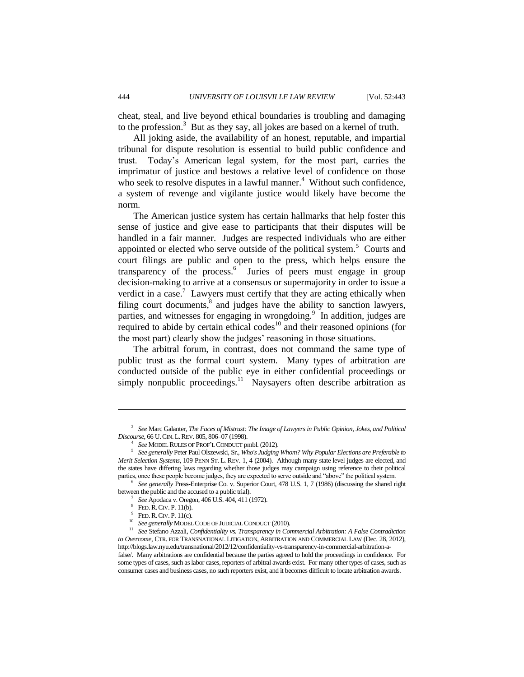cheat, steal, and live beyond ethical boundaries is troubling and damaging to the profession.<sup>3</sup> But as they say, all jokes are based on a kernel of truth.

All joking aside, the availability of an honest, reputable, and impartial tribunal for dispute resolution is essential to build public confidence and trust. Today's American legal system, for the most part, carries the imprimatur of justice and bestows a relative level of confidence on those who seek to resolve disputes in a lawful manner. $4$  Without such confidence, a system of revenge and vigilante justice would likely have become the norm.

The American justice system has certain hallmarks that help foster this sense of justice and give ease to participants that their disputes will be handled in a fair manner. Judges are respected individuals who are either appointed or elected who serve outside of the political system. $5$  Courts and court filings are public and open to the press, which helps ensure the transparency of the process.<sup>6</sup> Juries of peers must engage in group decision-making to arrive at a consensus or supermajority in order to issue a verdict in a case.<sup>7</sup> Lawyers must certify that they are acting ethically when filing court documents, $\frac{8}{3}$  and judges have the ability to sanction lawyers, parties, and witnesses for engaging in wrongdoing.<sup>9</sup> In addition, judges are required to abide by certain ethical codes $10$  and their reasoned opinions (for the most part) clearly show the judges' reasoning in those situations.

The arbitral forum, in contrast, does not command the same type of public trust as the formal court system. Many types of arbitration are conducted outside of the public eye in either confidential proceedings or simply nonpublic proceedings.<sup>11</sup> Naysayers often describe arbitration as

<sup>6</sup> See generally Press-Enterprise Co. v. Superior Court, 478 U.S. 1, 7 (1986) (discussing the shared right between the public and the accused to a public trial).

7 *See* Apodaca v. Oregon, 406 U.S. 404, 411 (1972).

 $\overline{a}$ 

<sup>3</sup> *See* Marc Galanter, *The Faces of Mistrust: The Image of Lawyers in Public Opinion, Jokes, and Political Discourse*, 66 U.CIN. L.REV. 805, 806–07 (1998).

<sup>4</sup> *See* MODEL RULES OF PROF'L CONDUCT pmbl. (2012).

<sup>5</sup> *See generally* Peter Paul Olszewski, Sr., *Who's Judging Whom? Why Popular Elections are Preferable to Merit Selection Systems*, 109 PENN ST. L. REV. 1, 4 (2004). Although many state level judges are elected, and the states have differing laws regarding whether those judges may campaign using reference to their political parties, once these people become judges, they are expected to serve outside and "above" the political system.

<sup>8</sup> FED.R.CIV. P. 11(b).

<sup>&</sup>lt;sup>9</sup> FED. R. CIV. P. 11(c).

<sup>10</sup> *See generally* MODEL CODE OF JUDICIAL CONDUCT (2010).

<sup>&</sup>lt;sup>11</sup> See Stefano Azzali, *Confidentiality vs. Transparency in Commercial Arbitration: A False Contradiction to Overcome*, CTR. FOR TRANSNATIONAL LITIGATION, ARBITRATION AND COMMERCIAL LAW (Dec. 28, 2012), [http://blogs.law.nyu.edu/transnational/2012/12/confidentiality-vs-transparency-in-commercial-arbitration-a](http://blogs.law.nyu.edu/transnational/2012/12/confidentiality-vs-transparency-in-commercial-arbitration-a-false/)[false/.](http://blogs.law.nyu.edu/transnational/2012/12/confidentiality-vs-transparency-in-commercial-arbitration-a-false/) Many arbitrations are confidential because the parties agreed to hold the proceedings in confidence. For some types of cases, such as labor cases, reporters of arbitral awards exist. For many other types of cases, such as consumer cases and business cases, no such reporters exist, and it becomes difficult to locate arbitration awards.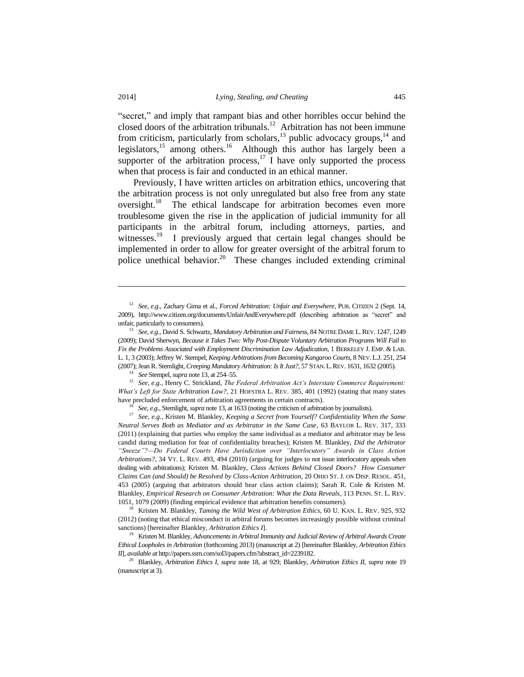"secret," and imply that rampant bias and other horribles occur behind the closed doors of the arbitration tribunals.<sup>12</sup> Arbitration has not been immune from criticism, particularly from scholars, $^{13}$  public advocacy groups, $^{14}$  and legislators,<sup>15</sup> among others.<sup>16</sup> Although this author has largely been a supporter of the arbitration process,<sup>17</sup> I have only supported the process when that process is fair and conducted in an ethical manner.

<span id="page-3-0"></span>Previously, I have written articles on arbitration ethics, uncovering that the arbitration process is not only unregulated but also free from any state oversight.<sup>18</sup> The ethical landscape for arbitration becomes even more troublesome given the rise in the application of judicial immunity for all participants in the arbitral forum, including attorneys, parties, and witnesses.<sup>19</sup> I previously argued that certain legal changes should be implemented in order to allow for greater oversight of the arbitral forum to police unethical behavior.<sup>20</sup> These changes included extending criminal

<sup>14</sup> *See* Stempel, *supra* note 13, at 254–55.

<sup>15</sup> *See, e.g.*, Henry C. Strickland, *The Federal Arbitration Act's Interstate Commerce Requirement: What's Left for State Arbitration Law?*, 21 HOFSTRA L. REV. 385, 401 (1992) (stating that many states have precluded enforcement of arbitration agreements in certain contracts).

<sup>16</sup> *See, e.g.*, Sternlight, *supra* note 13, at 1633 (noting the criticism of arbitration by journalists).

<sup>17</sup> *See, e.g.*, Kristen M. Blankley, *Keeping a Secret from Yourself? Confidentiality When the Same Neutral Serves Both as Mediator and as Arbitrator in the Same Case*, 63 BAYLOR L. REV. 317, 333 (2011) (explaining that parties who employ the same individual as a mediator and arbitrator may be less candid during mediation for fear of confidentiality breaches); Kristen M. Blankley, *Did the Arbitrator "Sneeze"?—Do Federal Courts Have Jurisdiction over "Interlocutory" Awards in Class Action Arbitrations?*, 34 VT. L. REV. 493, 494 (2010) (arguing for judges to not issue interlocutory appeals when dealing with arbitrations); Kristen M. Blankley, *Class Actions Behind Closed Doors? How Consumer Claims Can (and Should) be Resolved by Class-Action Arbitration*, 20 OHIO ST. J. ON DISP. RESOL. 451, 453 (2005) (arguing that arbitrators should hear class action claims); Sarah R. Cole & Kristen M. Blankley, *Empirical Research on Consumer Arbitration: What the Data Reveals*, 113 PENN. ST. L. REV. 1051, 1079 (2009) (finding empirical evidence that arbitration benefits consumers).

<sup>18</sup> Kristen M. Blankley, *Taming the Wild West of Arbitration Ethics*, 60 U. KAN. L. REV. 925, 932 (2012) (noting that ethical misconduct in arbitral forums becomes increasingly possible without criminal sanctions) [hereinafter Blankley, *Arbitration Ethics I*].

<sup>19</sup> Kristen M. Blankley, *Advancements in Arbitral Immunity and Judicial Review of Arbitral Awards Create Ethical Loopholes in Arbitration* (forthcoming 2013) (manuscript at 2) [hereinafter Blankley, *Arbitration Ethics II*], *available at* http://papers.ssrn.com/sol3/papers.cfm?abstract\_id=2239182.

<sup>20</sup> Blankley, *Arbitration Ethics I*, *supra* note 18, at 929; Blankley, *Arbitration Ethics II*, *supra* note 19 (manuscript at 3).

<sup>12</sup> *See, e.g.*, Zachary Gima et al., *Forced Arbitration: Unfair and Everywhere*, PUB. CITIZEN 2 (Sept. 14, 2009), http://www.citizen.org/documents/UnfairAndEverywhere.pdf (describing arbitration as "secret" and unfair, particularly to consumers).

<sup>13</sup> *See, e.g.*, David S. Schwartz*, Mandatory Arbitration and Fairness,* 84 NOTRE DAME L. REV. 1247, 1249 (2009); David Sherwyn, *Because it Takes Two: Why Post-Dispute Voluntary Arbitration Programs Will Fail to Fix the Problems Associated with Employment Discrimination Law Adjudication*, 1 BERKELEY J. EMP. & LAB. L. 1, 3 (2003); Jeffrey W. Stempel, *Keeping Arbitrations from Becoming Kangaroo Courts*, 8 NEV. L.J. 251, 254 (2007); Jean R. Sternlight, *Creeping Mandatory Arbitration: Is It Just?*, 57 STAN.L.REV. 1631, 1632 (2005).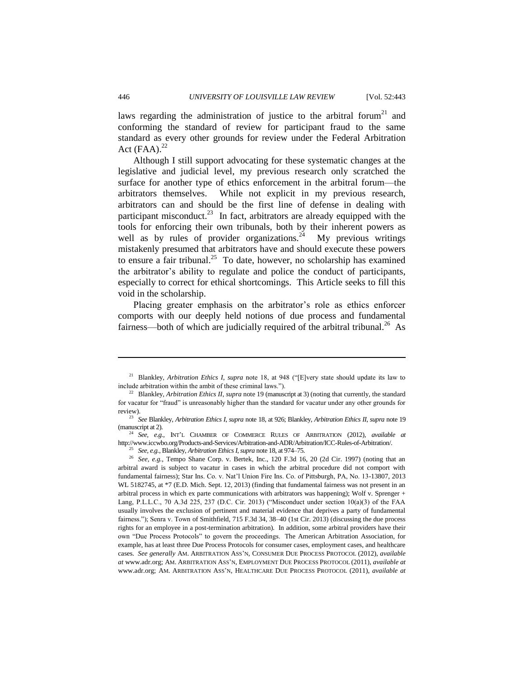laws regarding the administration of justice to the arbitral forum<sup>21</sup> and conforming the standard of review for participant fraud to the same standard as every other grounds for review under the Federal Arbitration Act  $(FAA).^{22}$ 

Although I still support advocating for these systematic changes at the legislative and judicial level, my previous research only scratched the surface for another type of ethics enforcement in the arbitral forum—the arbitrators themselves. While not explicit in my previous research, arbitrators can and should be the first line of defense in dealing with participant misconduct.<sup>23</sup> In fact, arbitrators are already equipped with the tools for enforcing their own tribunals, both by their inherent powers as well as by rules of provider organizations.<sup>24</sup> My previous writings mistakenly presumed that arbitrators have and should execute these powers to ensure a fair tribunal.<sup>25</sup> To date, however, no scholarship has examined the arbitrator's ability to regulate and police the conduct of participants, especially to correct for ethical shortcomings. This Article seeks to fill this void in the scholarship.

Placing greater emphasis on the arbitrator's role as ethics enforcer comports with our deeply held notions of due process and fundamental fairness—both of which are judicially required of the arbitral tribunal.<sup>26</sup> As

<sup>21</sup> Blankley, *Arbitration Ethics I*, *supra* note 18, at 948 ("[E]very state should update its law to include arbitration within the ambit of these criminal laws.").

<sup>&</sup>lt;sup>22</sup> Blankley, *Arbitration Ethics II, supra* note 19 (manuscript at 3) (noting that currently, the standard for vacatur for "fraud" is unreasonably higher than the standard for vacatur under any other grounds for review).

<sup>23</sup> *See* Blankley, *Arbitration Ethics I*, *supra* note 18, at 926; Blankley, *Arbitration Ethics II*, *supra* note 19 (manuscript at 2).

<sup>24</sup> *See, e.g.*, INT'L CHAMBER OF COMMERCE RULES OF ARBITRATION (2012), *available at* http://www.iccwbo.org/Products-and-Services/Arbitration-and-ADR/Arbitration/ICC-Rules-of-Arbitration/.

<sup>25</sup> *See, e.g.*, Blankley, *Arbitration Ethics I*, *supra* note 18, at 974–75.

<sup>&</sup>lt;sup>26</sup> See, e.g., Tempo Shane Corp. v. Bertek, Inc., 120 F.3d 16, 20 (2d Cir. 1997) (noting that an arbitral award is subject to vacatur in cases in which the arbitral procedure did not comport with fundamental fairness); Star Ins. Co. v. Nat'l Union Fire Ins. Co. of Pittsburgh, PA, No. 13-13807, 2013 WL 5182745, at \*7 (E.D. Mich. Sept. 12, 2013) (finding that fundamental fairness was not present in an arbitral process in which ex parte communications with arbitrators was happening); Wolf v. Sprenger + Lang, P.L.L.C., 70 A.3d 225, 237 (D.C. Cir. 2013) ("Misconduct under section 10(a)(3) of the FAA usually involves the exclusion of pertinent and material evidence that deprives a party of fundamental fairness."); Senra v. Town of Smithfield, 715 F.3d 34, 38–40 (1st Cir. 2013) (discussing the due process rights for an employee in a post-termination arbitration). In addition, some arbitral providers have their own "Due Process Protocols" to govern the proceedings. The American Arbitration Association, for example, has at least three Due Process Protocols for consumer cases, employment cases, and healthcare cases. *See generally* AM. ARBITRATION ASS'N, CONSUMER DUE PROCESS PROTOCOL (2012), *available at* [www.adr.org;](http://www.adr.org/) AM. ARBITRATION ASS'N, EMPLOYMENT DUE PROCESS PROTOCOL (2011), *available at*  [www.adr.org;](http://www.adr.org/) AM. ARBITRATION ASS'N, HEALTHCARE DUE PROCESS PROTOCOL (2011), *available at*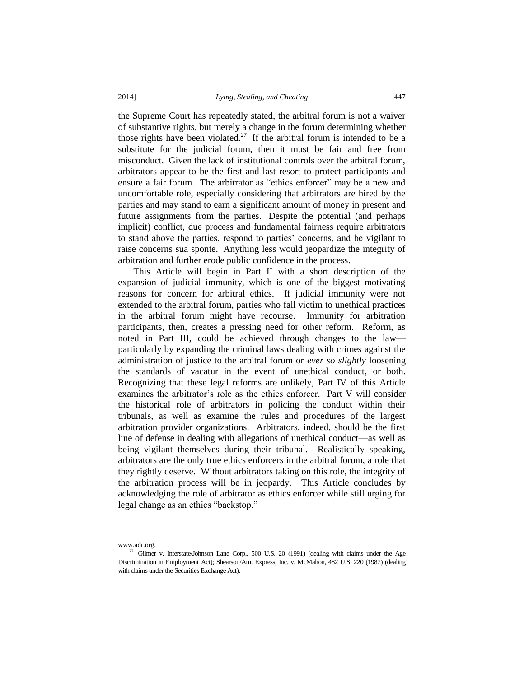the Supreme Court has repeatedly stated, the arbitral forum is not a waiver of substantive rights, but merely a change in the forum determining whether those rights have been violated.<sup>27</sup> If the arbitral forum is intended to be a substitute for the judicial forum, then it must be fair and free from misconduct. Given the lack of institutional controls over the arbitral forum, arbitrators appear to be the first and last resort to protect participants and ensure a fair forum. The arbitrator as "ethics enforcer" may be a new and uncomfortable role, especially considering that arbitrators are hired by the parties and may stand to earn a significant amount of money in present and future assignments from the parties. Despite the potential (and perhaps implicit) conflict, due process and fundamental fairness require arbitrators to stand above the parties, respond to parties' concerns, and be vigilant to raise concerns sua sponte. Anything less would jeopardize the integrity of arbitration and further erode public confidence in the process.

This Article will begin in Part II with a short description of the expansion of judicial immunity, which is one of the biggest motivating reasons for concern for arbitral ethics. If judicial immunity were not extended to the arbitral forum, parties who fall victim to unethical practices in the arbitral forum might have recourse. Immunity for arbitration participants, then, creates a pressing need for other reform. Reform, as noted in Part III, could be achieved through changes to the law particularly by expanding the criminal laws dealing with crimes against the administration of justice to the arbitral forum or *ever so slightly* loosening the standards of vacatur in the event of unethical conduct, or both. Recognizing that these legal reforms are unlikely, Part IV of this Article examines the arbitrator's role as the ethics enforcer. Part V will consider the historical role of arbitrators in policing the conduct within their tribunals, as well as examine the rules and procedures of the largest arbitration provider organizations. Arbitrators, indeed, should be the first line of defense in dealing with allegations of unethical conduct—as well as being vigilant themselves during their tribunal. Realistically speaking, arbitrators are the only true ethics enforcers in the arbitral forum, a role that they rightly deserve. Without arbitrators taking on this role, the integrity of the arbitration process will be in jeopardy. This Article concludes by acknowledging the role of arbitrator as ethics enforcer while still urging for legal change as an ethics "backstop."

 $\overline{a}$ 

www.adr.org.

 $27$  Gilmer v. Interstate/Johnson Lane Corp., 500 U.S. 20 (1991) (dealing with claims under the Age Discrimination in Employment Act); Shearson/Am. Express, Inc. v. McMahon, 482 U.S. 220 (1987) (dealing with claims under the Securities Exchange Act).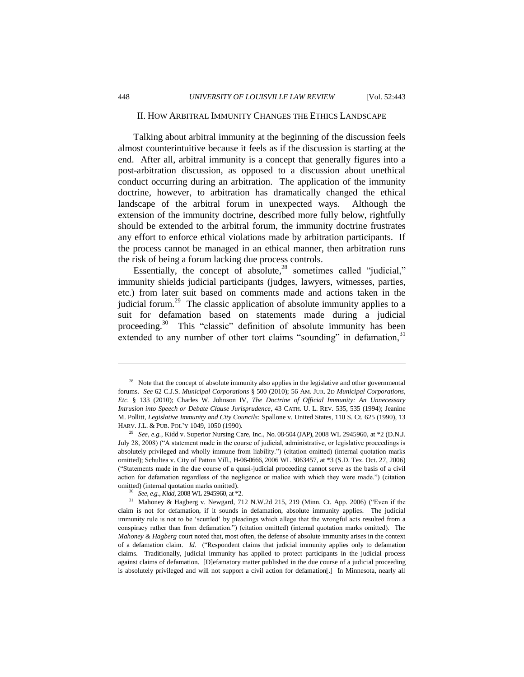#### II. HOW ARBITRAL IMMUNITY CHANGES THE ETHICS LANDSCAPE

Talking about arbitral immunity at the beginning of the discussion feels almost counterintuitive because it feels as if the discussion is starting at the end. After all, arbitral immunity is a concept that generally figures into a post-arbitration discussion, as opposed to a discussion about unethical conduct occurring during an arbitration. The application of the immunity doctrine, however, to arbitration has dramatically changed the ethical landscape of the arbitral forum in unexpected ways. Although the extension of the immunity doctrine, described more fully below, rightfully should be extended to the arbitral forum, the immunity doctrine frustrates any effort to enforce ethical violations made by arbitration participants. If the process cannot be managed in an ethical manner, then arbitration runs the risk of being a forum lacking due process controls.

Essentially, the concept of absolute, $28$  sometimes called "judicial," immunity shields judicial participants (judges, lawyers, witnesses, parties, etc.) from later suit based on comments made and actions taken in the judicial forum.<sup>29</sup> The classic application of absolute immunity applies to a suit for defamation based on statements made during a judicial proceeding.<sup>30</sup> This "classic" definition of absolute immunity has been extended to any number of other tort claims "sounding" in defamation,<sup>31</sup>

<sup>&</sup>lt;sup>28</sup> Note that the concept of absolute immunity also applies in the legislative and other governmental forums. *See* 62 C.J.S. *Municipal Corporations* § 500 (2010); 56 AM. JUR. 2D *Municipal Corporations, Etc.* § 133 (2010); Charles W. Johnson IV, *The Doctrine of Official Immunity: An Unnecessary Intrusion into Speech or Debate Clause Jurisprudence*, 43 CATH. U. L. REV. 535, 535 (1994); Jeanine M. Pollitt, *Legislative Immunity and City Councils:* Spallone v. United States, 110 S. Ct. 625 (1990), 13 HARV. J.L. & PUB. POL'Y 1049, 1050 (1990).

<sup>29</sup> *See, e.g.*, Kidd v. Superior Nursing Care, Inc., No. 08-504 (JAP), 2008 WL 2945960, at \*2 (D.N.J. July 28, 2008) ("A statement made in the course of judicial, administrative, or legislative proceedings is absolutely privileged and wholly immune from liability.") (citation omitted) (internal quotation marks omitted); Schultea v. City of Patton Vill., H-06-0666, 2006 WL 3063457, at \*3 (S.D. Tex. Oct. 27, 2006) ("Statements made in the due course of a quasi-judicial proceeding cannot serve as the basis of a civil action for defamation regardless of the negligence or malice with which they were made.") (citation omitted) (internal quotation marks omitted).

<sup>30</sup> *See, e.g.*, *Kidd*, 2008 WL 2945960, at \*2.

<sup>&</sup>lt;sup>31</sup> Mahoney & Hagberg v. Newgard, 712 N.W.2d 215, 219 (Minn. Ct. App. 2006) ("Even if the claim is not for defamation, if it sounds in defamation, absolute immunity applies. The judicial immunity rule is not to be 'scuttled' by pleadings which allege that the wrongful acts resulted from a conspiracy rather than from defamation.") (citation omitted) (internal quotation marks omitted). The *Mahoney & Hagberg* court noted that, most often, the defense of absolute immunity arises in the context of a defamation claim. *Id.* ("Respondent claims that judicial immunity applies only to defamation claims. Traditionally, judicial immunity has applied to protect participants in the judicial process against claims of defamation. [D]efamatory matter published in the due course of a judicial proceeding is absolutely privileged and will not support a civil action for defamation[.] In Minnesota, nearly all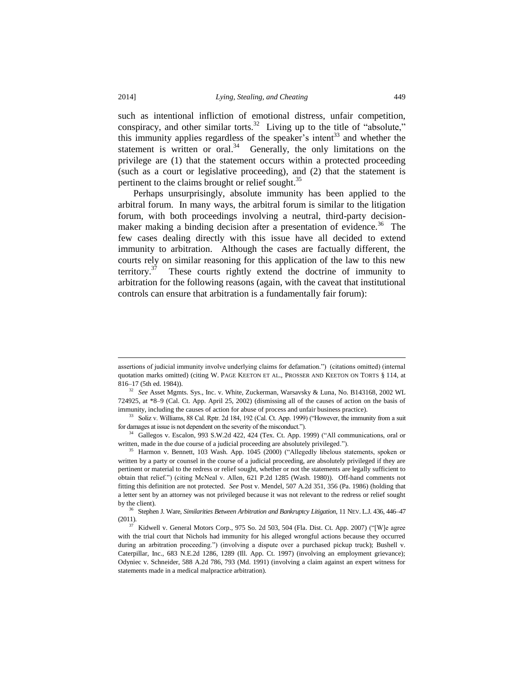such as intentional infliction of emotional distress, unfair competition, conspiracy, and other similar torts.<sup>32</sup> Living up to the title of "absolute," this immunity applies regardless of the speaker's intent<sup>33</sup> and whether the statement is written or oral. $34$  Generally, the only limitations on the privilege are (1) that the statement occurs within a protected proceeding (such as a court or legislative proceeding), and (2) that the statement is pertinent to the claims brought or relief sought.<sup>35</sup>

Perhaps unsurprisingly, absolute immunity has been applied to the arbitral forum. In many ways, the arbitral forum is similar to the litigation forum, with both proceedings involving a neutral, third-party decisionmaker making a binding decision after a presentation of evidence.<sup>36</sup> The few cases dealing directly with this issue have all decided to extend immunity to arbitration. Although the cases are factually different, the courts rely on similar reasoning for this application of the law to this new territory. $3^7$  These courts rightly extend the doctrine of immunity to arbitration for the following reasons (again, with the caveat that institutional controls can ensure that arbitration is a fundamentally fair forum):

 $\overline{a}$ 

assertions of judicial immunity involve underlying claims for defamation.") (citations omitted) (internal quotation marks omitted) (citing W. PAGE KEETON ET AL., PROSSER AND KEETON ON TORTS § 114, at 816–17 (5th ed. 1984)).

<sup>32</sup> *See* Asset Mgmts. Sys., Inc. v. White, Zuckerman, Warsavsky & Luna, No. B143168, 2002 WL 724925, at \*8–9 (Cal. Ct. App. April 25, 2002) (dismissing all of the causes of action on the basis of immunity, including the causes of action for abuse of process and unfair business practice).

<sup>33</sup> Soliz v. Williams, 88 Cal. Rptr. 2d 184, 192 (Cal. Ct. App. 1999) ("However, the immunity from a suit for damages at issue is not dependent on the severity of the misconduct.").

<sup>34</sup> Gallegos v. Escalon, 993 S.W.2d 422, 424 (Tex. Ct. App. 1999) ("All communications, oral or written, made in the due course of a judicial proceeding are absolutely privileged.").

<sup>&</sup>lt;sup>35</sup> Harmon v. Bennett, 103 Wash. App. 1045 (2000) ("Allegedly libelous statements, spoken or written by a party or counsel in the course of a judicial proceeding, are absolutely privileged if they are pertinent or material to the redress or relief sought, whether or not the statements are legally sufficient to obtain that relief.") (citing McNeal v. Allen, 621 P.2d 1285 (Wash. 1980)). Off-hand comments not fitting this definition are not protected. *See* Post v. Mendel, 507 A.2d 351, 356 (Pa. 1986) (holding that a letter sent by an attorney was not privileged because it was not relevant to the redress or relief sought by the client).

<sup>36</sup> Stephen J. Ware, *Similarities Between Arbitration and Bankruptcy Litigation*, 11 NEV. L.J. 436, 446–47 (2011).

 $37$  Kidwell v. General Motors Corp., 975 So. 2d 503, 504 (Fla. Dist. Ct. App. 2007) ("[W]e agree with the trial court that Nichols had immunity for his alleged wrongful actions because they occurred during an arbitration proceeding.") (involving a dispute over a purchased pickup truck); Bushell v. Caterpillar, Inc., 683 N.E.2d 1286, 1289 (Ill. App. Ct. 1997) (involving an employment grievance); Odyniec v. Schneider, 588 A.2d 786, 793 (Md. 1991) (involving a claim against an expert witness for statements made in a medical malpractice arbitration).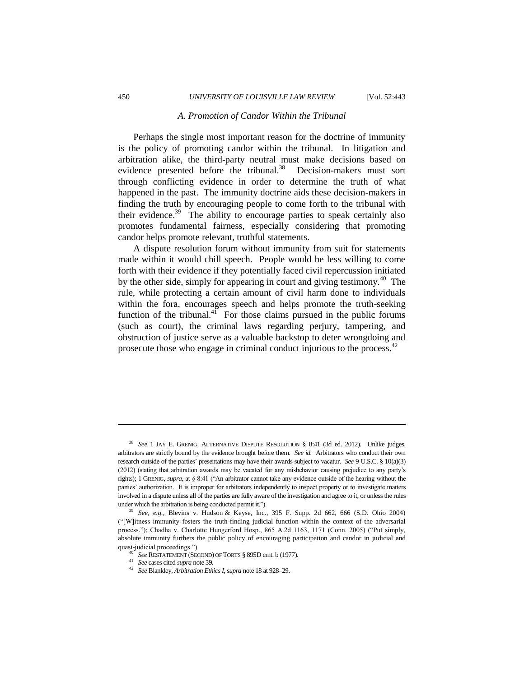#### *A. Promotion of Candor Within the Tribunal*

Perhaps the single most important reason for the doctrine of immunity is the policy of promoting candor within the tribunal. In litigation and arbitration alike, the third-party neutral must make decisions based on evidence presented before the tribunal. $38$  Decision-makers must sort through conflicting evidence in order to determine the truth of what happened in the past. The immunity doctrine aids these decision-makers in finding the truth by encouraging people to come forth to the tribunal with their evidence.<sup>39</sup> The ability to encourage parties to speak certainly also promotes fundamental fairness, especially considering that promoting candor helps promote relevant, truthful statements.

A dispute resolution forum without immunity from suit for statements made within it would chill speech. People would be less willing to come forth with their evidence if they potentially faced civil repercussion initiated by the other side, simply for appearing in court and giving testimony.<sup>40</sup> The rule, while protecting a certain amount of civil harm done to individuals within the fora, encourages speech and helps promote the truth-seeking function of the tribunal. $4^1$  For those claims pursued in the public forums (such as court), the criminal laws regarding perjury, tampering, and obstruction of justice serve as a valuable backstop to deter wrongdoing and prosecute those who engage in criminal conduct injurious to the process.<sup>42</sup>

<sup>38</sup> *See* 1 JAY E. GRENIG, ALTERNATIVE DISPUTE RESOLUTION § 8:41 (3d ed. 2012). Unlike judges, arbitrators are strictly bound by the evidence brought before them. *See id.* Arbitrators who conduct their own research outside of the parties' presentations may have their awards subject to vacatur. *See* 9 U.S.C. § 10(a)(3) (2012) (stating that arbitration awards may be vacated for any misbehavior causing prejudice to any party's rights); 1 GRENIG, *supra*, at § 8:41 ("An arbitrator cannot take any evidence outside of the hearing without the parties' authorization. It is improper for arbitrators independently to inspect property or to investigate matters involved in a dispute unless all of the parties are fully aware of the investigation and agree to it, or unless the rules under which the arbitration is being conducted permit it.").

<sup>39</sup> *See, e.g.*, Blevins v. Hudson & Keyse, Inc., 395 F. Supp. 2d 662, 666 (S.D. Ohio 2004) ("[W]itness immunity fosters the truth-finding judicial function within the context of the adversarial process."); Chadha v. Charlotte Hungerford Hosp., 865 A.2d 1163, 1171 (Conn. 2005) ("Put simply, absolute immunity furthers the public policy of encouraging participation and candor in judicial and quasi-judicial proceedings.").

<sup>40</sup> *See* RESTATEMENT (SECOND) OF TORTS § 895D cmt. b (1977).

<sup>41</sup> *See* cases cited *supra* note 39.

<sup>42</sup> *See* Blankley, *Arbitration Ethics I*, *supra* note 18 at 928–29.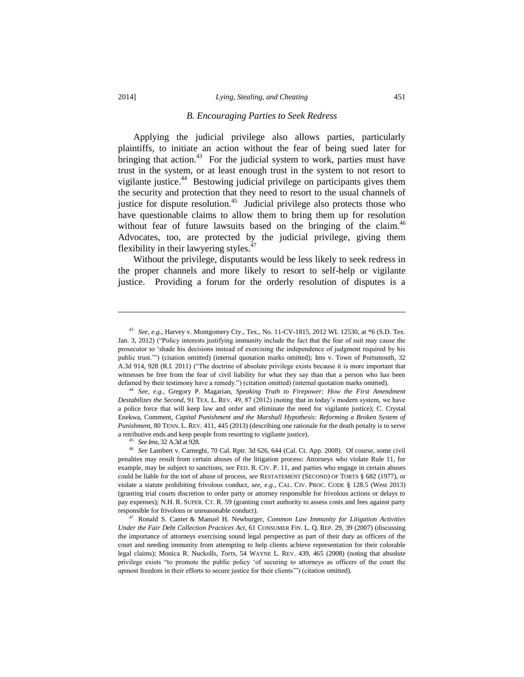#### *B. Encouraging Parties to Seek Redress*

Applying the judicial privilege also allows parties, particularly plaintiffs, to initiate an action without the fear of being sued later for bringing that action. $43$  For the judicial system to work, parties must have trust in the system, or at least enough trust in the system to not resort to vigilante justice.<sup>44</sup> Bestowing judicial privilege on participants gives them the security and protection that they need to resort to the usual channels of justice for dispute resolution.<sup>45</sup> Judicial privilege also protects those who have questionable claims to allow them to bring them up for resolution without fear of future lawsuits based on the bringing of the claim.<sup>46</sup> Advocates, too, are protected by the judicial privilege, giving them flexibility in their lawyering styles. $47$ 

Without the privilege, disputants would be less likely to seek redress in the proper channels and more likely to resort to self-help or vigilante justice. Providing a forum for the orderly resolution of disputes is a

<sup>44</sup> *See, e.g.*, Gregory P. Magarian, *Speaking Truth to Firepower: How the First Amendment Destabilizes the Second*, 91 TEX. L. REV. 49, 87 (2012) (noting that in today's modern system, we have a police force that will keep law and order and eliminate the need for vigilante justice); C. Crystal Enekwa, Comment, *Capital Punishment and the Marshall Hypothesis: Reforming a Broken System of Punishment*, 80 TENN. L. REV. 411, 445 (2013) (describing one rationale for the death penalty is to serve a retributive ends and keep people from resorting to vigilante justice).

<sup>45</sup> *See Ims*, 32 A.3d at 928.

<sup>43</sup> *See, e.g.*, Harvey v. Montgomery Cty., Tex., No. 11-CV-1815, 2012 WL 12530, at \*6 (S.D. Tex. Jan. 3, 2012) ("Policy interests justifying immunity include the fact that the fear of suit may cause the prosecutor to 'shade his decisions instead of exercising the independence of judgment required by his public trust.'") (citation omitted) (internal quotation marks omitted); Ims v. Town of Portsmouth, 32 A.3d 914, 928 (R.I. 2011) ("The doctrine of absolute privilege exists because it is more important that witnesses be free from the fear of civil liability for what they say than that a person who has been defamed by their testimony have a remedy.") (citation omitted) (internal quotation marks omitted).

<sup>46</sup> *See* Lambert v. Carneghi, 70 Cal. Rptr. 3d 626, 644 (Cal. Ct. App. 2008). Of course, some civil penalties may result from certain abuses of the litigation process: Attorneys who violate Rule 11, for example, may be subject to sanctions, *see* FED. R. CIV. P. 11, and parties who engage in certain abuses could be liable for the tort of abuse of process, *see* RESTATEMENT (SECOND) OF TORTS § 682 (1977), or violate a statute prohibiting frivolous conduct, *see, e.g.*, CAL. CIV. PROC. CODE § 128.5 (West 2013) (granting trial courts discretion to order party or attorney responsible for frivolous actions or delays to pay expenses); N.H. R. SUPER. CT. R. 59 (granting court authority to assess costs and fees against party responsible for frivolous or unreasonable conduct).

<sup>47</sup> Ronald S. Canter & Manuel H. Newburger, *Common Law Immunity for Litigation Activities Under the Fair Debt Collection Practices Act*, 61 CONSUMER FIN. L. Q. REP. 29, 39 (2007) (discussing the importance of attorneys exercising sound legal perspective as part of their duty as officers of the court and needing immunity from attempting to help clients achieve representation for their colorable legal claims); Monica R. Nuckolls, *Torts*, 54 WAYNE L. REV. 439, 465 (2008) (noting that absolute privilege exists "to promote the public policy 'of securing to attorneys as officers of the court the upmost freedom in their efforts to secure justice for their clients'") (citation omitted).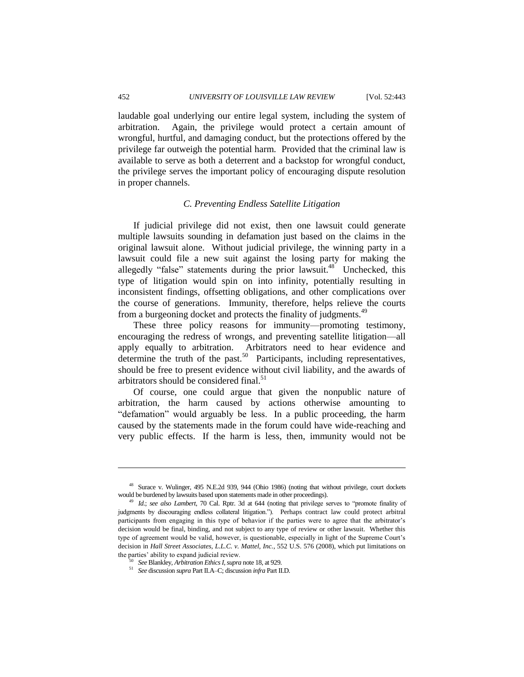laudable goal underlying our entire legal system, including the system of arbitration. Again, the privilege would protect a certain amount of wrongful, hurtful, and damaging conduct, but the protections offered by the privilege far outweigh the potential harm. Provided that the criminal law is available to serve as both a deterrent and a backstop for wrongful conduct, the privilege serves the important policy of encouraging dispute resolution in proper channels.

### *C. Preventing Endless Satellite Litigation*

If judicial privilege did not exist, then one lawsuit could generate multiple lawsuits sounding in defamation just based on the claims in the original lawsuit alone. Without judicial privilege, the winning party in a lawsuit could file a new suit against the losing party for making the allegedly "false" statements during the prior lawsuit.<sup>48</sup> Unchecked, this type of litigation would spin on into infinity, potentially resulting in inconsistent findings, offsetting obligations, and other complications over the course of generations. Immunity, therefore, helps relieve the courts from a burgeoning docket and protects the finality of judgments.<sup>49</sup>

These three policy reasons for immunity—promoting testimony, encouraging the redress of wrongs, and preventing satellite litigation—all apply equally to arbitration. Arbitrators need to hear evidence and determine the truth of the past.<sup>50</sup> Participants, including representatives, should be free to present evidence without civil liability, and the awards of arbitrators should be considered final.<sup>51</sup>

Of course, one could argue that given the nonpublic nature of arbitration, the harm caused by actions otherwise amounting to "defamation" would arguably be less. In a public proceeding, the harm caused by the statements made in the forum could have wide-reaching and very public effects. If the harm is less, then, immunity would not be

 $\overline{a}$ 

<sup>48</sup> Surace v. Wulinger, 495 N.E.2d 939, 944 (Ohio 1986) (noting that without privilege, court dockets would be burdened by lawsuits based upon statements made in other proceedings).

<sup>49</sup> *Id.*; *see also Lambert*, 70 Cal. Rptr. 3d at 644 (noting that privilege serves to "promote finality of judgments by discouraging endless collateral litigation."). Perhaps contract law could protect arbitral participants from engaging in this type of behavior if the parties were to agree that the arbitrator's decision would be final, binding, and not subject to any type of review or other lawsuit. Whether this type of agreement would be valid, however, is questionable, especially in light of the Supreme Court's decision in *Hall Street Associates, L.L.C. v. Mattel, Inc.*, 552 U.S. 576 (2008), which put limitations on the parties' ability to expand judicial review.

<sup>50</sup> *See* Blankley, *Arbitration Ethics I*, *supra* note 18, at 929.

<sup>51</sup> *See* discussion *supra* Part II.A–C; discussion *infra* Part II.D.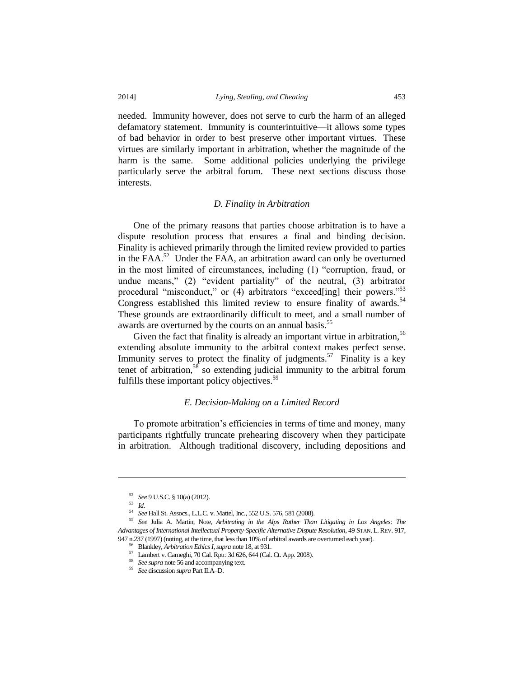needed. Immunity however, does not serve to curb the harm of an alleged defamatory statement. Immunity is counterintuitive—it allows some types of bad behavior in order to best preserve other important virtues. These virtues are similarly important in arbitration, whether the magnitude of the harm is the same. Some additional policies underlying the privilege particularly serve the arbitral forum. These next sections discuss those interests.

# *D. Finality in Arbitration*

One of the primary reasons that parties choose arbitration is to have a dispute resolution process that ensures a final and binding decision. Finality is achieved primarily through the limited review provided to parties in the FAA.<sup>52</sup> Under the FAA, an arbitration award can only be overturned in the most limited of circumstances, including (1) "corruption, fraud, or undue means," (2) "evident partiality" of the neutral, (3) arbitrator procedural "misconduct," or (4) arbitrators "exceed[ing] their powers."<sup>53</sup> Congress established this limited review to ensure finality of awards.<sup>54</sup> These grounds are extraordinarily difficult to meet, and a small number of awards are overturned by the courts on an annual basis.<sup>55</sup>

Given the fact that finality is already an important virtue in arbitration,  $56$ extending absolute immunity to the arbitral context makes perfect sense. Immunity serves to protect the finality of judgments.<sup>57</sup> Finality is a key tenet of arbitration,<sup>58</sup> so extending judicial immunity to the arbitral forum fulfills these important policy objectives.<sup>59</sup>

#### *E. Decision-Making on a Limited Record*

To promote arbitration's efficiencies in terms of time and money, many participants rightfully truncate prehearing discovery when they participate in arbitration. Although traditional discovery, including depositions and

 $\overline{\phantom{a}}$ 

<sup>52</sup> *See* 9 U.S.C. § 10(a) (2012).

<sup>53</sup> *Id.* 

<sup>54</sup> *See* Hall St. Assocs., L.L.C. v. Mattel, Inc., 552 U.S. 576, 581 (2008).

<sup>55</sup> *See* Julia A. Martin, Note, *Arbitrating in the Alps Rather Than Litigating in Los Angeles: The Advantages of International Intellectual Property-Specific Alternative Dispute Resolution*, 49 STAN. L.REV. 917, 947 n.237 (1997) (noting, at the time, that less than 10% of arbitral awards are overturned each year).

<sup>56</sup> Blankley, *Arbitration Ethics I*, *supra* note 18, at 931.

<sup>57</sup> Lambert v. Carneghi, 70 Cal. Rptr. 3d 626, 644 (Cal. Ct. App. 2008).

<sup>58</sup> *See supra* note 56 and accompanying text.

<sup>59</sup> *See* discussion *supra* Part II.A–D.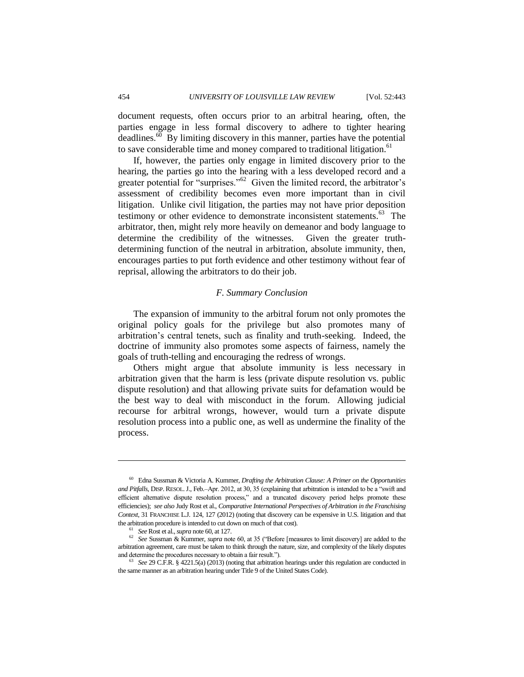document requests, often occurs prior to an arbitral hearing, often, the parties engage in less formal discovery to adhere to tighter hearing  $\overline{d}$  deadlines.<sup> $\overline{60}$ </sup> By limiting discovery in this manner, parties have the potential to save considerable time and money compared to traditional litigation.<sup>61</sup>

If, however, the parties only engage in limited discovery prior to the hearing, the parties go into the hearing with a less developed record and a greater potential for "surprises."<sup>62</sup> Given the limited record, the arbitrator's assessment of credibility becomes even more important than in civil litigation. Unlike civil litigation, the parties may not have prior deposition testimony or other evidence to demonstrate inconsistent statements.<sup>63</sup> The arbitrator, then, might rely more heavily on demeanor and body language to determine the credibility of the witnesses. Given the greater truthdetermining function of the neutral in arbitration, absolute immunity, then, encourages parties to put forth evidence and other testimony without fear of reprisal, allowing the arbitrators to do their job.

#### *F. Summary Conclusion*

The expansion of immunity to the arbitral forum not only promotes the original policy goals for the privilege but also promotes many of arbitration's central tenets, such as finality and truth-seeking. Indeed, the doctrine of immunity also promotes some aspects of fairness, namely the goals of truth-telling and encouraging the redress of wrongs.

Others might argue that absolute immunity is less necessary in arbitration given that the harm is less (private dispute resolution vs. public dispute resolution) and that allowing private suits for defamation would be the best way to deal with misconduct in the forum. Allowing judicial recourse for arbitral wrongs, however, would turn a private dispute resolution process into a public one, as well as undermine the finality of the process.

<sup>60</sup> Edna Sussman & Victoria A. Kummer, *Drafting the Arbitration Clause: A Primer on the Opportunities and Pitfalls*, DISP. RESOL.J., Feb.–Apr. 2012, at 30, 35 (explaining that arbitration is intended to be a "swift and efficient alternative dispute resolution process," and a truncated discovery period helps promote these efficiencies); *see also* Judy Rost et al., *Comparative International Perspectives of Arbitration in the Franchising Context*, 31 FRANCHISE L.J. 124, 127 (2012) (noting that discovery can be expensive in U.S. litigation and that the arbitration procedure is intended to cut down on much of that cost).

<sup>61</sup> *See* Rost et al., *supra* note 60, at 127.

<sup>62</sup> *See* Sussman & Kummer, *supra* note 60, at 35 ("Before [measures to limit discovery] are added to the arbitration agreement, care must be taken to think through the nature, size, and complexity of the likely disputes and determine the procedures necessary to obtain a fair result.").

<sup>63</sup> *See* 29 C.F.R. § 4221.5(a) (2013) (noting that arbitration hearings under this regulation are conducted in the same manner as an arbitration hearing under Title 9 of the United States Code).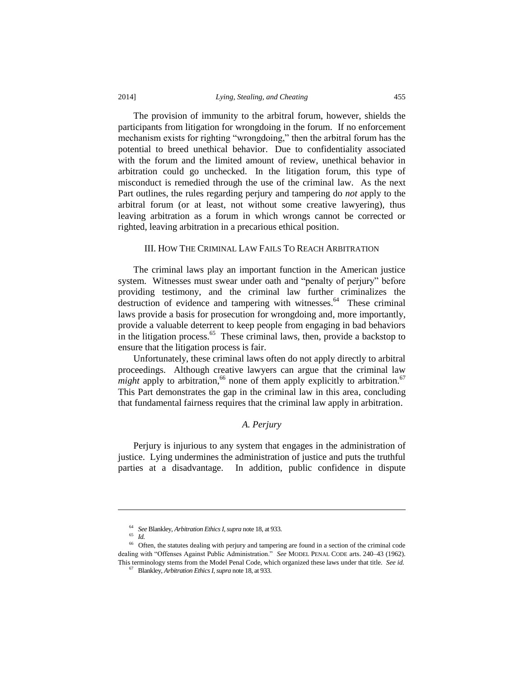The provision of immunity to the arbitral forum, however, shields the participants from litigation for wrongdoing in the forum. If no enforcement mechanism exists for righting "wrongdoing," then the arbitral forum has the potential to breed unethical behavior. Due to confidentiality associated with the forum and the limited amount of review, unethical behavior in arbitration could go unchecked. In the litigation forum, this type of misconduct is remedied through the use of the criminal law. As the next Part outlines, the rules regarding perjury and tampering do *not* apply to the arbitral forum (or at least, not without some creative lawyering), thus leaving arbitration as a forum in which wrongs cannot be corrected or righted, leaving arbitration in a precarious ethical position.

# III. HOW THE CRIMINAL LAW FAILS TO REACH ARBITRATION

The criminal laws play an important function in the American justice system. Witnesses must swear under oath and "penalty of perjury" before providing testimony, and the criminal law further criminalizes the destruction of evidence and tampering with witnesses.<sup>64</sup> These criminal laws provide a basis for prosecution for wrongdoing and, more importantly, provide a valuable deterrent to keep people from engaging in bad behaviors in the litigation process.<sup>65</sup> These criminal laws, then, provide a backstop to ensure that the litigation process is fair.

Unfortunately, these criminal laws often do not apply directly to arbitral proceedings. Although creative lawyers can argue that the criminal law *might* apply to arbitration,<sup>66</sup> none of them apply explicitly to arbitration.<sup>67</sup> This Part demonstrates the gap in the criminal law in this area, concluding that fundamental fairness requires that the criminal law apply in arbitration.

## *A. Perjury*

Perjury is injurious to any system that engages in the administration of justice. Lying undermines the administration of justice and puts the truthful parties at a disadvantage. In addition, public confidence in dispute

 $\overline{\phantom{a}}$ 

<sup>64</sup> *See* Blankley, *Arbitration Ethics I*, *supra* note 18, at 933.

<sup>65</sup> *Id.*

<sup>66</sup> Often, the statutes dealing with perjury and tampering are found in a section of the criminal code dealing with "Offenses Against Public Administration." *See* MODEL PENAL CODE arts. 240–43 (1962). This terminology stems from the Model Penal Code, which organized these laws under that title. *See id.*

<sup>67</sup> Blankley, *Arbitration Ethics I*, *supra* note 18, at 933.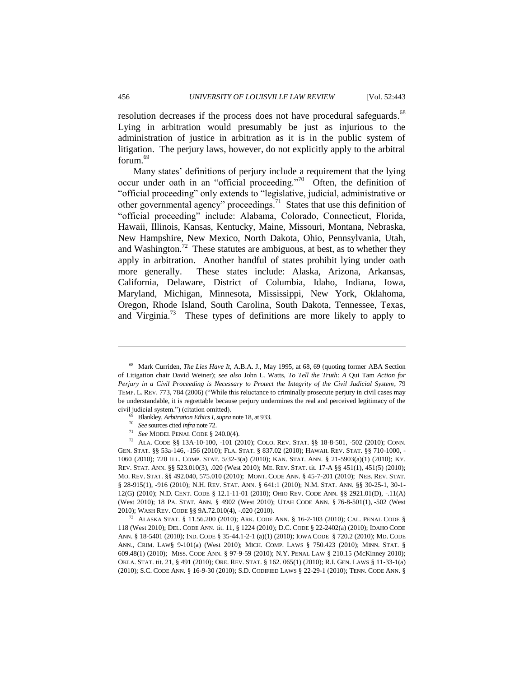resolution decreases if the process does not have procedural safeguards.<sup>68</sup> Lying in arbitration would presumably be just as injurious to the administration of justice in arbitration as it is in the public system of litigation. The perjury laws, however, do not explicitly apply to the arbitral forum.<sup>69</sup>

Many states' definitions of perjury include a requirement that the lying occur under oath in an "official proceeding."<sup>70</sup> Often, the definition of "official proceeding" only extends to "legislative, judicial, administrative or other governmental agency" proceedings.<sup>71</sup> States that use this definition of "official proceeding" include: Alabama, Colorado, Connecticut, Florida, Hawaii, Illinois, Kansas, Kentucky, Maine, Missouri, Montana, Nebraska, New Hampshire, New Mexico, North Dakota, Ohio, Pennsylvania, Utah, and Washington.<sup>72</sup> These statutes are ambiguous, at best, as to whether they apply in arbitration. Another handful of states prohibit lying under oath more generally. These states include: Alaska, Arizona, Arkansas, California, Delaware, District of Columbia, Idaho, Indiana, Iowa, Maryland, Michigan, Minnesota, Mississippi, New York, Oklahoma, Oregon, Rhode Island, South Carolina, South Dakota, Tennessee, Texas, and Virginia.<sup>73</sup> These types of definitions are more likely to apply to

<sup>69</sup> Blankley, *Arbitration Ethics I*, *supra* note 18, at 933.

<sup>71</sup> *See* MODEL PENAL CODE § 240.0(4).

<sup>72</sup> ALA. CODE §§ 13A-10-100, -101 (2010); COLO. REV. STAT. §§ 18-8-501, -502 (2010); CONN. GEN. STAT. §§ 53a-146, -156 (2010); FLA. STAT. § 837.02 (2010); HAWAII. REV. STAT. §§ 710-1000, - 1060 (2010); 720 ILL. COMP. STAT. 5/32-3(a) (2010); KAN. STAT. ANN. § 21-5903(a)(1) (2010); KY. REV. STAT. ANN. §§ 523.010(3), .020 (West 2010); ME. REV. STAT. tit. 17-A §§ 451(1), 451(5) (2010); MO. REV. STAT. §§ 492.040, 575.010 (2010); MONT. CODE ANN. § 45-7-201 (2010); NEB. REV. STAT. § 28-915(1), -916 (2010); N.H. REV. STAT. ANN. § 641:1 (2010); N.M. STAT. ANN. §§ 30-25-1, 30-1- 12(G) (2010); N.D. CENT. CODE § 12.1-11-01 (2010); OHIO REV. CODE ANN. §§ 2921.01(D), -.11(A) (West 2010); 18 PA. STAT. ANN. § 4902 (West 2010); UTAH CODE ANN. § 76-8-501(1), -502 (West 2010); WASH REV. CODE §§ 9A.72.010(4), -.020 (2010).

<sup>73</sup> ALASKA STAT. § 11.56.200 (2010); ARK. CODE ANN. § 16-2-103 (2010); CAL. PENAL CODE § 118 (West 2010); DEL. CODE ANN. tit. 11, § 1224 (2010); D.C. CODE § 22-2402(a) (2010); IDAHO CODE ANN. § 18-5401 (2010); IND. CODE § 35-44.1-2-1 (a)(1) (2010); IOWA CODE § 720.2 (2010); MD. CODE ANN., CRIM. LAW§ 9-101(a) (West 2010); MICH. COMP. LAWS § 750.423 (2010); MINN. STAT. § 609.48(1) (2010); MISS. CODE ANN. § 97-9-59 (2010); N.Y. PENAL LAW § 210.15 (McKinney 2010); OKLA. STAT. tit. 21, § 491 (2010); ORE. REV. STAT. § 162. 065(1) (2010); R.I. GEN. LAWS § 11-33-1(a) (2010); S.C. CODE ANN. § 16-9-30 (2010); S.D. CODIFIED LAWS § 22-29-1 (2010); TENN. CODE ANN. §

<sup>68</sup> Mark Curriden, *The Lies Have It*, A.B.A. J., May 1995, at 68, 69 (quoting former ABA Section of Litigation chair David Weiner); *see also* John L. Watts, *To Tell the Truth: A* Qui Tam *Action for Perjury in a Civil Proceeding is Necessary to Protect the Integrity of the Civil Judicial System*, 79 TEMP. L. REV. 773, 784 (2006) ("While this reluctance to criminally prosecute perjury in civil cases may be understandable, it is regrettable because perjury undermines the real and perceived legitimacy of the civil judicial system.") (citation omitted).

<sup>70</sup> *See* sources cited *infra* note 72.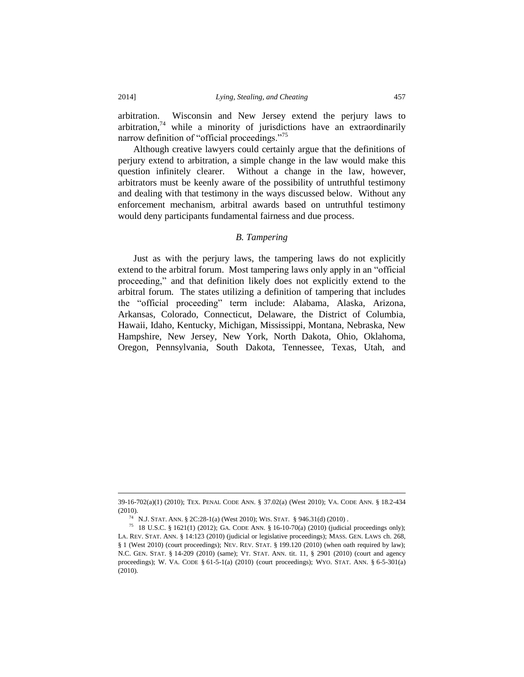arbitration. Wisconsin and New Jersey extend the perjury laws to arbitration, $74$  while a minority of jurisdictions have an extraordinarily narrow definition of "official proceedings."<sup>75</sup>

Although creative lawyers could certainly argue that the definitions of perjury extend to arbitration, a simple change in the law would make this question infinitely clearer. Without a change in the law, however, arbitrators must be keenly aware of the possibility of untruthful testimony and dealing with that testimony in the ways discussed below. Without any enforcement mechanism, arbitral awards based on untruthful testimony would deny participants fundamental fairness and due process.

# *B. Tampering*

Just as with the perjury laws, the tampering laws do not explicitly extend to the arbitral forum. Most tampering laws only apply in an "official proceeding," and that definition likely does not explicitly extend to the arbitral forum. The states utilizing a definition of tampering that includes the "official proceeding" term include: Alabama, Alaska, Arizona, Arkansas, Colorado, Connecticut, Delaware, the District of Columbia, Hawaii, Idaho, Kentucky, Michigan, Mississippi, Montana, Nebraska, New Hampshire, New Jersey, New York, North Dakota, Ohio, Oklahoma, Oregon, Pennsylvania, South Dakota, Tennessee, Texas, Utah, and

<sup>39-16-702(</sup>a)(1) (2010); TEX. PENAL CODE ANN. § 37.02(a) (West 2010); VA. CODE ANN. § 18.2-434 (2010).

<sup>74</sup> N.J. STAT. ANN. § 2C:28-1(a) (West 2010); WIS. STAT. § 946.31(d) (2010) .

<sup>75</sup> 18 U.S.C. § 1621(1) (2012); GA. CODE ANN. § 16-10-70(a) (2010) (judicial proceedings only); LA. REV. STAT. ANN. § 14:123 (2010) (judicial or legislative proceedings); MASS. GEN. LAWS ch. 268, § 1 (West 2010) (court proceedings); NEV. REV. STAT. § 199.120 (2010) (when oath required by law); N.C. GEN. STAT. § 14-209 (2010) (same); VT. STAT. ANN. tit. 11, § 2901 (2010) (court and agency proceedings); W. VA. CODE § 61-5-1(a) (2010) (court proceedings); WYO. STAT. ANN. § 6-5-301(a) (2010).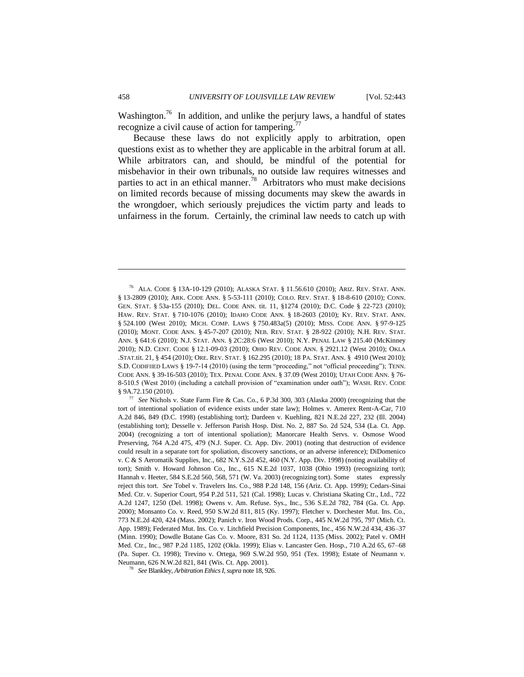Washington.<sup>76</sup> In addition, and unlike the perjury laws, a handful of states recognize a civil cause of action for tampering.<sup>77</sup>

Because these laws do not explicitly apply to arbitration, open questions exist as to whether they are applicable in the arbitral forum at all. While arbitrators can, and should, be mindful of the potential for misbehavior in their own tribunals, no outside law requires witnesses and parties to act in an ethical manner.<sup>78</sup> Arbitrators who must make decisions on limited records because of missing documents may skew the awards in the wrongdoer, which seriously prejudices the victim party and leads to unfairness in the forum. Certainly, the criminal law needs to catch up with

<sup>77</sup> *See* Nichols v. State Farm Fire & Cas. Co., 6 P.3d 300, 303 (Alaska 2000) (recognizing that the tort of intentional spoliation of evidence exists under state law); Holmes v. Amerex Rent-A-Car, 710 A.2d 846, 849 (D.C. 1998) (establishing tort); Dardeen v. Kuehling, 821 N.E.2d 227, 232 (Ill. 2004) (establishing tort); Desselle v. Jefferson Parish Hosp. Dist. No. 2, 887 So. 2d 524, 534 (La. Ct. App. 2004) (recognizing a tort of intentional spoliation); Manorcare Health Servs. v. Osmose Wood Preserving, 764 A.2d 475, 479 (N.J. Super. Ct. App. Div. 2001) (noting that destruction of evidence could result in a separate tort for spoliation, discovery sanctions, or an adverse inference); DiDomenico v. C & S Aeromatik Supplies, Inc., 682 N.Y.S.2d 452, 460 (N.Y. App. Div. 1998) (noting availability of tort); Smith v. Howard Johnson Co., Inc., 615 N.E.2d 1037, 1038 (Ohio 1993) (recognizing tort); Hannah v. Heeter, 584 S.E.2d 560, 568, 571 (W. Va. 2003) (recognizing tort). Some states expressly reject this tort. *See* Tobel v. Travelers Ins. Co., 988 P.2d 148, 156 (Ariz. Ct. App. 1999); Cedars-Sinai Med. Ctr. v. Superior Court, 954 P.2d 511, 521 (Cal. 1998); Lucas v. Christiana Skating Ctr., Ltd., 722 A.2d 1247, 1250 (Del. 1998); Owens v. Am. Refuse. Sys., Inc., 536 S.E.2d 782, 784 (Ga. Ct. App. 2000); Monsanto Co. v. Reed, 950 S.W.2d 811, 815 (Ky. 1997); Fletcher v. Dorchester Mut. Ins. Co., 773 N.E.2d 420, 424 (Mass. 2002); Panich v. Iron Wood Prods. Corp., 445 N.W.2d 795, 797 (Mich. Ct. App. 1989); Federated Mut. Ins. Co. v. Litchfield Precision Components, Inc., 456 N.W.2d 434, 436–37 (Minn. 1990); Dowdle Butane Gas Co. v. Moore, 831 So. 2d 1124, 1135 (Miss. 2002); Patel v. OMH Med. Ctr., Inc., 987 P.2d 1185, 1202 (Okla. 1999); Elias v. Lancaster Gen. Hosp., 710 A.2d 65, 67–68 (Pa. Super. Ct. 1998); Trevino v. Ortega, 969 S.W.2d 950, 951 (Tex. 1998); Estate of Neumann v. Neumann, 626 N.W.2d 821, 841 (Wis. Ct. App. 2001).

<sup>78</sup> *See* Blankley, *Arbitration Ethics I*, *supra* note 18, 926.

<sup>76</sup> ALA. CODE § 13A-10-129 (2010); ALASKA STAT. § 11.56.610 (2010); ARIZ. REV. STAT. ANN. § 13-2809 (2010); ARK. CODE ANN. § 5-53-111 (2010); COLO. REV. STAT. § 18-8-610 (2010); CONN. GEN. STAT. § 53a-155 (2010); DEL. CODE ANN. tit. 11, §1274 (2010); D.C. Code § 22-723 (2010); HAW. REV. STAT. § 710-1076 (2010); IDAHO CODE ANN. § 18-2603 (2010); KY. REV. STAT. ANN. § 524.100 (West 2010); MICH. COMP. LAWS § 750.483a(5) (2010); MISS. CODE ANN. § 97-9-125 (2010); MONT. CODE ANN. § 45-7-207 (2010); NEB. REV. STAT. § 28-922 (2010); N.H. REV. STAT. ANN. § 641:6 (2010); N.J. STAT. ANN. § 2C:28:6 (West 2010); N.Y. PENAL LAW § 215.40 (McKinney 2010); N.D. CENT. CODE § 12.1-09-03 (2010); OHIO REV. CODE ANN. § 2921.12 (West 2010); OKLA .STAT.tit. 21, § 454 (2010); ORE. REV. STAT. § 162.295 (2010); 18 PA. STAT. ANN. § 4910 (West 2010); S.D. CODIFIIED LAWS § 19-7-14 (2010) (using the term "proceeding," not "official proceeding"); TENN. CODE ANN. § 39-16-503 (2010); TEX. PENAL CODE ANN. § 37.09 (West 2010); UTAH CODE ANN. § 76- 8-510.5 (West 2010) (including a catchall provision of "examination under oath"); WASH. REV. CODE § 9A.72.150 (2010).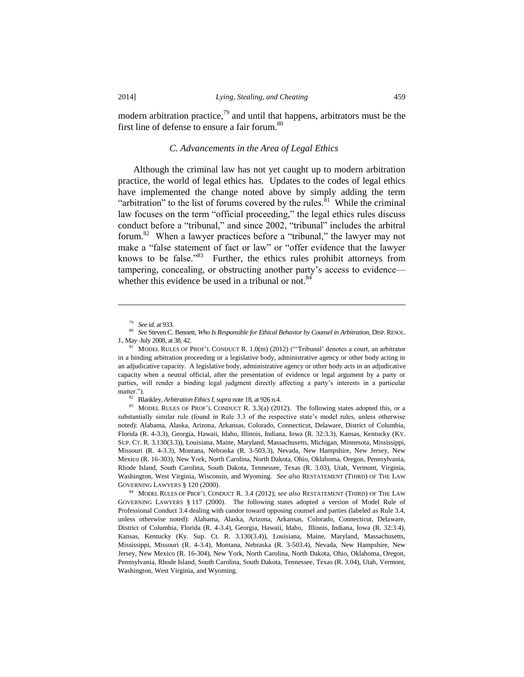modern arbitration practice, $79$  and until that happens, arbitrators must be the first line of defense to ensure a fair forum.<sup>80</sup>

# *C. Advancements in the Area of Legal Ethics*

Although the criminal law has not yet caught up to modern arbitration practice, the world of legal ethics has. Updates to the codes of legal ethics have implemented the change noted above by simply adding the term "arbitration" to the list of forums covered by the rules.<sup>81</sup> While the criminal law focuses on the term "official proceeding," the legal ethics rules discuss conduct before a "tribunal," and since 2002, "tribunal" includes the arbitral forum.<sup>82</sup> When a lawyer practices before a "tribunal," the lawyer may not make a "false statement of fact or law" or "offer evidence that the lawyer knows to be false."<sup>83</sup> Further, the ethics rules prohibit attorneys from tampering, concealing, or obstructing another party's access to evidence whether this evidence be used in a tribunal or not. $84$ 

 $\overline{\phantom{a}}$ 

<sup>82</sup> Blankley, *Arbitration Ethics I*, *supra* note 18, at 926 n.4.

<sup>83</sup> MODEL RULES OF PROF'L CONDUCT R. 3.3(a) (2012). The following states adopted this, or a substantially similar rule (found in Rule 3.3 of the respective state's model rules, unless otherwise noted): Alabama, Alaska, Arizona, Arkansas, Colorado, Connecticut, Delaware, District of Columbia, Florida (R. 4-3.3), Georgia, Hawaii, Idaho, Illinois, Indiana, Iowa (R. 32:3.3), Kansas, Kentucky (KY. SUP. CT. R. 3.130(3.3)), Louisiana, Maine, Maryland, Massachusetts, Michigan, Minnesota, Mississippi, Missouri (R. 4-3.3), Montana, Nebraska (R. 3-503.3), Nevada, New Hampshire, New Jersey, New Mexico (R. 16-303), New York, North Carolina, North Dakota, Ohio, Oklahoma, Oregon, Pennsylvania, Rhode Island, South Carolina, South Dakota, Tennessee, Texas (R. 3.03), Utah, Vermont, Virginia, Washington, West Virginia, Wisconsin, and Wyoming. *See also* RESTATEMENT (THIRD) OF THE LAW GOVERNING LAWYERS § 120 (2000).

<sup>84</sup> MODEL RULES OF PROF'L CONDUCT R. 3.4 (2012); *see also* RESTATEMENT (THIRD) OF THE LAW GOVERNING LAWYERS § 117 (2000). The following states adopted a version of Model Rule of Professional Conduct 3.4 dealing with candor toward opposing counsel and parties (labeled as Rule 3.4, unless otherwise noted): Alabama, Alaska, Arizona, Arkansas, Colorado, Connecticut, Delaware, District of Columbia, Florida (R. 4-3.4), Georgia, Hawaii, Idaho, Illinois, Indiana, Iowa (R. 32:3.4), Kansas, Kentucky (Ky. Sup. Ct. R. 3.130(3.4)), Louisiana, Maine, Maryland, Massachusetts, Mississippi, Missouri (R. 4-3.4), Montana, Nebraska (R. 3-503.4), Nevada, New Hampshire, New Jersey, New Mexico (R. 16-304), New York, North Carolina, North Dakota, Ohio, Oklahoma, Oregon, Pennsylvania, Rhode Island, South Carolina, South Dakota, Tennessee, Texas (R. 3.04), Utah, Vermont, Washington, West Virginia, and Wyoming.

<sup>79</sup> *See id.* at 933.

<sup>80</sup> *See* Steven C. Bennett, *Who Is Responsible for Ethical Behavior by Counsel in Arbitration*, DISP.RESOL. J., May–July 2008, at 38, 42.

<sup>81</sup> MODEL RULES OF PROF'L CONDUCT R. 1.0(m) (2012) ("'Tribunal' denotes a court, an arbitrator in a binding arbitration proceeding or a legislative body, administrative agency or other body acting in an adjudicative capacity. A legislative body, administrative agency or other body acts in an adjudicative capacity when a neutral official, after the presentation of evidence or legal argument by a party or parties, will render a binding legal judgment directly affecting a party's interests in a particular matter.").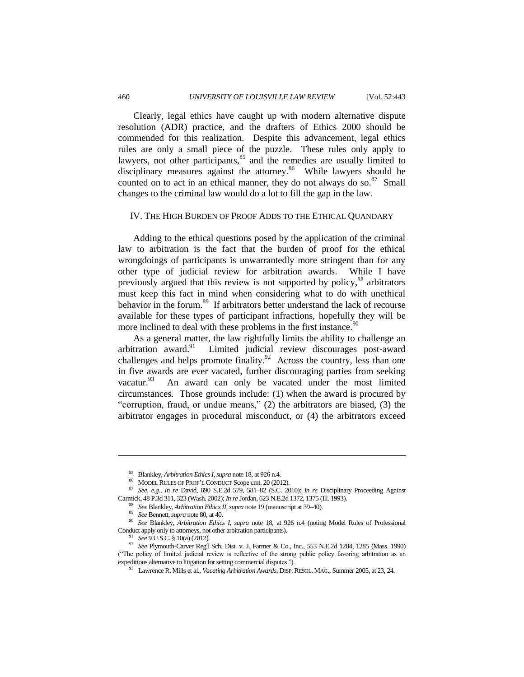Clearly, legal ethics have caught up with modern alternative dispute resolution (ADR) practice, and the drafters of Ethics 2000 should be commended for this realization. Despite this advancement, legal ethics rules are only a small piece of the puzzle. These rules only apply to lawyers, not other participants, $85$  and the remedies are usually limited to disciplinary measures against the attorney.<sup>86</sup> While lawyers should be counted on to act in an ethical manner, they do not always do so. $87$  Small changes to the criminal law would do a lot to fill the gap in the law.

#### IV. THE HIGH BURDEN OF PROOF ADDS TO THE ETHICAL QUANDARY

Adding to the ethical questions posed by the application of the criminal law to arbitration is the fact that the burden of proof for the ethical wrongdoings of participants is unwarrantedly more stringent than for any other type of judicial review for arbitration awards. While I have previously argued that this review is not supported by policy,<sup>88</sup> arbitrators must keep this fact in mind when considering what to do with unethical behavior in the forum.<sup>89</sup> If arbitrators better understand the lack of recourse available for these types of participant infractions, hopefully they will be more inclined to deal with these problems in the first instance.<sup>90</sup>

As a general matter, the law rightfully limits the ability to challenge an arbitration award.<sup>91</sup> Limited judicial review discourages post-award challenges and helps promote finality.<sup>92</sup> Across the country, less than one in five awards are ever vacated, further discouraging parties from seeking vacatur.<sup>93</sup> An award can only be vacated under the most limited circumstances. Those grounds include: (1) when the award is procured by "corruption, fraud, or undue means," (2) the arbitrators are biased, (3) the arbitrator engages in procedural misconduct, or (4) the arbitrators exceed

<sup>85</sup> Blankley, *Arbitration Ethics I*, *supra* note 18, at 926 n.4.

<sup>86</sup> MODEL RULES OF PROF'L CONDUCT Scope cmt. 20 (2012).

<sup>87</sup> *See, e.g.*, *In re* David, 690 S.E.2d 579, 581–82 (S.C. 2010); *In re* Disciplinary Proceeding Against Carmick, 48 P.3d 311, 323 (Wash. 2002); *In re* Jordan, 623 N.E.2d 1372, 1375 (Ill. 1993).

<sup>88</sup> *See* Blankley, *Arbitration Ethics II*, *supra* note 19 (manuscript at 39–40).

<sup>89</sup> *See* Bennett, *supra* note 80, at 40.

<sup>90</sup> *See* Blankley, *Arbitration Ethics I*, *supra* note 18, at 926 n.4 (noting Model Rules of Professional Conduct apply only to attorneys, not other arbitration participants).

<sup>91</sup> *See* 9 U.S.C. § 10(a) (2012).

<sup>92</sup> *See* Plymouth-Carver Reg'l Sch. Dist. v. J. Farmer & Co., Inc., 553 N.E.2d 1284, 1285 (Mass. 1990) ("The policy of limited judicial review is reflective of the strong public policy favoring arbitration as an expeditious alternative to litigation for setting commercial disputes.").

<sup>93</sup> Lawrence R. Mills et al., *Vacating Arbitration Awards*, DISP.RESOL. MAG., Summer 2005, at 23, 24.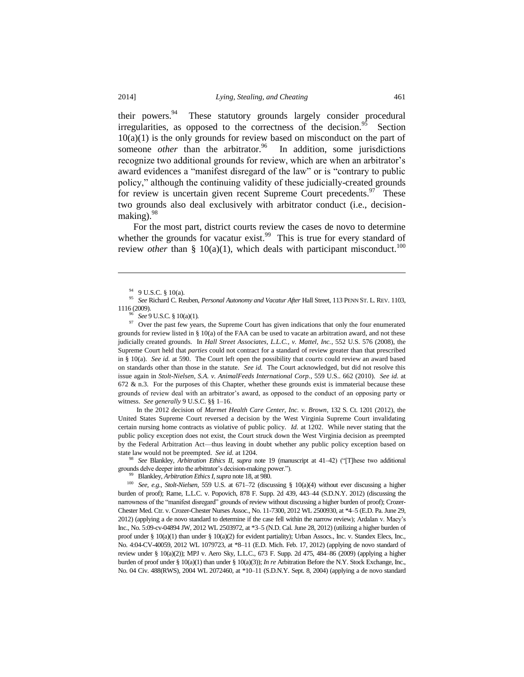their powers.<sup>94</sup> These statutory grounds largely consider procedural irregularities, as opposed to the correctness of the decision.<sup>95</sup> Section  $10(a)(1)$  is the only grounds for review based on misconduct on the part of someone *other* than the arbitrator.<sup>96</sup> In addition, some jurisdictions recognize two additional grounds for review, which are when an arbitrator's award evidences a "manifest disregard of the law" or is "contrary to public policy," although the continuing validity of these judicially-created grounds for review is uncertain given recent Supreme Court precedents.<sup>97</sup> These two grounds also deal exclusively with arbitrator conduct (i.e., decisionmaking). $98$ 

For the most part, district courts review the cases de novo to determine whether the grounds for vacatur exist.<sup>99</sup> This is true for every standard of review *other* than § 10(a)(1), which deals with participant misconduct.<sup>100</sup>

 $\overline{\phantom{a}}$ 

<sup>96</sup> *See* 9 U.S.C. § 10(a)(1).

<sup>97</sup> Over the past few years, the Supreme Court has given indications that only the four enumerated grounds for review listed in § 10(a) of the FAA can be used to vacate an arbitration award, and not these judicially created grounds. In *Hall Street Associates, L.L.C., v. Mattel, Inc.*, 552 U.S. 576 (2008), the Supreme Court held that *parties* could not contract for a standard of review greater than that prescribed in § 10(a). *See id.* at 590. The Court left open the possibility that *courts* could review an award based on standards other than those in the statute. *See id.* The Court acknowledged, but did not resolve this issue again in *Stolt-Nielsen, S.A. v. AnimalFeeds International Corp.*, 559 U.S.. 662 (2010). *See id.* at 672  $\&$  n.3. For the purposes of this Chapter, whether these grounds exist is immaterial because these grounds of review deal with an arbitrator's award, as opposed to the conduct of an opposing party or witness. *See generally* 9 U.S.C. §§ 1–16.

In the 2012 decision of *Marmet Health Care Center, Inc. v. Brown*, 132 S. Ct. 1201 (2012), the United States Supreme Court reversed a decision by the West Virginia Supreme Court invalidating certain nursing home contracts as violative of public policy. *Id.* at 1202. While never stating that the public policy exception does not exist, the Court struck down the West Virginia decision as preempted by the Federal Arbitration Act—thus leaving in doubt whether any public policy exception based on state law would not be preempted. *See id.* at 1204.

<sup>98</sup> *See* Blankley, *Arbitration Ethics II*, *supra* note 19 (manuscript at 41–42) ("[T]hese two additional grounds delve deeper into the arbitrator's decision-making power.").

<sup>99</sup> Blankley, *Arbitration Ethics I*, *supra* note 18, at 980.

<sup>100</sup> *See, e.g.*, *Stolt-Nielsen*, 559 U.S. at 671–72 (discussing § 10(a)(4) without ever discussing a higher burden of proof); Rame, L.L.C. v. Popovich, 878 F. Supp. 2d 439, 443–44 (S.D.N.Y. 2012) (discussing the narrowness of the "manifest disregard" grounds of review without discussing a higher burden of proof); Crozer-Chester Med. Ctr. v. Crozer-Chester Nurses Assoc., No. 11-7300, 2012 WL 2500930, at \*4–5 (E.D. Pa. June 29, 2012) (applying a de novo standard to determine if the case fell within the narrow review); Ardalan v. Macy's Inc., No. 5:09-cv-04894 JW, 2012 WL 2503972, at \*3–5 (N.D. Cal. June 28, 2012) (utilizing a higher burden of proof under § 10(a)(1) than under § 10(a)(2) for evident partiality); Urban Assocs., Inc. v. Standex Elecs, Inc., No. 4:04-CV-40059, 2012 WL 1079723, at \*8–11 (E.D. Mich. Feb. 17, 2012) (applying de novo standard of review under § 10(a)(2)); MPJ v. Aero Sky, L.L.C., 673 F. Supp. 2d 475, 484–86 (2009) (applying a higher burden of proof under § 10(a)(1) than under § 10(a)(3)); *In re* Arbitration Before the N.Y. Stock Exchange, Inc., No. 04 Civ. 488(RWS), 2004 WL 2072460, at \*10–11 (S.D.N.Y. Sept. 8, 2004) (applying a de novo standard

<sup>94</sup> 9 U.S.C. § 10(a).

<sup>95</sup> *See* Richard C. Reuben, *Personal Autonomy and Vacatur After* Hall Street, 113 PENN ST. L. REV. 1103, 1116 (2009).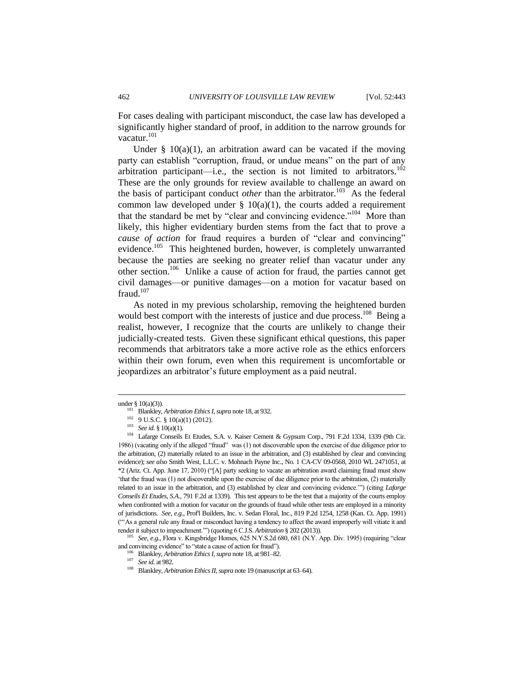For cases dealing with participant misconduct, the case law has developed a significantly higher standard of proof, in addition to the narrow grounds for vacatur.<sup>101</sup>

Under  $\S$  10(a)(1), an arbitration award can be vacated if the moving party can establish "corruption, fraud, or undue means" on the part of any arbitration participant—i.e., the section is not limited to arbitrators.<sup>102</sup> These are the only grounds for review available to challenge an award on the basis of participant conduct *other* than the arbitrator.<sup>103</sup> As the federal common law developed under  $\S$  10(a)(1), the courts added a requirement that the standard be met by "clear and convincing evidence."<sup>104</sup> More than likely, this higher evidentiary burden stems from the fact that to prove a *cause of action* for fraud requires a burden of "clear and convincing" evidence.<sup>105</sup> This heightened burden, however, is completely unwarranted because the parties are seeking no greater relief than vacatur under any other section.<sup>106</sup> Unlike a cause of action for fraud, the parties cannot get civil damages—or punitive damages—on a motion for vacatur based on fraud. $107$ 

As noted in my previous scholarship, removing the heightened burden would best comport with the interests of justice and due process.<sup>108</sup> Being a realist, however, I recognize that the courts are unlikely to change their judicially-created tests. Given these significant ethical questions, this paper recommends that arbitrators take a more active role as the ethics enforcers within their own forum, even when this requirement is uncomfortable or jeopardizes an arbitrator's future employment as a paid neutral.

under § 10(a)(3)).

<sup>101</sup> Blankley, *Arbitration Ethics I*, *supra* note 18, at 932.

<sup>102</sup> 9 U.S.C. § 10(a)(1) (2012).

<sup>103</sup> *See id.* § 10(a)(1).

<sup>&</sup>lt;sup>104</sup> Lafarge Conseils Et Etudes, S.A. v. Kaiser Cement & Gypsum Corp., 791 F.2d 1334, 1339 (9th Cir. 1986) (vacating only if the alleged "fraud" was (1) not discoverable upon the exercise of due diligence prior to the arbitration, (2) materially related to an issue in the arbitration, and (3) established by clear and convincing evidence); *see also* Smith West, L.L.C. v. Mohnach Payne Inc., No. 1 CA-CV 09-0568, 2010 WL 2471051, at \*2 (Ariz. Ct. App. June 17, 2010) ("[A] party seeking to vacate an arbitration award claiming fraud must show 'that the fraud was (1) not discoverable upon the exercise of due diligence prior to the arbitration, (2) materially related to an issue in the arbitration, and (3) established by clear and convincing evidence.'") (citing *Lafarge Conseils Et Etudes, S.A.*, 791 F.2d at 1339). This test appears to be the test that a majority of the courts employ when confronted with a motion for vacatur on the grounds of fraud while other tests are employed in a minority of jurisdictions. *See, e.g.*, Prof'l Builders, Inc. v. Sedan Floral, Inc., 819 P.2d 1254, 1258 (Kan. Ct. App. 1991) ("'As a general rule any fraud or misconduct having a tendency to affect the award improperly will vitiate it and render it subject to impeachment.'") (quoting 6 C.J.S. *Arbitration* § 202 (2013)).

<sup>105</sup> *See, e.g.*, Flora v. Kingsbridge Homes, 625 N.Y.S.2d 680, 681 (N.Y. App. Div. 1995) (requiring "clear and convincing evidence" to "state a cause of action for fraud").

<sup>106</sup> Blankley, *Arbitration Ethics I*, *supra* note 18, at 981–82.

<sup>107</sup> *See id.* at 982.

<sup>108</sup> Blankley, *Arbitration Ethics II*, *supra* note 19 (manuscript at 63–64).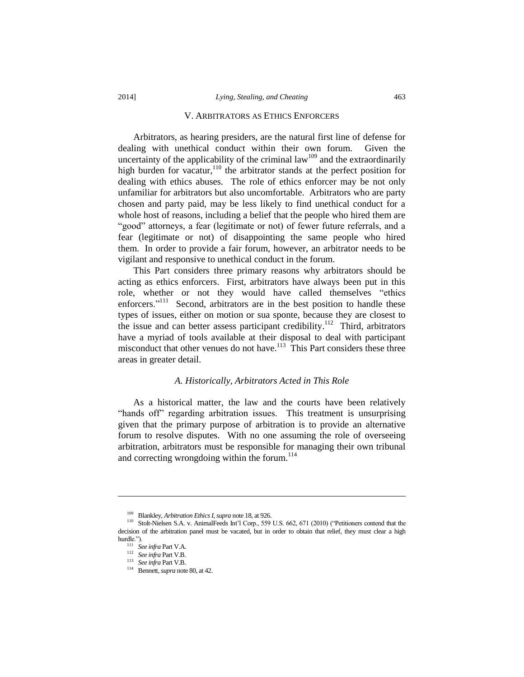#### V. ARBITRATORS AS ETHICS ENFORCERS

Arbitrators, as hearing presiders, are the natural first line of defense for dealing with unethical conduct within their own forum. Given the uncertainty of the applicability of the criminal  $law<sup>109</sup>$  and the extraordinarily high burden for vacatur,  $110$  the arbitrator stands at the perfect position for dealing with ethics abuses. The role of ethics enforcer may be not only unfamiliar for arbitrators but also uncomfortable. Arbitrators who are party chosen and party paid, may be less likely to find unethical conduct for a whole host of reasons, including a belief that the people who hired them are "good" attorneys, a fear (legitimate or not) of fewer future referrals, and a fear (legitimate or not) of disappointing the same people who hired them. In order to provide a fair forum, however, an arbitrator needs to be vigilant and responsive to unethical conduct in the forum.

This Part considers three primary reasons why arbitrators should be acting as ethics enforcers. First, arbitrators have always been put in this role, whether or not they would have called themselves "ethics enforcers."<sup>111</sup> Second, arbitrators are in the best position to handle these types of issues, either on motion or sua sponte, because they are closest to the issue and can better assess participant credibility.<sup>112</sup> Third, arbitrators have a myriad of tools available at their disposal to deal with participant misconduct that other venues do not have.<sup>113</sup> This Part considers these three areas in greater detail.

#### *A. Historically, Arbitrators Acted in This Role*

As a historical matter, the law and the courts have been relatively "hands off" regarding arbitration issues. This treatment is unsurprising given that the primary purpose of arbitration is to provide an alternative forum to resolve disputes. With no one assuming the role of overseeing arbitration, arbitrators must be responsible for managing their own tribunal and correcting wrongdoing within the forum.<sup>114</sup>

<sup>109</sup> Blankley, *Arbitration Ethics I*, *supra* note 18, at 926.

<sup>110</sup> Stolt-Nielsen S.A. v. AnimalFeeds Int'l Corp., 559 U.S. 662, 671 (2010) ("Petitioners contend that the decision of the arbitration panel must be vacated, but in order to obtain that relief, they must clear a high hurdle.").

<sup>111</sup> *See infra* Part V.A.

<sup>112</sup> *See infra* Part V.B.

<sup>113</sup> *See infra* Part V.B.

<sup>114</sup> Bennett, *supra* note 80, at 42.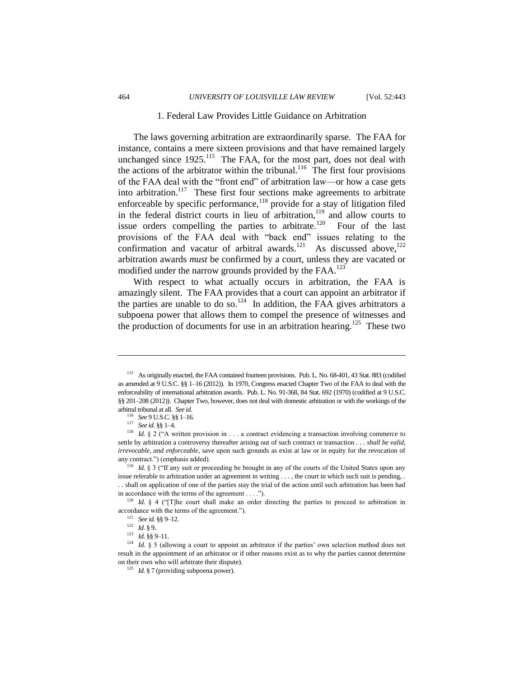#### 1. Federal Law Provides Little Guidance on Arbitration

The laws governing arbitration are extraordinarily sparse. The FAA for instance, contains a mere sixteen provisions and that have remained largely unchanged since  $1925$ <sup>115</sup> The FAA, for the most part, does not deal with the actions of the arbitrator within the tribunal.<sup>116</sup> The first four provisions of the FAA deal with the "front end" of arbitration law—or how a case gets into arbitration.<sup>117</sup> These first four sections make agreements to arbitrate enforceable by specific performance,<sup>118</sup> provide for a stay of litigation filed in the federal district courts in lieu of arbitration, $119$  and allow courts to issue orders compelling the parties to arbitrate. $120$  Four of the last provisions of the FAA deal with "back end" issues relating to the confirmation and vacatur of arbitral awards.<sup>121</sup> As discussed above,  $^{122}$ arbitration awards *must* be confirmed by a court, unless they are vacated or modified under the narrow grounds provided by the FAA.<sup>123</sup>

With respect to what actually occurs in arbitration, the FAA is amazingly silent. The FAA provides that a court can appoint an arbitrator if the parties are unable to do so.<sup>124</sup> In addition, the FAA gives arbitrators a subpoena power that allows them to compel the presence of witnesses and the production of documents for use in an arbitration hearing.<sup>125</sup> These two

<sup>116</sup> *See* 9 U.S.C. §§ 1–16.

<sup>117</sup> *See id.* §§ 1–4.

 $\overline{\phantom{a}}$ 

<sup>121</sup> *See id.* §§ 9–12.

<sup>125</sup> *Id.* § 7 (providing subpoena power).

<sup>115</sup> As originally enacted, the FAA contained fourteen provisions. Pub. L. No. 68-401, 43 Stat. 883 (codified as amended at 9 U.S.C. §§ 1–16 (2012)). In 1970, Congress enacted Chapter Two of the FAA to deal with the enforceability of international arbitration awards. Pub. L. No. 91-368, 84 Stat. 692 (1970) (codified at 9 U.S.C. §§ 201–208 (2012)). Chapter Two, however, does not deal with domestic arbitration or with the workings of the arbitral tribunal at all. *See id.*

<sup>&</sup>lt;sup>118</sup> *Id.* § 2 ("A written provision in . . . a contract evidencing a transaction involving commerce to settle by arbitration a controversy thereafter arising out of such contract or transaction . . . *shall be valid, irrevocable, and enforceable*, save upon such grounds as exist at law or in equity for the revocation of any contract.") (emphasis added).

<sup>&</sup>lt;sup>119</sup> *Id.* § 3 ("If any suit or proceeding be brought in any of the courts of the United States upon any issue referable to arbitration under an agreement in writing . . . , the court in which such suit is pending, . . . shall on application of one of the parties stay the trial of the action until such arbitration has been had in accordance with the terms of the agreement . . . .").

<sup>&</sup>lt;sup>120</sup> *Id.* § 4 ("[T]he court shall make an order directing the parties to proceed to arbitration in accordance with the terms of the agreement.").

<sup>122</sup> *Id.* § 9.

<sup>&</sup>lt;sup>123</sup> *Id.* §§ 9-11.

<sup>&</sup>lt;sup>124</sup> *Id.* § 5 (allowing a court to appoint an arbitrator if the parties' own selection method does not result in the appointment of an arbitrator or if other reasons exist as to why the parties cannot determine on their own who will arbitrate their dispute).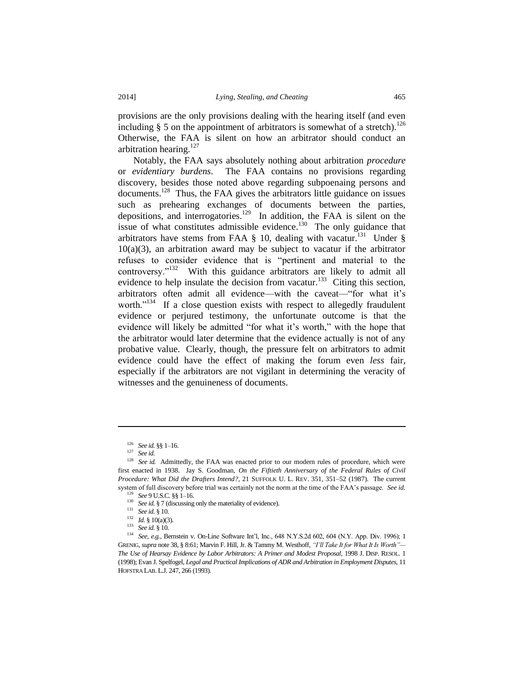provisions are the only provisions dealing with the hearing itself (and even including  $\S$  5 on the appointment of arbitrators is somewhat of a stretch).<sup>126</sup> Otherwise, the FAA is silent on how an arbitrator should conduct an arbitration hearing.<sup>127</sup>

Notably, the FAA says absolutely nothing about arbitration *procedure* or *evidentiary burdens*. The FAA contains no provisions regarding discovery, besides those noted above regarding subpoenaing persons and documents.<sup>128</sup> Thus, the FAA gives the arbitrators little guidance on issues such as prehearing exchanges of documents between the parties, depositions, and interrogatories.<sup>129</sup> In addition, the FAA is silent on the issue of what constitutes admissible evidence.<sup>130</sup> The only guidance that arbitrators have stems from FAA  $\S$  10, dealing with vacatur.<sup>131</sup> Under  $\S$  $10(a)(3)$ , an arbitration award may be subject to vacatur if the arbitrator refuses to consider evidence that is "pertinent and material to the controversy."<sup>132</sup> With this guidance arbitrators are likely to admit all evidence to help insulate the decision from vacatur.<sup>133</sup> Citing this section, arbitrators often admit all evidence—with the caveat—"for what it's worth."<sup>134</sup> If a close question exists with respect to allegedly fraudulent evidence or perjured testimony, the unfortunate outcome is that the evidence will likely be admitted "for what it's worth," with the hope that the arbitrator would later determine that the evidence actually is not of any probative value. Clearly, though, the pressure felt on arbitrators to admit evidence could have the effect of making the forum even *less* fair, especially if the arbitrators are not vigilant in determining the veracity of witnesses and the genuineness of documents.

 $\overline{\phantom{a}}$ 

<sup>126</sup> *See id.* §§ 1–16.

<sup>127</sup> *See id.*

<sup>&</sup>lt;sup>128</sup> See id. Admittedly, the FAA was enacted prior to our modern rules of procedure, which were first enacted in 1938. Jay S. Goodman, *On the Fiftieth Anniversary of the Federal Rules of Civil Procedure: What Did the Drafters Intend?*, 21 SUFFOLK U. L. REV. 351, 351–52 (1987). The current system of full discovery before trial was certainly not the norm at the time of the FAA's passage. *See id.*

<sup>129</sup> *See* 9 U.S.C. §§ 1–16.

<sup>&</sup>lt;sup>130</sup> *See id.* § 7 (discussing only the materiality of evidence).

<sup>131</sup> *See id.* § 10.

<sup>132</sup> *Id.* § 10(a)(3).

<sup>133</sup> *See id.* § 10.

<sup>134</sup> *See, e.g.*, Bernstein v. On-Line Software Int'l, Inc., 648 N.Y.S.2d 602, 604 (N.Y. App. Div. 1996); 1 GRENIG, *supra* note 38, § 8:61; Marvin F. Hill, Jr. & Tammy M. Westhoff, *"I'll Take It for What It Is Worth"— The Use of Hearsay Evidence by Labor Arbitrators: A Primer and Modest Proposal*, 1998 J. DISP. RESOL. 1 (1998); Evan J. Spelfogel, *Legal and Practical Implications of ADR and Arbitration in Employment Disputes*, 11 HOFSTRA LAB. L.J. 247, 266 (1993).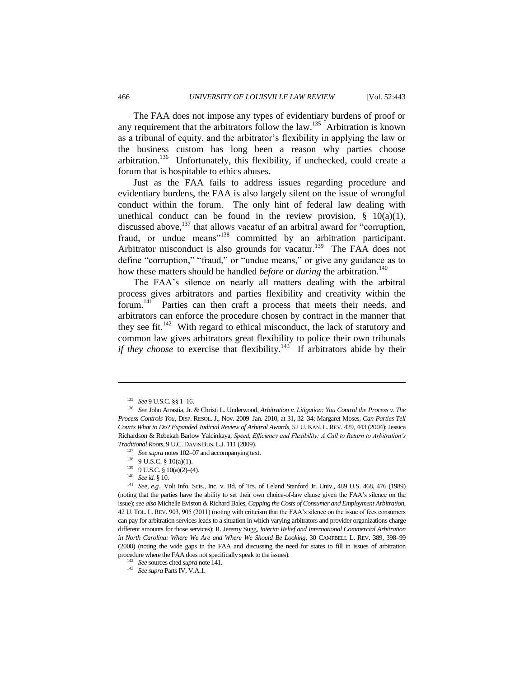The FAA does not impose any types of evidentiary burdens of proof or any requirement that the arbitrators follow the law.<sup>135</sup> Arbitration is known as a tribunal of equity, and the arbitrator's flexibility in applying the law or the business custom has long been a reason why parties choose arbitration.<sup>136</sup> Unfortunately, this flexibility, if unchecked, could create a forum that is hospitable to ethics abuses.

Just as the FAA fails to address issues regarding procedure and evidentiary burdens, the FAA is also largely silent on the issue of wrongful conduct within the forum. The only hint of federal law dealing with unethical conduct can be found in the review provision,  $\S$  10(a)(1), discussed above,<sup>137</sup> that allows vacatur of an arbitral award for "corruption, fraud, or undue means"<sup>138</sup> committed by an arbitration participant. Arbitrator misconduct is also grounds for vacatur.<sup>139</sup> The FAA does not define "corruption," "fraud," or "undue means," or give any guidance as to how these matters should be handled *before* or *during* the arbitration.<sup>140</sup>

The FAA's silence on nearly all matters dealing with the arbitral process gives arbitrators and parties flexibility and creativity within the forum.<sup>141</sup> Parties can then craft a process that meets their needs, and arbitrators can enforce the procedure chosen by contract in the manner that they see fit.<sup>142</sup> With regard to ethical misconduct, the lack of statutory and common law gives arbitrators great flexibility to police their own tribunals *if they choose* to exercise that flexibility.<sup>143</sup> If arbitrators abide by their

l

<sup>137</sup> *See supra* notes 102–07 and accompanying text.

- $139$  9 U.S.C. § 10(a)(2)–(4).
- <sup>140</sup> *See id.* § 10.

<sup>135</sup> *See* 9 U.S.C. §§ 1–16.

<sup>136</sup> *See* John Arrastia, Jr. & Christi L. Underwood, *Arbitration v. Litigation: You Control the Process v. The Process Controls You*, DISP. RESOL. J., Nov. 2009–Jan. 2010, at 31, 32–34; Margaret Moses, *Can Parties Tell Courts What to Do? Expanded Judicial Review of Arbitral Awards*, 52 U. KAN. L. REV. 429, 443 (2004); Jessica Richardson & Rebekah Barlow Yalcinkaya, *Speed, Efficiency and Flexibility: A Call to Return to Arbitration's Traditional Roots*, 9 U.C.DAVIS BUS. L.J. 111 (2009).

 $138$  9 U.S.C. § 10(a)(1).

<sup>141</sup> *See, e.g.*, Volt Info. Scis., Inc. v. Bd. of Trs. of Leland Stanford Jr. Univ., 489 U.S. 468, 476 (1989) (noting that the parties have the ability to set their own choice-of-law clause given the FAA's silence on the issue); *see also* Michelle Eviston & Richard Bales, *Capping the Costs of Consumer and Employment Arbitration*, 42 U. TOL. L. REV. 903, 905 (2011) (noting with criticism that the FAA's silence on the issue of fees consumers can pay for arbitration services leads to a situation in which varying arbitrators and provider organizations charge different amounts for those services); R. Jeremy Sugg, *Interim Relief and International Commercial Arbitration in North Carolina: Where We Are and Where We Should Be Looking*, 30 CAMPBELL L. REV. 389, 398–99 (2008) (noting the wide gaps in the FAA and discussing the need for states to fill in issues of arbitration procedure where the FAA does not specifically speak to the issues).

<sup>142</sup> *See* sources cited *supra* note 141.

<sup>143</sup> *See supra* Parts IV, V.A.1.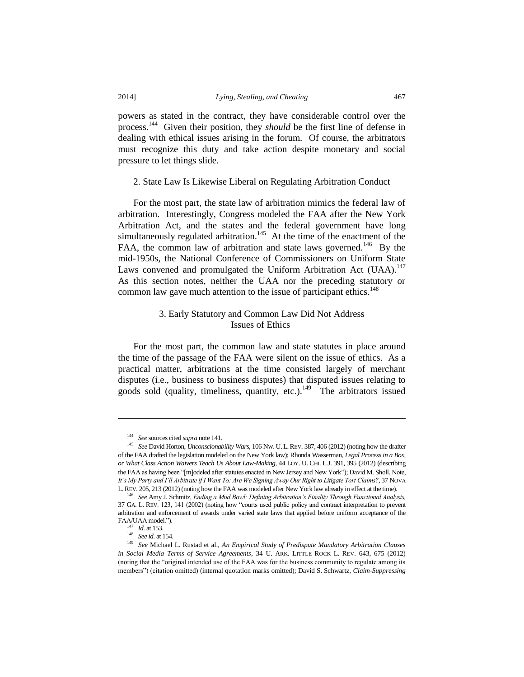powers as stated in the contract, they have considerable control over the process.<sup>144</sup> Given their position, they *should* be the first line of defense in dealing with ethical issues arising in the forum. Of course, the arbitrators must recognize this duty and take action despite monetary and social pressure to let things slide.

2. State Law Is Likewise Liberal on Regulating Arbitration Conduct

For the most part, the state law of arbitration mimics the federal law of arbitration. Interestingly, Congress modeled the FAA after the New York Arbitration Act, and the states and the federal government have long simultaneously regulated arbitration.<sup>145</sup> At the time of the enactment of the FAA, the common law of arbitration and state laws governed.<sup>146</sup> By the mid-1950s, the National Conference of Commissioners on Uniform State Laws convened and promulgated the Uniform Arbitration Act (UAA).<sup>147</sup> As this section notes, neither the UAA nor the preceding statutory or common law gave much attention to the issue of participant ethics.<sup>148</sup>

# 3. Early Statutory and Common Law Did Not Address Issues of Ethics

For the most part, the common law and state statutes in place around the time of the passage of the FAA were silent on the issue of ethics. As a practical matter, arbitrations at the time consisted largely of merchant disputes (i.e., business to business disputes) that disputed issues relating to goods sold (quality, timeliness, quantity, etc.).<sup>149</sup> The arbitrators issued

<sup>147</sup> *Id.* at 153.

l

<sup>148</sup> *See id.* at 154.

<sup>144</sup> *See* sources cited *supra* note 141.

<sup>145</sup> *See* David Horton, *Unconscionability Wars*, 106 NW. U. L.REV. 387, 406 (2012) (noting how the drafter of the FAA drafted the legislation modeled on the New York law); Rhonda Wasserman, *Legal Process in a Box, or What Class Action Waivers Teach Us About Law-Making*, 44 LOY. U. CHI. L.J. 391, 395 (2012) (describing the FAA as having been "[m]odeled after statutes enacted in New Jersey and New York"); David M. Sholl, Note, *It's My Party and I'll Arbitrate if I Want To: Are We Signing Away Our Right to Litigate Tort Claims?*, 37 NOVA L.REV. 205, 213 (2012) (noting how the FAA was modeled after New York law already in effect at the time).

<sup>146</sup> *See* Amy J. Schmitz, *Ending a Mud Bowl: Defining Arbitration's Finality Through Functional Analysis,*  37 GA. L. REV. 123, 141 (2002) (noting how "courts used public policy and contract interpretation to prevent arbitration and enforcement of awards under varied state laws that applied before uniform acceptance of the FAA/UAA model.").

<sup>149</sup> *See* Michael L. Rustad et al., *An Empirical Study of Predispute Mandatory Arbitration Clauses in Social Media Terms of Service Agreements*, 34 U. ARK. LITTLE ROCK L. REV. 643, 675 (2012) (noting that the "original intended use of the FAA was for the business community to regulate among its members") (citation omitted) (internal quotation marks omitted); David S. Schwartz, *Claim-Suppressing*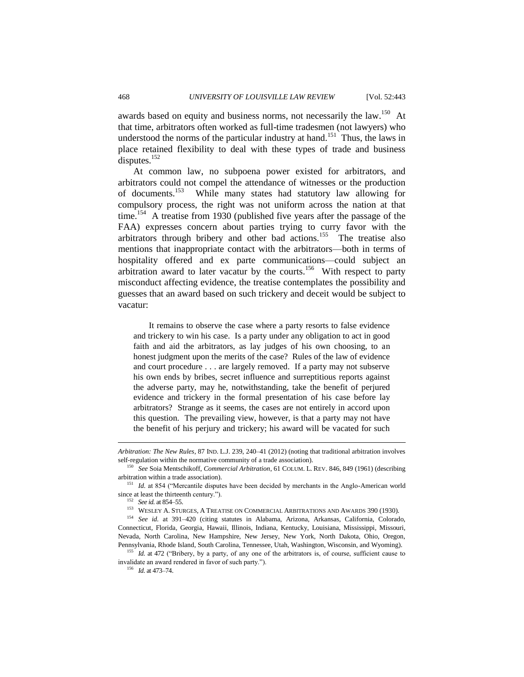awards based on equity and business norms, not necessarily the law.<sup>150</sup> At that time, arbitrators often worked as full-time tradesmen (not lawyers) who understood the norms of the particular industry at hand.<sup>151</sup> Thus, the laws in place retained flexibility to deal with these types of trade and business disputes. $152$ 

At common law, no subpoena power existed for arbitrators, and arbitrators could not compel the attendance of witnesses or the production of documents.<sup>153</sup> While many states had statutory law allowing for compulsory process, the right was not uniform across the nation at that time.<sup>154</sup> A treatise from 1930 (published five years after the passage of the FAA) expresses concern about parties trying to curry favor with the arbitrators through bribery and other bad actions.<sup>155</sup> The treatise also mentions that inappropriate contact with the arbitrators—both in terms of hospitality offered and ex parte communications—could subject an arbitration award to later vacatur by the courts.<sup>156</sup> With respect to party misconduct affecting evidence, the treatise contemplates the possibility and guesses that an award based on such trickery and deceit would be subject to vacatur:

It remains to observe the case where a party resorts to false evidence and trickery to win his case. Is a party under any obligation to act in good faith and aid the arbitrators, as lay judges of his own choosing, to an honest judgment upon the merits of the case? Rules of the law of evidence and court procedure . . . are largely removed. If a party may not subserve his own ends by bribes, secret influence and surreptitious reports against the adverse party, may he, notwithstanding, take the benefit of perjured evidence and trickery in the formal presentation of his case before lay arbitrators? Strange as it seems, the cases are not entirely in accord upon this question. The prevailing view, however, is that a party may not have the benefit of his perjury and trickery; his award will be vacated for such

*Arbitration: The New Rules*, 87 IND. L.J. 239, 240–41 (2012) (noting that traditional arbitration involves self-regulation within the normative community of a trade association).

<sup>150</sup> *See* Soia Mentschikoff, *Commercial Arbitration*, 61 COLUM. L. REV. 846, 849 (1961) (describing arbitration within a trade association).

<sup>151</sup> *Id.* at 854 ("Mercantile disputes have been decided by merchants in the Anglo-American world since at least the thirteenth century.").

<sup>152</sup> *See id.* at 854–55.

<sup>153</sup> WESLEY A. STURGES, A TREATISE ON COMMERCIAL ARBITRATIONS AND AWARDS 390 (1930).

<sup>154</sup> *See id.* at 391–420 (citing statutes in Alabama, Arizona, Arkansas, California, Colorado, Connecticut, Florida, Georgia, Hawaii, Illinois, Indiana, Kentucky, Louisiana, Mississippi, Missouri, Nevada, North Carolina, New Hampshire, New Jersey, New York, North Dakota, Ohio, Oregon, Pennsylvania, Rhode Island, South Carolina, Tennessee, Utah, Washington, Wisconsin, and Wyoming).

<sup>155</sup> *Id.* at 472 ("Bribery, by a party, of any one of the arbitrators is, of course, sufficient cause to invalidate an award rendered in favor of such party.").

<sup>156</sup> *Id.* at 473–74.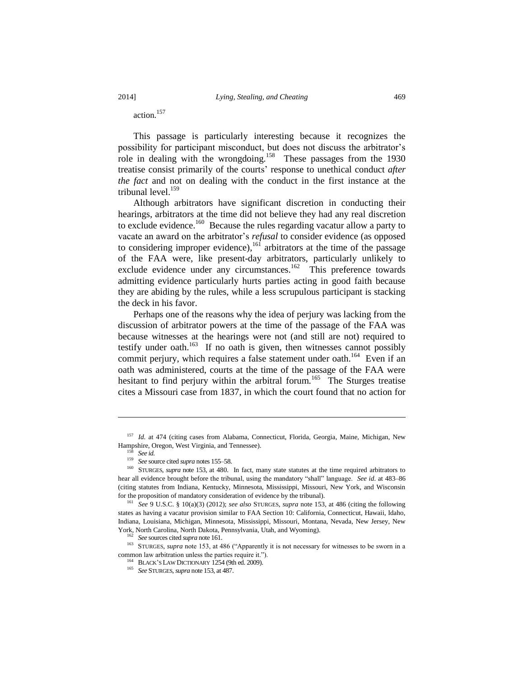action.<sup>157</sup>

This passage is particularly interesting because it recognizes the possibility for participant misconduct, but does not discuss the arbitrator's role in dealing with the wrongdoing.<sup>158</sup> These passages from the 1930 treatise consist primarily of the courts' response to unethical conduct *after the fact* and not on dealing with the conduct in the first instance at the tribunal level.<sup>159</sup>

Although arbitrators have significant discretion in conducting their hearings, arbitrators at the time did not believe they had any real discretion to exclude evidence.<sup>160</sup> Because the rules regarding vacatur allow a party to vacate an award on the arbitrator's *refusal* to consider evidence (as opposed to considering improper evidence),<sup>161</sup> arbitrators at the time of the passage of the FAA were, like present-day arbitrators, particularly unlikely to exclude evidence under any circumstances.<sup>162</sup> This preference towards admitting evidence particularly hurts parties acting in good faith because they are abiding by the rules, while a less scrupulous participant is stacking the deck in his favor.

Perhaps one of the reasons why the idea of perjury was lacking from the discussion of arbitrator powers at the time of the passage of the FAA was because witnesses at the hearings were not (and still are not) required to testify under oath.<sup>163</sup> If no oath is given, then witnesses cannot possibly commit perjury, which requires a false statement under oath.<sup>164</sup> Even if an oath was administered, courts at the time of the passage of the FAA were hesitant to find perjury within the arbitral forum.<sup>165</sup> The Sturges treatise cites a Missouri case from 1837, in which the court found that no action for

 $\overline{\phantom{a}}$ 

<sup>&</sup>lt;sup>157</sup> *Id.* at 474 (citing cases from Alabama, Connecticut, Florida, Georgia, Maine, Michigan, New Hampshire, Oregon, West Virginia, and Tennessee).

<sup>158</sup> *See id.*

<sup>159</sup> *See* source cited *supra* notes 155–58.

<sup>&</sup>lt;sup>160</sup> STURGES, *supra* note 153, at 480. In fact, many state statutes at the time required arbitrators to hear all evidence brought before the tribunal, using the mandatory "shall" language. *See id*. at 483–86 (citing statutes from Indiana, Kentucky, Minnesota, Mississippi, Missouri, New York, and Wisconsin for the proposition of mandatory consideration of evidence by the tribunal).

<sup>161</sup> *See* 9 U.S.C. § 10(a)(3) (2012); *see also* STURGES, *supra* note 153, at 486 (citing the following states as having a vacatur provision similar to FAA Section 10: California, Connecticut, Hawaii, Idaho, Indiana, Louisiana, Michigan, Minnesota, Mississippi, Missouri, Montana, Nevada, New Jersey, New York, North Carolina, North Dakota, Pennsylvania, Utah, and Wyoming).

<sup>162</sup> *See* sources cited *supra* note 161.

<sup>&</sup>lt;sup>163</sup> STURGES, *supra* note 153, at 486 ("Apparently it is not necessary for witnesses to be sworn in a common law arbitration unless the parties require it.").

<sup>&</sup>lt;sup>164</sup> BLACK'S LAW DICTIONARY 1254 (9th ed. 2009).

<sup>165</sup> *See* STURGES, *supra* note 153, at 487.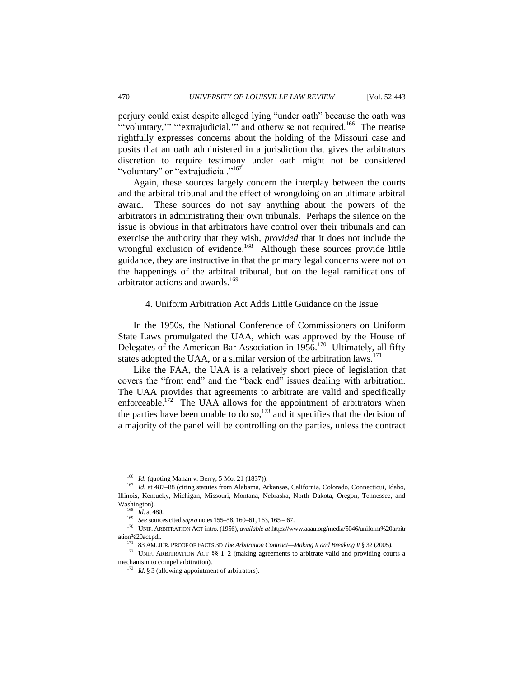perjury could exist despite alleged lying "under oath" because the oath was "voluntary," "extrajudicial," and otherwise not required.<sup>166</sup> The treatise rightfully expresses concerns about the holding of the Missouri case and posits that an oath administered in a jurisdiction that gives the arbitrators discretion to require testimony under oath might not be considered "voluntary" or "extrajudicial."<sup>167</sup>

Again, these sources largely concern the interplay between the courts and the arbitral tribunal and the effect of wrongdoing on an ultimate arbitral award. These sources do not say anything about the powers of the arbitrators in administrating their own tribunals. Perhaps the silence on the issue is obvious in that arbitrators have control over their tribunals and can exercise the authority that they wish, *provided* that it does not include the wrongful exclusion of evidence.<sup>168</sup> Although these sources provide little guidance, they are instructive in that the primary legal concerns were not on the happenings of the arbitral tribunal, but on the legal ramifications of arbitrator actions and awards.<sup>169</sup>

#### 4. Uniform Arbitration Act Adds Little Guidance on the Issue

In the 1950s, the National Conference of Commissioners on Uniform State Laws promulgated the UAA, which was approved by the House of Delegates of the American Bar Association in 1956.<sup>170</sup> Ultimately, all fifty states adopted the UAA, or a similar version of the arbitration laws.<sup>171</sup>

Like the FAA, the UAA is a relatively short piece of legislation that covers the "front end" and the "back end" issues dealing with arbitration. The UAA provides that agreements to arbitrate are valid and specifically enforceable.<sup>172</sup> The UAA allows for the appointment of arbitrators when the parties have been unable to do so,<sup>173</sup> and it specifies that the decision of a majority of the panel will be controlling on the parties, unless the contract

<sup>&</sup>lt;sup>166</sup> *Id.* (quoting Mahan v. Berry, 5 Mo. 21 (1837)).

<sup>167</sup> *Id.* at 487–88 (citing statutes from Alabama, Arkansas, California, Colorado, Connecticut, Idaho, Illinois, Kentucky, Michigan, Missouri, Montana, Nebraska, North Dakota, Oregon, Tennessee, and Washington).

<sup>168</sup> *Id.* at 480.

<sup>169</sup> *See* sources cited *supra* notes 155–58, 160–61, 163, 165 – 67.

<sup>170</sup> UNIF. ARBITRATION ACT intro. (1956), *available at* https://www.aaau.org/media/5046/uniform%20arbitr ation%20act.pdf.

<sup>171</sup> 83 AM.JUR. PROOF OF FACTS 3D *The Arbitration Contract—Making It and Breaking It* § 32 (2005).

<sup>&</sup>lt;sup>172</sup> UNIF. ARBITRATION ACT §§ 1-2 (making agreements to arbitrate valid and providing courts a mechanism to compel arbitration).

<sup>&</sup>lt;sup>173</sup> *Id.* § 3 (allowing appointment of arbitrators).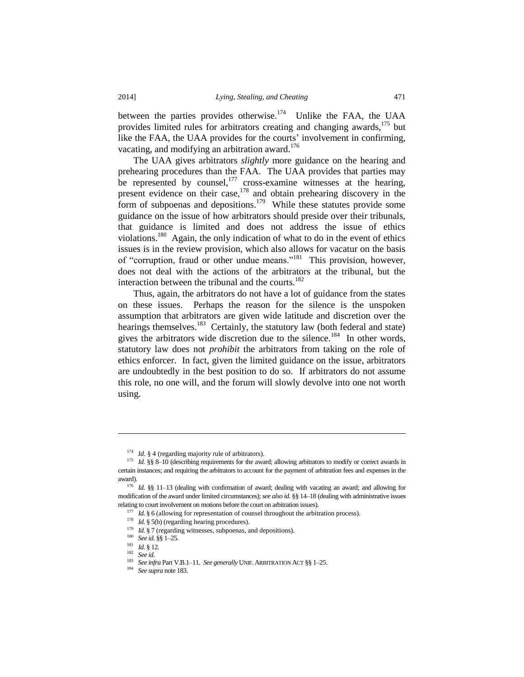between the parties provides otherwise.<sup>174</sup> Unlike the FAA, the UAA provides limited rules for arbitrators creating and changing awards,<sup>175</sup> but like the FAA, the UAA provides for the courts' involvement in confirming, vacating, and modifying an arbitration award.<sup>176</sup>

The UAA gives arbitrators *slightly* more guidance on the hearing and prehearing procedures than the FAA. The UAA provides that parties may be represented by counsel, $^{177}$  cross-examine witnesses at the hearing, present evidence on their case,  $178$  and obtain prehearing discovery in the form of subpoenas and depositions.<sup>179</sup> While these statutes provide some guidance on the issue of how arbitrators should preside over their tribunals, that guidance is limited and does not address the issue of ethics violations.<sup>180</sup> Again, the only indication of what to do in the event of ethics issues is in the review provision, which also allows for vacatur on the basis of "corruption, fraud or other undue means."<sup>181</sup> This provision, however, does not deal with the actions of the arbitrators at the tribunal, but the interaction between the tribunal and the courts.<sup>182</sup>

Thus, again, the arbitrators do not have a lot of guidance from the states on these issues. Perhaps the reason for the silence is the unspoken assumption that arbitrators are given wide latitude and discretion over the hearings themselves.<sup>183</sup> Certainly, the statutory law (both federal and state) gives the arbitrators wide discretion due to the silence.<sup>184</sup> In other words, statutory law does not *prohibit* the arbitrators from taking on the role of ethics enforcer. In fact, given the limited guidance on the issue, arbitrators are undoubtedly in the best position to do so.If arbitrators do not assume this role, no one will, and the forum will slowly devolve into one not worth using.

<sup>&</sup>lt;sup>174</sup> *Id.* § 4 (regarding majority rule of arbitrators).

<sup>&</sup>lt;sup>175</sup> *Id.* §§ 8–10 (describing requirements for the award; allowing arbitrators to modify or correct awards in certain instances; and requiring the arbitrators to account for the payment of arbitration fees and expenses in the award).

<sup>&</sup>lt;sup>176</sup> *Id.* §§ 11-13 (dealing with confirmation of award; dealing with vacating an award; and allowing for modification of the award under limited circumstances); *see also id.* §§ 14–18 (dealing with administrative issues relating to court involvement on motions before the court on arbitration issues).

<sup>&</sup>lt;sup>177</sup> *Id.* § 6 (allowing for representation of counsel throughout the arbitration process).

<sup>&</sup>lt;sup>178</sup> *Id.* § 5(b) (regarding hearing procedures).

<sup>&</sup>lt;sup>179</sup> *Id.* § 7 (regarding witnesses, subpoenas, and depositions).

<sup>180</sup> *See id.* §§ 1–25*.*

<sup>181</sup> *Id.* § 12.

<sup>182</sup> *See id.*

<sup>183</sup> *See infra* Part V.B.1–11. *See generally* UNIF. ARBITRATION ACT §§ 1–25.

<sup>184</sup> *See supra* note 183.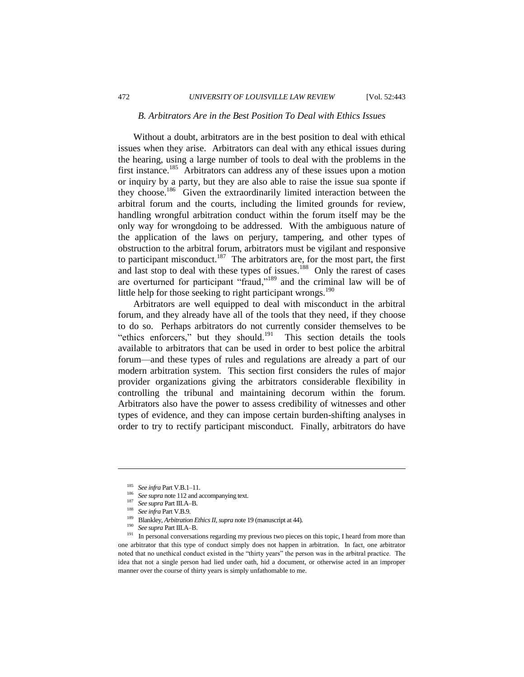# *B. Arbitrators Are in the Best Position To Deal with Ethics Issues*

Without a doubt, arbitrators are in the best position to deal with ethical issues when they arise. Arbitrators can deal with any ethical issues during the hearing, using a large number of tools to deal with the problems in the first instance.<sup>185</sup> Arbitrators can address any of these issues upon a motion or inquiry by a party, but they are also able to raise the issue sua sponte if they choose.<sup>186</sup> Given the extraordinarily limited interaction between the arbitral forum and the courts, including the limited grounds for review, handling wrongful arbitration conduct within the forum itself may be the only way for wrongdoing to be addressed. With the ambiguous nature of the application of the laws on perjury, tampering, and other types of obstruction to the arbitral forum, arbitrators must be vigilant and responsive to participant misconduct.<sup>187</sup> The arbitrators are, for the most part, the first and last stop to deal with these types of issues.<sup>188</sup> Only the rarest of cases are overturned for participant "fraud,"<sup>189</sup> and the criminal law will be of little help for those seeking to right participant wrongs.<sup>190</sup>

Arbitrators are well equipped to deal with misconduct in the arbitral forum, and they already have all of the tools that they need, if they choose to do so. Perhaps arbitrators do not currently consider themselves to be "ethics enforcers," but they should. $191$  This section details the tools available to arbitrators that can be used in order to best police the arbitral forum—and these types of rules and regulations are already a part of our modern arbitration system. This section first considers the rules of major provider organizations giving the arbitrators considerable flexibility in controlling the tribunal and maintaining decorum within the forum. Arbitrators also have the power to assess credibility of witnesses and other types of evidence, and they can impose certain burden-shifting analyses in order to try to rectify participant misconduct. Finally, arbitrators do have

<sup>185</sup> *See infra* Part V.B.1–11.

<sup>&</sup>lt;sup>186</sup> See supra note 112 and accompanying text.

<sup>187</sup> *See supra* Part III.A–B.

<sup>188</sup> *See infra* Part V.B.9.

<sup>&</sup>lt;sup>189</sup> Blankley, *Arbitration Ethics II*, *supra* note 19 (manuscript at 44).

<sup>190</sup> *See supra* Part III.A–B.

In personal conversations regarding my previous two pieces on this topic, I heard from more than one arbitrator that this type of conduct simply does not happen in arbitration. In fact, one arbitrator noted that no unethical conduct existed in the "thirty years" the person was in the arbitral practice. The idea that not a single person had lied under oath, hid a document, or otherwise acted in an improper manner over the course of thirty years is simply unfathomable to me.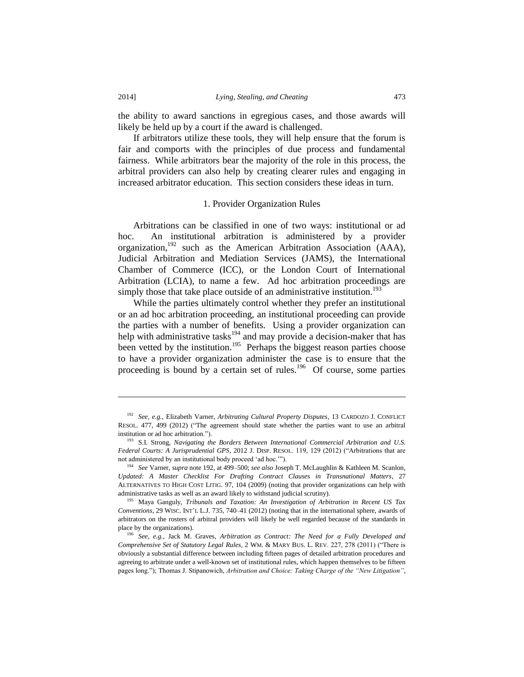the ability to award sanctions in egregious cases, and those awards will likely be held up by a court if the award is challenged.

If arbitrators utilize these tools, they will help ensure that the forum is fair and comports with the principles of due process and fundamental fairness. While arbitrators bear the majority of the role in this process, the arbitral providers can also help by creating clearer rules and engaging in increased arbitrator education. This section considers these ideas in turn.

### 1. Provider Organization Rules

Arbitrations can be classified in one of two ways: institutional or ad hoc. An institutional arbitration is administered by a provider organization,<sup>192</sup> such as the American Arbitration Association (AAA), Judicial Arbitration and Mediation Services (JAMS), the International Chamber of Commerce (ICC), or the London Court of International Arbitration (LCIA), to name a few. Ad hoc arbitration proceedings are simply those that take place outside of an administrative institution.<sup>193</sup>

While the parties ultimately control whether they prefer an institutional or an ad hoc arbitration proceeding, an institutional proceeding can provide the parties with a number of benefits. Using a provider organization can help with administrative tasks<sup>194</sup> and may provide a decision-maker that has been vetted by the institution.<sup>195</sup> Perhaps the biggest reason parties choose to have a provider organization administer the case is to ensure that the proceeding is bound by a certain set of rules.<sup>196</sup> Of course, some parties

<sup>192</sup> *See, e.g.*, Elizabeth Varner, *Arbitrating Cultural Property Disputes*, 13 CARDOZO J. CONFLICT RESOL. 477, 499 (2012) ("The agreement should state whether the parties want to use an arbitral institution or ad hoc arbitration.").

<sup>193</sup> S.I. Strong, *Navigating the Borders Between International Commercial Arbitration and U.S. Federal Courts: A Jurisprudential GPS*, 2012 J. DISP. RESOL. 119, 129 (2012) ("Arbitrations that are not administered by an institutional body proceed 'ad hoc.'").

<sup>194</sup> *See* Varner, *supra* note 192, at 499–500; *see also* Joseph T. McLaughlin & Kathleen M. Scanlon, *Updated: A Master Checklist For Drafting Contract Clauses in Transnational Matters*, 27 ALTERNATIVES TO HIGH COST LITIG. 97, 104 (2009) (noting that provider organizations can help with administrative tasks as well as an award likely to withstand judicial scrutiny).

<sup>195</sup> Maya Ganguly, *Tribunals and Taxation: An Investigation of Arbitration in Recent US Tax Conventions*, 29 WISC. INT'L L.J. 735, 740–41 (2012) (noting that in the international sphere, awards of arbitrators on the rosters of arbitral providers will likely be well regarded because of the standards in place by the organizations).

<sup>196</sup> *See, e.g.*, Jack M. Graves, *Arbitration as Contract: The Need for a Fully Developed and Comprehensive Set of Statutory Legal Rules*, 2 WM. & MARY BUS. L. REV. 227, 278 (2011) ("There is obviously a substantial difference between including fifteen pages of detailed arbitration procedures and agreeing to arbitrate under a well-known set of institutional rules, which happen themselves to be fifteen pages long."); Thomas J. Stipanowich, *Arbitration and Choice: Taking Charge of the "New Litigation"*,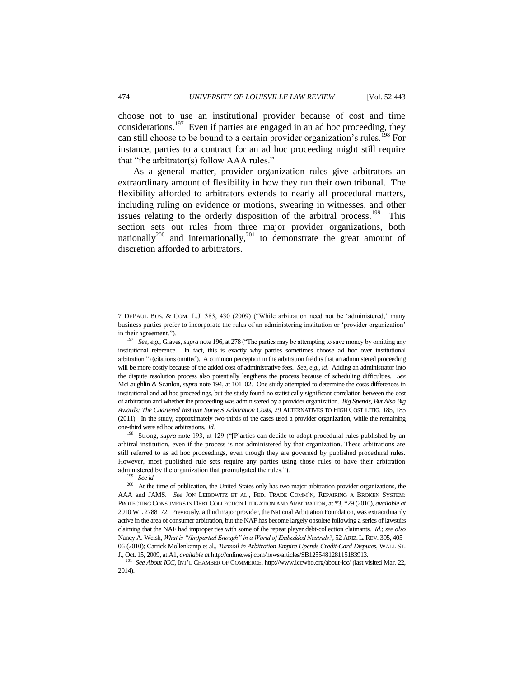choose not to use an institutional provider because of cost and time considerations.<sup>197</sup> Even if parties are engaged in an ad hoc proceeding, they can still choose to be bound to a certain provider organization's rules.<sup>198</sup> For instance, parties to a contract for an ad hoc proceeding might still require that "the arbitrator(s) follow AAA rules."

As a general matter, provider organization rules give arbitrators an extraordinary amount of flexibility in how they run their own tribunal. The flexibility afforded to arbitrators extends to nearly all procedural matters, including ruling on evidence or motions, swearing in witnesses, and other issues relating to the orderly disposition of the arbitral process.<sup>199</sup> This section sets out rules from three major provider organizations, both nationally<sup>200</sup> and internationally,<sup>201</sup> to demonstrate the great amount of discretion afforded to arbitrators.

<sup>198</sup> Strong, *supra* note 193, at 129 ("[P]arties can decide to adopt procedural rules published by an arbitral institution, even if the process is not administered by that organization. These arbitrations are still referred to as ad hoc proceedings, even though they are governed by published procedural rules. However, most published rule sets require any parties using those rules to have their arbitration administered by the organization that promulgated the rules.").

<sup>199</sup> *See id.*

<sup>7</sup> DEPAUL BUS. & COM. L.J. 383, 430 (2009) ("While arbitration need not be 'administered,' many business parties prefer to incorporate the rules of an administering institution or 'provider organization' in their agreement.").

<sup>197</sup> *See, e.g.*, Graves, *supra* note 196, at 278 ("The parties may be attempting to save money by omitting any institutional reference. In fact, this is exactly why parties sometimes choose ad hoc over institutional arbitration.") (citations omitted). A common perception in the arbitration field is that an administered proceeding will be more costly because of the added cost of administrative fees. *See, e.g.*, *id.* Adding an administrator into the dispute resolution process also potentially lengthens the process because of scheduling difficulties. *See* McLaughlin & Scanlon, *supra* note 194, at 101–02. One study attempted to determine the costs differences in institutional and ad hoc proceedings, but the study found no statistically significant correlation between the cost of arbitration and whether the proceeding was administered by a provider organization. *Big Spends, But Also Big Awards: The Chartered Institute Surveys Arbitration Costs,* 29 ALTERNATIVES TO HIGH COST LITIG. 185, 185 (2011). In the study, approximately two-thirds of the cases used a provider organization, while the remaining one-third were ad hoc arbitrations. *Id.*

<sup>&</sup>lt;sup>200</sup> At the time of publication, the United States only has two major arbitration provider organizations, the AAA and JAMS. *See* JON LEIBOWITZ ET AL., FED. TRADE COMM'N, REPAIRING A BROKEN SYSTEM: PROTECTING CONSUMERS IN DEBT COLLECTION LITIGATION AND ARBITRATION, at \*3, \*29 (2010), *available at* 2010 WL 2788172. Previously, a third major provider, the National Arbitration Foundation, was extraordinarily active in the area of consumer arbitration, but the NAF has become largely obsolete following a series of lawsuits claiming that the NAF had improper ties with some of the repeat player debt-collection claimants. *Id.*; *see also* Nancy A. Welsh, *What is "(Im)partial Enough" in a World of Embedded Neutrals?*, 52 ARIZ. L.REV. 395, 405– 06 (2010); Carrick Mollenkamp et al., *Turmoil in Arbitration Empire Upends Credit-Card Disputes*, WALL ST. J., Oct. 15, 2009, at A1, *available at* [http://online.wsj.com/news/articles/SB125548128115183913.](http://online.wsj.com/news/articles/SB125548128115183913) 

<sup>201</sup> *See About ICC*, INT'L CHAMBER OF COMMERCE, http://www.iccwbo.org/about-icc/ (last visited Mar. 22, 2014).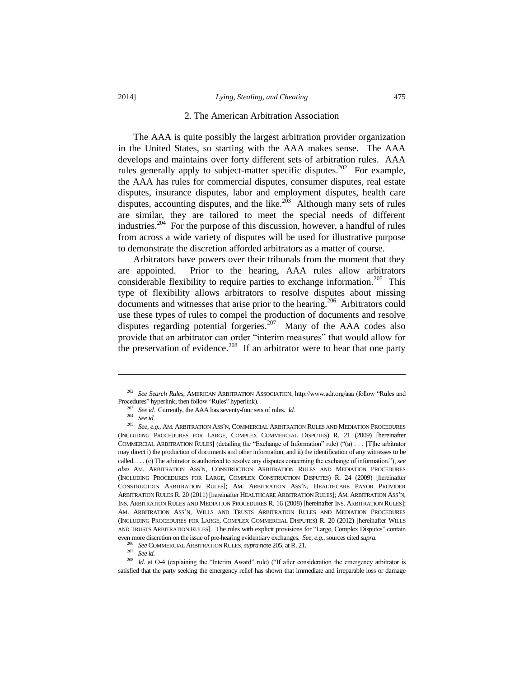#### 2. The American Arbitration Association

The AAA is quite possibly the largest arbitration provider organization in the United States, so starting with the AAA makes sense. The AAA develops and maintains over forty different sets of arbitration rules. AAA rules generally apply to subject-matter specific disputes.<sup>202</sup> For example, the AAA has rules for commercial disputes, consumer disputes, real estate disputes, insurance disputes, labor and employment disputes, health care disputes, accounting disputes, and the like. $2\overline{03}$  Although many sets of rules are similar, they are tailored to meet the special needs of different industries.<sup>204</sup> For the purpose of this discussion, however, a handful of rules from across a wide variety of disputes will be used for illustrative purpose to demonstrate the discretion afforded arbitrators as a matter of course.

Arbitrators have powers over their tribunals from the moment that they are appointed. Prior to the hearing, AAA rules allow arbitrators considerable flexibility to require parties to exchange information.<sup>205</sup> This type of flexibility allows arbitrators to resolve disputes about missing documents and witnesses that arise prior to the hearing.<sup>206</sup> Arbitrators could use these types of rules to compel the production of documents and resolve disputes regarding potential forgeries.<sup>207</sup> Many of the AAA codes also provide that an arbitrator can order "interim measures" that would allow for the preservation of evidence.<sup>208</sup> If an arbitrator were to hear that one party

l

<sup>206</sup> *See* COMMERCIAL ARBITRATION RULES, *supra* note 205, at R. 21.

<sup>207</sup> *See id.*

<sup>208</sup> *Id.* at O-4 (explaining the "Interim Award" rule) ("If after consideration the emergency arbitrator is satisfied that the party seeking the emergency relief has shown that immediate and irreparable loss or damage

<sup>202</sup> *See Search Rules*, AMERICAN ARBITRATION ASSOCIATION, http://www.adr.org/aaa (follow "Rules and Procedures" hyperlink; then follow "Rules" hyperlink).

<sup>203</sup> *See id.* Currently, the AAA has seventy-four sets of rules. *Id.*

<sup>204</sup> *See id.*

<sup>205</sup> *See, e.g.*, AM. ARBITRATION ASS'N, COMMERCIAL ARBITRATION RULES AND MEDIATION PROCEDURES (INCLUDING PROCEDURES FOR LARGE, COMPLEX COMMERCIAL DISPUTES) R. 21 (2009) [hereinafter COMMERCIAL ARBITRATION RULES] (detailing the "Exchange of Information" rule) ("(a) . . . [T]he arbitrator may direct i) the production of documents and other information, and ii) the identification of any witnesses to be called. . . . (c) The arbitrator is authorized to resolve any disputes concerning the exchange of information."); *see also* AM. ARBITRATION ASS'N, CONSTRUCTION ARBITRATION RULES AND MEDIATION PROCEDURES (INCLUDING PROCEDURES FOR LARGE, COMPLEX CONSTRUCTION DISPUTES) R. 24 (2009) [hereinafter CONSTRUCTION ARBITRATION RULES]; AM. ARBITRATION ASS'N, HEALTHCARE PAYOR PROVIDER ARBITRATION RULES R. 20 (2011) [hereinafter HEALTHCARE ARBITRATION RULES]; AM. ARBITRATION ASS'N, INS. ARBITRATION RULES AND MEDIATION PROCEDURES R. 16 (2008) [hereinafter INS. ARBITRATION RULES]; AM. ARBITRATION ASS'N, WILLS AND TRUSTS ARBITRATION RULES AND MEDIATION PROCEDURES (INCLUDING PROCEDURES FOR LARGE, COMPLEX COMMERCIAL DISPUTES) R. 20 (2012) [hereinafter WILLS AND TRUSTS ARBITRATION RULES]. The rules with explicit provisions for "Large, Complex Disputes" contain even more discretion on the issue of pre-hearing evidentiary exchanges. *See, e.g.*, sources cited *supra*.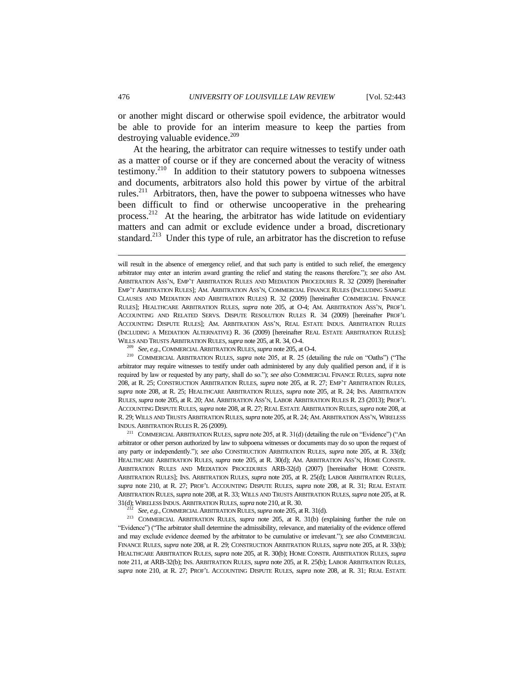or another might discard or otherwise spoil evidence, the arbitrator would be able to provide for an interim measure to keep the parties from destroying valuable evidence. $209$ 

At the hearing, the arbitrator can require witnesses to testify under oath as a matter of course or if they are concerned about the veracity of witness testimony.<sup>210</sup> In addition to their statutory powers to subpoena witnesses and documents, arbitrators also hold this power by virtue of the arbitral rules.<sup>211</sup> Arbitrators, then, have the power to subpoena witnesses who have been difficult to find or otherwise uncooperative in the prehearing process.<sup>212</sup> At the hearing, the arbitrator has wide latitude on evidentiary matters and can admit or exclude evidence under a broad, discretionary standard.<sup>213</sup> Under this type of rule, an arbitrator has the discretion to refuse

<sup>210</sup> COMMERCIAL ARBITRATION RULES, *supra* note 205, at R. 25 (detailing the rule on "Oaths") ("The arbitrator may require witnesses to testify under oath administered by any duly qualified person and, if it is required by law or requested by any party, shall do so."); *see also* COMMERCIAL FINANCE RULES, *supra* note 208, at R. 25; CONSTRUCTION ARBITRATION RULES, *supra* note 205, at R. 27; EMP'T ARBITRATION RULES, *supra* note 208, at R. 25; HEALTHCARE ARBITRATION RULES, *supra* note 205, at R. 24; INS. ARBITRATION RULES, *supra* note 205, at R. 20; AM. ARBITRATION ASS'N, LABOR ARBITRATION RULES R. 23 (2013); PROF'L ACCOUNTING DISPUTE RULES, *supra* note 208, at R. 27; REAL ESTATE ARBITRATION RULES, *supra* note 208, at R. 29; WILLS AND TRUSTS ARBITRATION RULES, *supra* note 205, at R. 24; AM.ARBITRATION ASS'N, WIRELESS INDUS. ARBITRATION RULES R. 26 (2009).

<sup>211</sup> COMMERCIAL ARBITRATION RULES, *supra* note 205, at R. 31(d) (detailing the rule on "Evidence") ("An arbitrator or other person authorized by law to subpoena witnesses or documents may do so upon the request of any party or independently."); *see also* CONSTRUCTION ARBITRATION RULES, *supra* note 205, at R. 33(d); HEALTHCARE ARBITRATION RULES, *supra* note 205, at R. 30(d); AM. ARBITRATION ASS'N, HOME CONSTR. ARBITRATION RULES AND MEDIATION PROCEDURES ARB-32(d) (2007) [hereinafter HOME CONSTR. ARBITRATION RULES]; INS. ARBITRATION RULES, *supra* note 205, at R. 25(d); LABOR ARBITRATION RULES, *supra* note 210, at R. 27; PROF'L ACCOUNTING DISPUTE RULES, *supra* note 208, at R. 31; REAL ESTATE ARBITRATION RULES, *supra* note 208, at R. 33; WILLS AND TRUSTS ARBITRATION RULES, *supra* note 205, at R. 31(d); WIRELESS INDUS. ARBITRATION RULES, *supra* note 210, at R. 30.

See, e.g., COMMERCIAL ARBITRATION RULES, *supra* note 205, at R. 31(d).

<sup>213</sup> COMMERCIAL ARBITRATION RULES, *supra* note 205, at R. 31(b) (explaining further the rule on "Evidence") ("The arbitrator shall determine the admissibility, relevance, and materiality of the evidence offered and may exclude evidence deemed by the arbitrator to be cumulative or irrelevant."); *see also* COMMERCIAL FINANCE RULES, *supra* note 208, at R. 29; CONSTRUCTION ARBITRATION RULES, *supra* note 205, at R. 33(b); HEALTHCARE ARBITRATION RULES, *supra* note 205, at R. 30(b); HOME CONSTR. ARBITRATION RULES, *supra*  note 211, at ARB-32(b); INS. ARBITRATION RULES, *supra* note 205, at R. 25(b); LABOR ARBITRATION RULES, *supra* note 210, at R. 27; PROF'L ACCOUNTING DISPUTE RULES, *supra* note 208, at R. 31; REAL ESTATE

will result in the absence of emergency relief, and that such party is entitled to such relief, the emergency arbitrator may enter an interim award granting the relief and stating the reasons therefore."); *see also* AM. ARBITRATION ASS'N, EMP'T ARBITRATION RULES AND MEDIATION PROCEDURES R. 32 (2009) [hereinafter EMP'T ARBITRATION RULES]; AM. ARBITRATION ASS'N, COMMERCIAL FINANCE RULES (INCLUDING SAMPLE CLAUSES AND MEDIATION AND ARBITRATION RULES) R. 32 (2009) [hereinafter COMMERCIAL FINANCE RULES]; HEALTHCARE ARBITRATION RULES, *supra* note 205, at O-4; AM. ARBITRATION ASS'N, PROF'L ACCOUNTING AND RELATED SERVS. DISPUTE RESOLUTION RULES R. 34 (2009) [hereinafter PROF'L ACCOUNTING DISPUTE RULES]; AM. ARBITRATION ASS'N, REAL ESTATE INDUS. ARBITRATION RULES (INCLUDING A MEDIATION ALTERNATIVE) R. 36 (2009) [hereinafter REAL ESTATE ARBITRATION RULES]; WILLS AND TRUSTS ARBITRATION RULES, *supra* note 205, at R. 34, O-4.

<sup>209</sup> *See, e.g.*, COMMERCIAL ARBITRATION RULES, *supra* note 205, at O-4.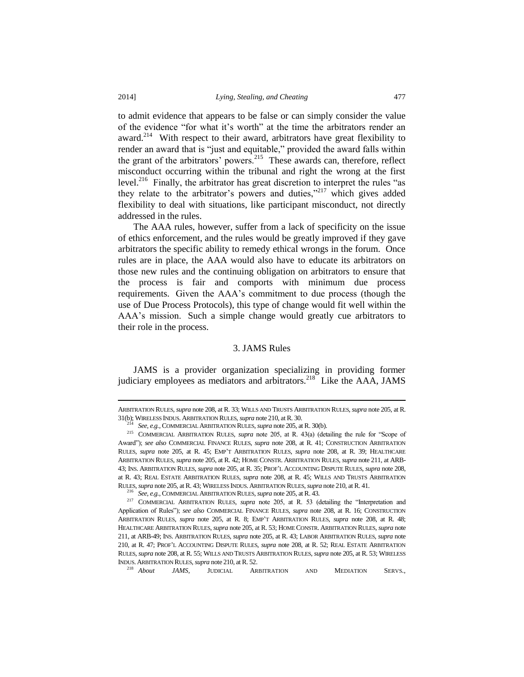to admit evidence that appears to be false or can simply consider the value of the evidence "for what it's worth" at the time the arbitrators render an award.<sup>214</sup> With respect to their award, arbitrators have great flexibility to render an award that is "just and equitable," provided the award falls within the grant of the arbitrators' powers.<sup>215</sup> These awards can, therefore, reflect misconduct occurring within the tribunal and right the wrong at the first level.<sup>216</sup> Finally, the arbitrator has great discretion to interpret the rules "as they relate to the arbitrator's powers and duties,"<sup>217</sup> which gives added flexibility to deal with situations, like participant misconduct, not directly addressed in the rules.

The AAA rules, however, suffer from a lack of specificity on the issue of ethics enforcement, and the rules would be greatly improved if they gave arbitrators the specific ability to remedy ethical wrongs in the forum. Once rules are in place, the AAA would also have to educate its arbitrators on those new rules and the continuing obligation on arbitrators to ensure that the process is fair and comports with minimum due process requirements. Given the AAA's commitment to due process (though the use of Due Process Protocols), this type of change would fit well within the AAA's mission. Such a simple change would greatly cue arbitrators to their role in the process.

#### 3. JAMS Rules

JAMS is a provider organization specializing in providing former judiciary employees as mediators and arbitrators.<sup>218</sup> Like the AAA, JAMS

ARBITRATION RULES, *supra* note 208, at R. 33; WILLS AND TRUSTS ARBITRATION RULES, *supra* note 205, at R. 31(b); WIRELESS INDUS. ARBITRATION RULES, *supra* note 210, at R. 30.

<sup>214</sup> *See, e.g.*, COMMERCIAL ARBITRATION RULES, *supra* note 205, at R. 30(b).

<sup>215</sup> COMMERCIAL ARBITRATION RULES, *supra* note 205, at R. 43(a) (detailing the rule for "Scope of Award"); *see also* COMMERCIAL FINANCE RULES, *supra* note 208, at R. 41; CONSTRUCTION ARBITRATION RULES, *supra* note 205, at R. 45; EMP'T ARBITRATION RULES, *supra* note 208, at R. 39; HEALTHCARE ARBITRATION RULES, *supra* note 205, at R. 42; HOME CONSTR. ARBITRATION RULES, *supra* note 211, at ARB-43; INS. ARBITRATION RULES, *supra* note 205, at R. 35; PROF'L ACCOUNTING DISPUTE RULES, *supra* note 208, at R. 43; REAL ESTATE ARBITRATION RULES, *supra* note 208, at R. 45; WILLS AND TRUSTS ARBITRATION RULES, *supra* note 205, at R. 43; WIRELESS INDUS. ARBITRATION RULES, *supra* note 210, at R. 41.

<sup>216</sup> *See, e.g.*, COMMERCIAL ARBITRATION RULES, *supra* note 205, at R. 43.

<sup>217</sup> COMMERCIAL ARBITRATION RULES, *supra* note 205, at R. 53 (detailing the "Interpretation and Application of Rules"); *see also* COMMERCIAL FINANCE RULES, *supra* note 208, at R. 16; CONSTRUCTION ARBITRATION RULES, *supra* note 205, at R. 8; EMP'T ARBITRATION RULES, *supra* note 208, at R. 48; HEALTHCARE ARBITRATION RULES, *supra* note 205, at R. 53; HOME CONSTR. ARBITRATION RULES, *supra* note 211, at ARB-49; INS. ARBITRATION RULES, *supra* note 205, at R. 43; LABOR ARBITRATION RULES, *supra* note 210, at R. 47; PROF'L ACCOUNTING DISPUTE RULES, *supra* note 208, at R. 52; REAL ESTATE ARBITRATION RULES, *supra* note 208, at R. 55; WILLS AND TRUSTS ARBITRATION RULES, *supra* note 205, at R. 53; WIRELESS INDUS. ARBITRATION RULES, *supra* note 210, at R. 52.

JAMS, JUDICIAL ARBITRATION AND MEDIATION SERVS.,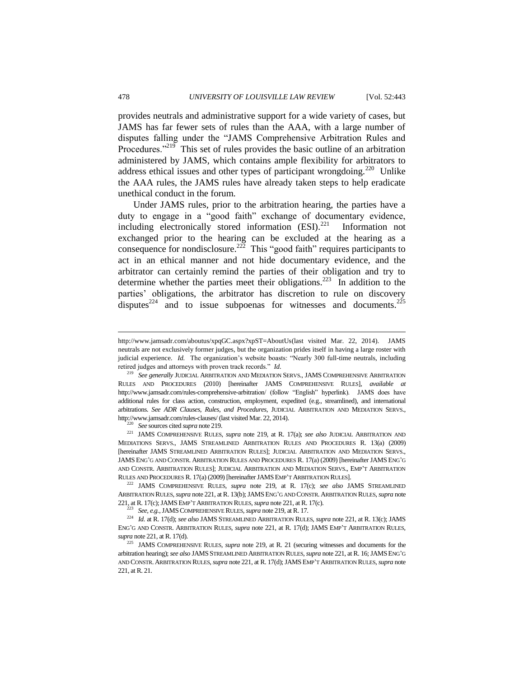provides neutrals and administrative support for a wide variety of cases, but JAMS has far fewer sets of rules than the AAA, with a large number of disputes falling under the "JAMS Comprehensive Arbitration Rules and Procedures."<sup>219</sup> This set of rules provides the basic outline of an arbitration administered by JAMS, which contains ample flexibility for arbitrators to address ethical issues and other types of participant wrongdoing.<sup>220</sup> Unlike the AAA rules, the JAMS rules have already taken steps to help eradicate unethical conduct in the forum.

Under JAMS rules, prior to the arbitration hearing, the parties have a duty to engage in a "good faith" exchange of documentary evidence, including electronically stored information  $(ESI).^{221}$  Information not exchanged prior to the hearing can be excluded at the hearing as a consequence for nondisclosure.<sup>222</sup> This "good faith" requires participants to act in an ethical manner and not hide documentary evidence, and the arbitrator can certainly remind the parties of their obligation and try to determine whether the parties meet their obligations.<sup>223</sup> In addition to the parties' obligations, the arbitrator has discretion to rule on discovery disputes<sup>224</sup> and to issue subpoenas for witnesses and documents.<sup>225</sup>

<sup>220</sup> *See* sources cited *supra* note 219.

<sup>221</sup> JAMS COMPREHENSIVE RULES, *supra* note 219, at R. 17(a); *see also* JUDICIAL ARBITRATION AND MEDIATIONS SERVS., JAMS STREAMLINED ARBITRATION RULES AND PROCEDURES R. 13(a) (2009) [hereinafter JAMS STREAMLINED ARBITRATION RULES]; JUDICIAL ARBITRATION AND MEDIATION SERVS., JAMS ENG'G AND CONSTR. ARBITRATION RULES AND PROCEDURES R. 17(a) (2009) [hereinafter JAMS ENG'G AND CONSTR. ARBITRATION RULES]; JUDICIAL ARBITRATION AND MEDIATION SERVS., EMP'T ARBITRATION RULES AND PROCEDURES R. 17(a) (2009) [hereinafter JAMSEMP'T ARBITRATION RULES].

<sup>222</sup> JAMS COMPREHENSIVE RULES, *supra* note 219, at R. 17(c); *see also* JAMS STREAMLINED ARBITRATION RULES, *supra* note 221, at R. 13(b); JAMSENG'G AND CONSTR. ARBITRATION RULES, *supra* note 221, at R. 17(c); JAMSEMP'T ARBITRATION RULES, *supra* note 221, at R. 17(c).

<sup>223</sup> *See, e.g.*, JAMSCOMPREHENSIVE RULES, *supra* note 219, at R. 17.

<sup>224</sup> *Id.* at R. 17(d); *see also* JAMS STREAMLINED ARBITRATION RULES, *supra* note 221, at R. 13(c); JAMS ENG'G AND CONSTR. ARBITRATION RULES, *supra* note 221, at R. 17(d); JAMS EMP'T ARBITRATION RULES, *supra* note 221, at R. 17(d).

<sup>225</sup> JAMS COMPREHENSIVE RULES, *supra* note 219, at R. 21 (securing witnesses and documents for the arbitration hearing); *see also* JAMS STREAMLINED ARBITRATION RULES, *supra* note 221, at R. 16; JAMSENG'G AND CONSTR. ARBITRATION RULES, *supra* note 221, at R. 17(d); JAMSEMP'T ARBITRATION RULES, *supra* note 221, at R. 21.

http://www.jamsadr.com/aboutus/xpqGC.aspx?xpST=AboutUs(last visited Mar. 22, 2014). JAMS neutrals are not exclusively former judges, but the organization prides itself in having a large roster with judicial experience. *Id.* The organization's website boasts: "Nearly 300 full-time neutrals, including retired judges and attorneys with proven track records." *Id.*

<sup>219</sup> *See generally* JUDICIAL ARBITRATION AND MEDIATION SERVS., JAMS COMPREHENSIVE ARBITRATION RULES AND PROCEDURES (2010) [hereinafter JAMS COMPREHENSIVE RULES], *available at* http://www.jamsadr.com/rules-comprehensive-arbitration/ (follow "English" hyperlink). JAMS does have additional rules for class action, construction, employment, expedited (e.g., streamlined), and international arbitrations. *See ADR Clauses, Rules, and Procedures*, JUDICIAL ARBITRATION AND MEDIATION SERVS., http://www.jamsadr.com/rules-clauses/ (last visited Mar. 22, 2014).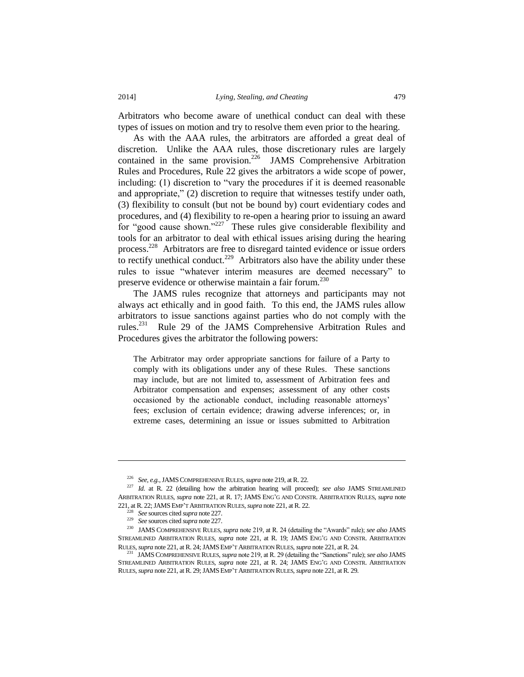Arbitrators who become aware of unethical conduct can deal with these types of issues on motion and try to resolve them even prior to the hearing.

As with the AAA rules, the arbitrators are afforded a great deal of discretion. Unlike the AAA rules, those discretionary rules are largely contained in the same provision.<sup>226</sup> JAMS Comprehensive Arbitration Rules and Procedures, Rule 22 gives the arbitrators a wide scope of power, including: (1) discretion to "vary the procedures if it is deemed reasonable and appropriate," (2) discretion to require that witnesses testify under oath, (3) flexibility to consult (but not be bound by) court evidentiary codes and procedures, and (4) flexibility to re-open a hearing prior to issuing an award for "good cause shown."<sup>227</sup> These rules give considerable flexibility and tools for an arbitrator to deal with ethical issues arising during the hearing process.<sup>228</sup> Arbitrators are free to disregard tainted evidence or issue orders to rectify unethical conduct.<sup>229</sup> Arbitrators also have the ability under these rules to issue "whatever interim measures are deemed necessary" to preserve evidence or otherwise maintain a fair forum.<sup>230</sup>

The JAMS rules recognize that attorneys and participants may not always act ethically and in good faith. To this end, the JAMS rules allow arbitrators to issue sanctions against parties who do not comply with the rules.<sup>231</sup> Rule 29 of the JAMS Comprehensive Arbitration Rules and Procedures gives the arbitrator the following powers:

The Arbitrator may order appropriate sanctions for failure of a Party to comply with its obligations under any of these Rules. These sanctions may include, but are not limited to, assessment of Arbitration fees and Arbitrator compensation and expenses; assessment of any other costs occasioned by the actionable conduct, including reasonable attorneys' fees; exclusion of certain evidence; drawing adverse inferences; or, in extreme cases, determining an issue or issues submitted to Arbitration

<sup>226</sup> *See, e.g.*, JAMSCOMPREHENSIVE RULES, *supra* note 219, at R. 22.

<sup>227</sup> *Id.* at R. 22 (detailing how the arbitration hearing will proceed); *see also* JAMS STREAMLINED ARBITRATION RULES, *supra* note 221, at R. 17; JAMS ENG'G AND CONSTR. ARBITRATION RULES, *supra* note 221, at R. 22; JAMSEMP'T ARBITRATION RULES, *supra* note 221, at R. 22.

<sup>228</sup> *See* sources cited *supra* note 227.

<sup>229</sup> *See* sources cited *supra* note 227.

<sup>230</sup> JAMS COMPREHENSIVE RULES, *supra* note 219, at R. 24 (detailing the "Awards" rule); *see also* JAMS STREAMLINED ARBITRATION RULES, *supra* note 221, at R. 19; JAMS ENG'G AND CONSTR. ARBITRATION RULES, *supra* note 221, at R. 24; JAMSEMP'T ARBITRATION RULES, *supra* note 221, at R. 24.

<sup>231</sup> JAMSCOMPREHENSIVE RULES, *supra* note 219, at R. 29 (detailing the "Sanctions" rule); *see also* JAMS STREAMLINED ARBITRATION RULES, *supra* note 221, at R. 24; JAMS ENG'G AND CONSTR. ARBITRATION RULES, *supra* note 221, at R. 29; JAMSEMP'T ARBITRATION RULES, *supra* note 221, at R. 29.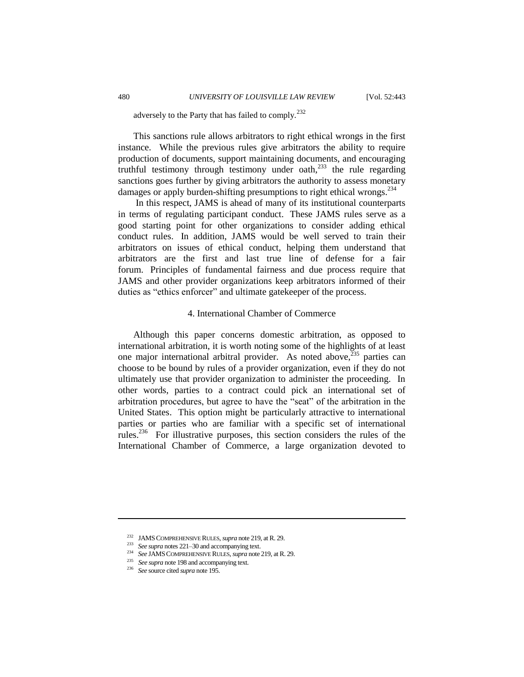adversely to the Party that has failed to comply.<sup>232</sup>

This sanctions rule allows arbitrators to right ethical wrongs in the first instance. While the previous rules give arbitrators the ability to require production of documents, support maintaining documents, and encouraging truthful testimony through testimony under oath, $^{233}$  the rule regarding sanctions goes further by giving arbitrators the authority to assess monetary damages or apply burden-shifting presumptions to right ethical wrongs.<sup>234</sup>

In this respect, JAMS is ahead of many of its institutional counterparts in terms of regulating participant conduct. These JAMS rules serve as a good starting point for other organizations to consider adding ethical conduct rules. In addition, JAMS would be well served to train their arbitrators on issues of ethical conduct, helping them understand that arbitrators are the first and last true line of defense for a fair forum. Principles of fundamental fairness and due process require that JAMS and other provider organizations keep arbitrators informed of their duties as "ethics enforcer" and ultimate gatekeeper of the process.

#### 4. International Chamber of Commerce

Although this paper concerns domestic arbitration, as opposed to international arbitration, it is worth noting some of the highlights of at least one major international arbitral provider. As noted above, $235$  parties can choose to be bound by rules of a provider organization, even if they do not ultimately use that provider organization to administer the proceeding. In other words, parties to a contract could pick an international set of arbitration procedures, but agree to have the "seat" of the arbitration in the United States. This option might be particularly attractive to international parties or parties who are familiar with a specific set of international rules.<sup>236</sup> For illustrative purposes, this section considers the rules of the International Chamber of Commerce, a large organization devoted to

<sup>232</sup> JAMSCOMPREHENSIVE RULES, *supra* note 219, at R. 29.

<sup>233</sup> *See supra* notes 221–30 and accompanying text.

<sup>234</sup> *See* JAMSCOMPREHENSIVE RULES, *supra* note 219, at R. 29.

<sup>&</sup>lt;sup>235</sup> *See supra* note 198 and accompanying text.

<sup>236</sup> *See* source cited *supra* note 195.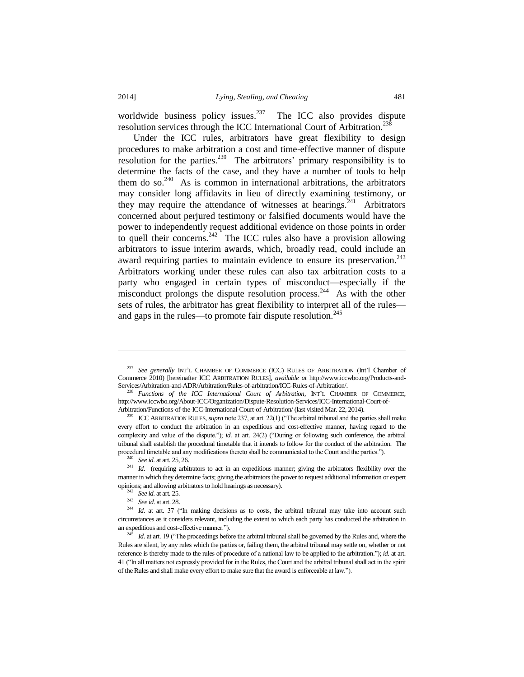l

worldwide business policy issues.<sup>237</sup> The ICC also provides dispute resolution services through the ICC International Court of Arbitration.<sup>238</sup>

Under the ICC rules, arbitrators have great flexibility to design procedures to make arbitration a cost and time-effective manner of dispute resolution for the parties.<sup>239</sup> The arbitrators' primary responsibility is to determine the facts of the case, and they have a number of tools to help them do so.<sup>240</sup> As is common in international arbitrations, the arbitrators may consider long affidavits in lieu of directly examining testimony, or they may require the attendance of witnesses at hearings.<sup>241</sup> Arbitrators concerned about perjured testimony or falsified documents would have the power to independently request additional evidence on those points in order to quell their concerns.<sup>242</sup> The ICC rules also have a provision allowing arbitrators to issue interim awards, which, broadly read, could include an award requiring parties to maintain evidence to ensure its preservation.<sup>243</sup> Arbitrators working under these rules can also tax arbitration costs to a party who engaged in certain types of misconduct—especially if the misconduct prolongs the dispute resolution process.<sup>244</sup> As with the other sets of rules, the arbitrator has great flexibility to interpret all of the rules and gaps in the rules—to promote fair dispute resolution. $245$ 

<sup>243</sup> *See id.* at art. 28.

<sup>237</sup> *See generally* INT'L CHAMBER OF COMMERCE (ICC) RULES OF ARBITRATION (Int'l Chamber of Commerce 2010) [hereinafter ICC ARBITRATION RULES], *available at* http://www.iccwbo.org/Products-and-Services/Arbitration-and-ADR/Arbitration/Rules-of-arbitration/ICC-Rules-of-Arbitration/.

<sup>238</sup> *Functions of the ICC International Court of Arbitration,* INT'L CHAMBER OF COMMERCE, [http://www.iccwbo.org/About-ICC/Organization/Dispute-Resolution-Services/ICC-International-Court-of-](http://www.iccwbo.org/About-ICC/Organization/Dispute-Resolution-Services/ICC-International-Court-of-Arbitration/Functions-of-the-ICC-International-Court-of-Arbitration/)[Arbitration/Functions-of-the-ICC-International-Court-of-Arbitration/](http://www.iccwbo.org/About-ICC/Organization/Dispute-Resolution-Services/ICC-International-Court-of-Arbitration/Functions-of-the-ICC-International-Court-of-Arbitration/) (last visited Mar. 22, 2014).

<sup>&</sup>lt;sup>239</sup> ICC ARBITRATION RULES, *supra* note 237, at art. 22(1) ("The arbitral tribunal and the parties shall make every effort to conduct the arbitration in an expeditious and cost-effective manner, having regard to the complexity and value of the dispute."); *id.* at art. 24(2) ("During or following such conference, the arbitral tribunal shall establish the procedural timetable that it intends to follow for the conduct of the arbitration. The procedural timetable and any modifications thereto shall be communicated to the Court and the parties.").

<sup>240</sup> *See id.* at art. 25, 26.

<sup>&</sup>lt;sup>241</sup> *Id.* (requiring arbitrators to act in an expeditious manner; giving the arbitrators flexibility over the manner in which they determine facts; giving the arbitrators the power to request additional information or expert opinions; and allowing arbitrators to hold hearings as necessary).

<sup>242</sup> *See id.* at art. 25.

<sup>&</sup>lt;sup>244</sup> *Id.* at art. 37 ("In making decisions as to costs, the arbitral tribunal may take into account such circumstances as it considers relevant, including the extent to which each party has conducted the arbitration in an expeditious and cost-effective manner.").

*Id.* at art. 19 ("The proceedings before the arbitral tribunal shall be governed by the Rules and, where the Rules are silent, by any rules which the parties or, failing them, the arbitral tribunal may settle on, whether or not reference is thereby made to the rules of procedure of a national law to be applied to the arbitration."); *id.* at art. 41 ("In all matters not expressly provided for in the Rules, the Court and the arbitral tribunal shall act in the spirit of the Rules and shall make every effort to make sure that the award is enforceable at law.").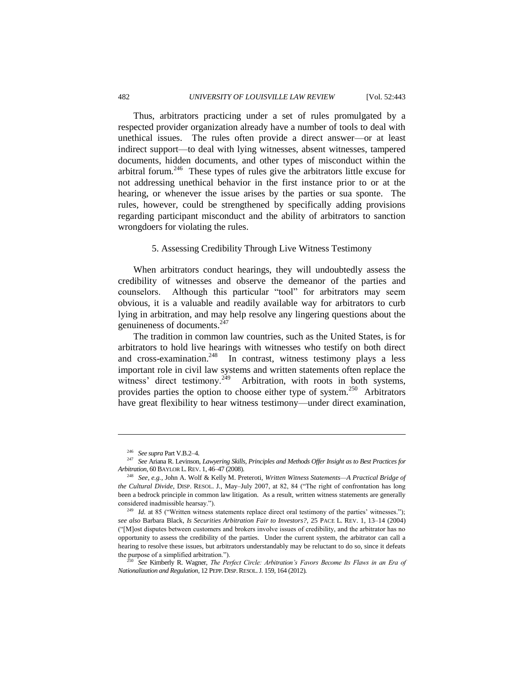Thus, arbitrators practicing under a set of rules promulgated by a respected provider organization already have a number of tools to deal with unethical issues. The rules often provide a direct answer—or at least indirect support—to deal with lying witnesses, absent witnesses, tampered documents, hidden documents, and other types of misconduct within the arbitral forum.<sup>246</sup> These types of rules give the arbitrators little excuse for not addressing unethical behavior in the first instance prior to or at the hearing, or whenever the issue arises by the parties or sua sponte. The rules, however, could be strengthened by specifically adding provisions regarding participant misconduct and the ability of arbitrators to sanction wrongdoers for violating the rules.

#### 5. Assessing Credibility Through Live Witness Testimony

When arbitrators conduct hearings, they will undoubtedly assess the credibility of witnesses and observe the demeanor of the parties and counselors. Although this particular "tool" for arbitrators may seem obvious, it is a valuable and readily available way for arbitrators to curb lying in arbitration, and may help resolve any lingering questions about the genuineness of documents.<sup>247</sup>

The tradition in common law countries, such as the United States, is for arbitrators to hold live hearings with witnesses who testify on both direct and cross-examination.<sup>248</sup> In contrast, witness testimony plays a less important role in civil law systems and written statements often replace the witness' direct testimony.<sup>249</sup> Arbitration, with roots in both systems, provides parties the option to choose either type of system.<sup>250</sup> Arbitrators have great flexibility to hear witness testimony—under direct examination,

<sup>246</sup> *See supra* Part V.B.2–4.

<sup>247</sup> *See* Ariana R. Levinson, *Lawyering Skills, Principles and Methods Offer Insight as to Best Practices for Arbitration,* 60 BAYLOR L.REV. 1, 46–47 (2008).

<sup>248</sup> *See, e.g.*, John A. Wolf & Kelly M. Preteroti, *Written Witness Statements—A Practical Bridge of the Cultural Divide*, DISP. RESOL. J., May–July 2007, at 82, 84 ("The right of confrontation has long been a bedrock principle in common law litigation. As a result, written witness statements are generally considered inadmissible hearsay.").

<sup>&</sup>lt;sup>249</sup> *Id.* at 85 ("Written witness statements replace direct oral testimony of the parties' witnesses."); *see also* Barbara Black, *Is Securities Arbitration Fair to Investors?*, 25 PACE L. REV. 1, 13–14 (2004) ("[M]ost disputes between customers and brokers involve issues of credibility, and the arbitrator has no opportunity to assess the credibility of the parties. Under the current system, the arbitrator can call a hearing to resolve these issues, but arbitrators understandably may be reluctant to do so, since it defeats the purpose of a simplified arbitration.").

<sup>250</sup> *See* Kimberly R. Wagner, *The Perfect Circle: Arbitration's Favors Become Its Flaws in an Era of Nationalization and Regulation*, 12 PEPP.DISP.RESOL.J. 159, 164 (2012).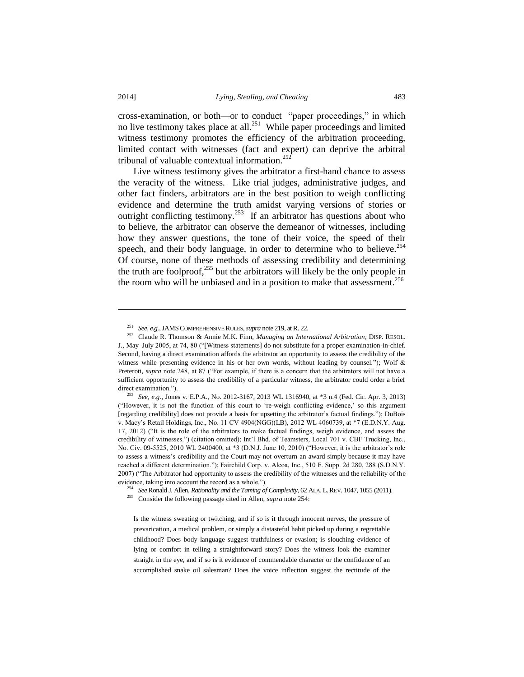$\overline{a}$ 

cross-examination, or both—or to conduct "paper proceedings," in which no live testimony takes place at all.<sup>251</sup> While paper proceedings and limited witness testimony promotes the efficiency of the arbitration proceeding, limited contact with witnesses (fact and expert) can deprive the arbitral tribunal of valuable contextual information.<sup>252</sup>

Live witness testimony gives the arbitrator a first-hand chance to assess the veracity of the witness. Like trial judges, administrative judges, and other fact finders, arbitrators are in the best position to weigh conflicting evidence and determine the truth amidst varying versions of stories or outright conflicting testimony.<sup>253</sup> If an arbitrator has questions about who to believe, the arbitrator can observe the demeanor of witnesses, including how they answer questions, the tone of their voice, the speed of their speech, and their body language, in order to determine who to believe.<sup>254</sup> Of course, none of these methods of assessing credibility and determining the truth are foolproof, $^{255}$  but the arbitrators will likely be the only people in the room who will be unbiased and in a position to make that assessment.<sup>256</sup>

<sup>253</sup> *See, e.g.*, Jones v. E.P.A., No. 2012-3167, 2013 WL 1316940, at \*3 n.4 (Fed. Cir. Apr. 3, 2013) ("However, it is not the function of this court to 're-weigh conflicting evidence,' so this argument [regarding credibility] does not provide a basis for upsetting the arbitrator's factual findings."); DuBois v. Macy's Retail Holdings, Inc., No. 11 CV 4904(NGG)(LB), 2012 WL 4060739, at \*7 (E.D.N.Y. Aug. 17, 2012) ("It is the role of the arbitrators to make factual findings, weigh evidence, and assess the credibility of witnesses.") (citation omitted); Int'l Bhd. of Teamsters, Local 701 v. CBF Trucking, Inc., No. Civ. 09-5525, 2010 WL 2400400, at \*3 (D.N.J. June 10, 2010) ("However, it is the arbitrator's role to assess a witness's credibility and the Court may not overturn an award simply because it may have reached a different determination."); Fairchild Corp. v. Alcoa, Inc., 510 F. Supp. 2d 280, 288 (S.D.N.Y. 2007) ("The Arbitrator had opportunity to assess the credibility of the witnesses and the reliability of the evidence, taking into account the record as a whole.").

<sup>254</sup> *See* Ronald J. Allen, *Rationality and the Taming of Complexity*, 62 ALA. L.REV. 1047, 1055 (2011).

<sup>255</sup> Consider the following passage cited in Allen, *supra* note 254:

Is the witness sweating or twitching, and if so is it through innocent nerves, the pressure of prevarication, a medical problem, or simply a distasteful habit picked up during a regrettable childhood? Does body language suggest truthfulness or evasion; is slouching evidence of lying or comfort in telling a straightforward story? Does the witness look the examiner straight in the eye, and if so is it evidence of commendable character or the confidence of an accomplished snake oil salesman? Does the voice inflection suggest the rectitude of the

<sup>251</sup> *See, e.g.*, JAMSCOMPREHENSIVE RULES, *supra* note 219, at R. 22.

<sup>252</sup> Claude R. Thomson & Annie M.K. Finn, *Managing an International Arbitration*, DISP. RESOL. J., May–July 2005, at 74, 80 ("[Witness statements] do not substitute for a proper examination-in-chief. Second, having a direct examination affords the arbitrator an opportunity to assess the credibility of the witness while presenting evidence in his or her own words, without leading by counsel."); Wolf & Preteroti, *supra* note 248, at 87 ("For example, if there is a concern that the arbitrators will not have a sufficient opportunity to assess the credibility of a particular witness, the arbitrator could order a brief direct examination.").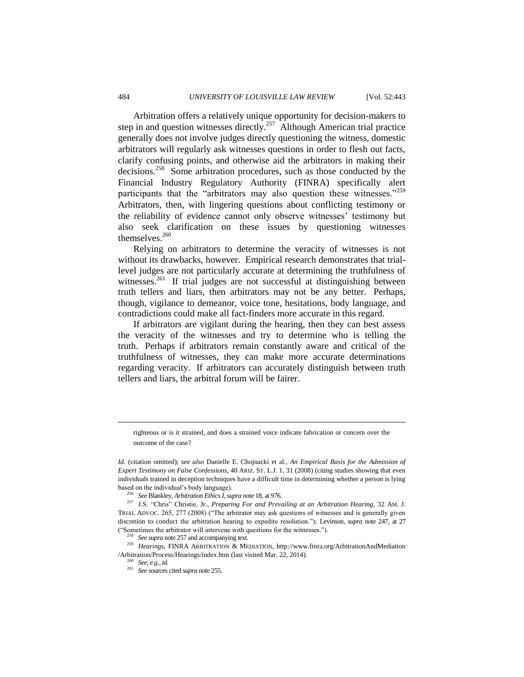Arbitration offers a relatively unique opportunity for decision-makers to step in and question witnesses directly.<sup>257</sup> Although American trial practice generally does not involve judges directly questioning the witness, domestic arbitrators will regularly ask witnesses questions in order to flesh out facts, clarify confusing points, and otherwise aid the arbitrators in making their decisions.<sup>258</sup> Some arbitration procedures, such as those conducted by the Financial Industry Regulatory Authority (FINRA) specifically alert participants that the "arbitrators may also question these witnesses."<sup>259</sup> Arbitrators, then, with lingering questions about conflicting testimony or the reliability of evidence cannot only observe witnesses' testimony but also seek clarification on these issues by questioning witnesses themselves.<sup>260</sup>

Relying on arbitrators to determine the veracity of witnesses is not without its drawbacks, however. Empirical research demonstrates that triallevel judges are not particularly accurate at determining the truthfulness of witnesses.<sup>261</sup> If trial judges are not successful at distinguishing between truth tellers and liars, then arbitrators may not be any better. Perhaps, though, vigilance to demeanor, voice tone, hesitations, body language, and contradictions could make all fact-finders more accurate in this regard.

If arbitrators are vigilant during the hearing, then they can best assess the veracity of the witnesses and try to determine who is telling the truth. Perhaps if arbitrators remain constantly aware and critical of the truthfulness of witnesses, they can make more accurate determinations regarding veracity. If arbitrators can accurately distinguish between truth tellers and liars, the arbitral forum will be fairer.

<sup>256</sup> *See* Blankley, *Arbitration Ethics I*, *supra* note 18, at 976.

<sup>257</sup> J.S. "Chris" Christie, Jr., *Preparing For and Prevailing at an Arbitration Hearing*, 32 AM. J. TRIAL ADVOC. 265, 277 (2008) ("The arbitrator may ask questions of witnesses and is generally given discretion to conduct the arbitration hearing to expedite resolution."); Levinson, *supra* note 247, at 27 ("Sometimes the arbitrator will intervene with questions for the witnesses.").

<sup>258</sup> *See supra* note 257 and accompanying text.

 $\overline{a}$ 

righteous or is it strained, and does a strained voice indicate fabrication or concern over the outcome of the case?

*Id.* (citation omitted); *see also* Danielle E. Chojnacki et al., *An Empirical Basis for the Admission of Expert Testimony on False Confessions*, 40 ARIZ. ST. L.J. 1, 31 (2008) (citing studies showing that even individuals trained in deception techniques have a difficult time in determining whether a person is lying based on the individual's body language).

<sup>259</sup> *Hearings*, FINRA ARBITRATION & MEDIATION, [http://www.finra.org/ArbitrationAndMediation](http://www.finra.org/ArbitrationAndMediation%20/Arbitration/Process/Hearings/index.htm)  [/Arbitration/Process/Hearings/index.htm](http://www.finra.org/ArbitrationAndMediation%20/Arbitration/Process/Hearings/index.htm) (last visited Mar. 22, 2014).

<sup>260</sup> *See, e.g.*, *id.*

<sup>261</sup> *See* sources cited *supra* note 255.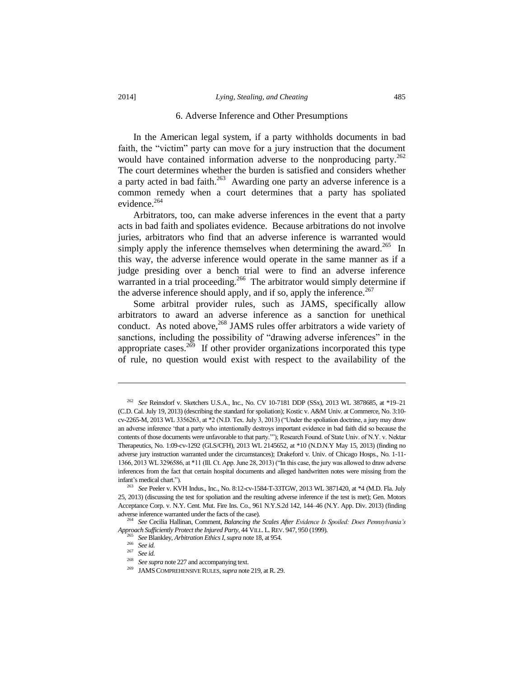#### 6. Adverse Inference and Other Presumptions

In the American legal system, if a party withholds documents in bad faith, the "victim" party can move for a jury instruction that the document would have contained information adverse to the nonproducing party. $262$ The court determines whether the burden is satisfied and considers whether a party acted in bad faith.<sup>263</sup> Awarding one party an adverse inference is a common remedy when a court determines that a party has spoliated evidence.<sup>264</sup>

Arbitrators, too, can make adverse inferences in the event that a party acts in bad faith and spoliates evidence. Because arbitrations do not involve juries, arbitrators who find that an adverse inference is warranted would simply apply the inference themselves when determining the award.<sup>265</sup> In this way, the adverse inference would operate in the same manner as if a judge presiding over a bench trial were to find an adverse inference warranted in a trial proceeding.<sup>266</sup> The arbitrator would simply determine if the adverse inference should apply, and if so, apply the inference.<sup>267</sup>

Some arbitral provider rules, such as JAMS, specifically allow arbitrators to award an adverse inference as a sanction for unethical conduct. As noted above,<sup>268</sup> JAMS rules offer arbitrators a wide variety of sanctions, including the possibility of "drawing adverse inferences" in the appropriate cases.<sup>269</sup> If other provider organizations incorporated this type of rule, no question would exist with respect to the availability of the

<sup>262</sup> *See* Reinsdorf v. Sketchers U.S.A., Inc., No. CV 10-7181 DDP (SSx), 2013 WL 3878685, at \*19–21 (C.D. Cal. July 19, 2013) (describing the standard for spoliation); Kostic v. A&M Univ. at Commerce, No. 3:10 cv-2265-M, 2013 WL 3356263, at \*2 (N.D. Tex. July 3, 2013) ("Under the spoliation doctrine, a jury may draw an adverse inference 'that a party who intentionally destroys important evidence in bad faith did so because the contents of those documents were unfavorable to that party.'"); Research Found. of State Univ. of N.Y. v. Nektar Therapeutics, No. 1:09-cv-1292 (GLS/CFH), 2013 WL 2145652, at \*10 (N.D.N.Y May 15, 2013) (finding no adverse jury instruction warranted under the circumstances); Drakeford v. Univ. of Chicago Hosps., No. 1-11- 1366, 2013 WL 3296586, at \*11 (Ill. Ct. App. June 28, 2013) ("In this case, the jury was allowed to draw adverse inferences from the fact that certain hospital documents and alleged handwritten notes were missing from the infant's medical chart.").

<sup>263</sup> *See* Peeler v. KVH Indus., Inc., No. 8:12-cv-1584-T-33TGW, 2013 WL 3871420, at \*4 (M.D. Fla. July 25, 2013) (discussing the test for spoliation and the resulting adverse inference if the test is met); Gen. Motors Acceptance Corp. v. N.Y. Cent. Mut. Fire Ins. Co., 961 N.Y.S.2d 142, 144–46 (N.Y. App. Div. 2013) (finding adverse inference warranted under the facts of the case).

<sup>264</sup> *See* Cecilia Hallinan, Comment, *Balancing the Scales After Evidence Is Spoiled: Does Pennsylvania's Approach Sufficiently Protect the Injured Party*, 44 VILL. L.REV. 947, 950 (1999).

<sup>265</sup> *See* Blankley, *Arbitration Ethics I*, *supra* note 18, at 954.

<sup>266</sup> *See id.* 

<sup>267</sup> *See id.* 

<sup>268</sup> *See supra* note 227 and accompanying text.

<sup>269</sup> JAMSCOMPREHENSIVE RULES, *supra* note 219, at R. 29.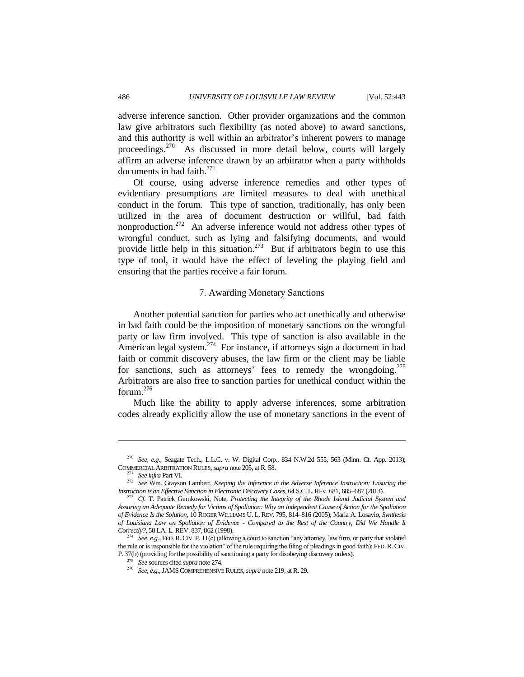adverse inference sanction. Other provider organizations and the common law give arbitrators such flexibility (as noted above) to award sanctions, and this authority is well within an arbitrator's inherent powers to manage proceedings.<sup>270</sup> As discussed in more detail below, courts will largely affirm an adverse inference drawn by an arbitrator when a party withholds documents in bad faith.<sup>271</sup>

Of course, using adverse inference remedies and other types of evidentiary presumptions are limited measures to deal with unethical conduct in the forum. This type of sanction, traditionally, has only been utilized in the area of document destruction or willful, bad faith nonproduction.<sup>272</sup> An adverse inference would not address other types of wrongful conduct, such as lying and falsifying documents, and would provide little help in this situation.<sup>273</sup> But if arbitrators begin to use this type of tool, it would have the effect of leveling the playing field and ensuring that the parties receive a fair forum.

#### 7. Awarding Monetary Sanctions

Another potential sanction for parties who act unethically and otherwise in bad faith could be the imposition of monetary sanctions on the wrongful party or law firm involved. This type of sanction is also available in the American legal system. $274$  For instance, if attorneys sign a document in bad faith or commit discovery abuses, the law firm or the client may be liable for sanctions, such as attorneys' fees to remedy the wrongdoing.<sup>275</sup> Arbitrators are also free to sanction parties for unethical conduct within the forum  $^{276}$ 

Much like the ability to apply adverse inferences, some arbitration codes already explicitly allow the use of monetary sanctions in the event of

 $\overline{a}$ 

<sup>270</sup> *See, e.g.*, Seagate Tech., L.L.C. v. W. Digital Corp., 834 N.W.2d 555, 563 (Minn. Ct. App. 2013); COMMERCIAL ARBITRATION RULES, *supra* note 205, at R. 58.

<sup>271</sup> *See infra* Part VI.

<sup>272</sup> *See* Wm. Grayson Lambert, *Keeping the Inference in the Adverse Inference Instruction: Ensuring the Instruction is an Effective Sanction in Electronic Discovery Cases*, 64 S.C.L.REV. 681, 685–687 (2013).

<sup>273</sup> *Cf.* T. Patrick Gumkowski, Note, *Protecting the Integrity of the Rhode Island Judicial System and Assuring an Adequate Remedy for Victims of Spoliation: Why an Independent Cause of Action for the Spoliation of Evidence Is the Solution*, 10 ROGER WILLIAMS U. L. REV. 795, 814–816 (2005); Maria A. Losavio, *Synthesis of Louisiana Law on Spoliation of Evidence - Compared to the Rest of the Country, Did We Handle It Correctly?*, 58 LA. L. REV. 837, 862 (1998).

<sup>&</sup>lt;sup>274</sup> *See, e.g.*, FED. R. CIV. P. 11(c) (allowing a court to sanction "any attorney, law firm, or party that violated the rule or is responsible for the violation" of the rule requiring the filing of pleadings in good faith); FED.R.CIV. P. 37(b) (providing for the possibility of sanctioning a party for disobeying discovery orders).

<sup>275</sup> *See* sources cited *supra* note 274.

<sup>276</sup> *See, e.g.*, JAMSCOMPREHENSIVE RULES, *supra* note 219, at R. 29.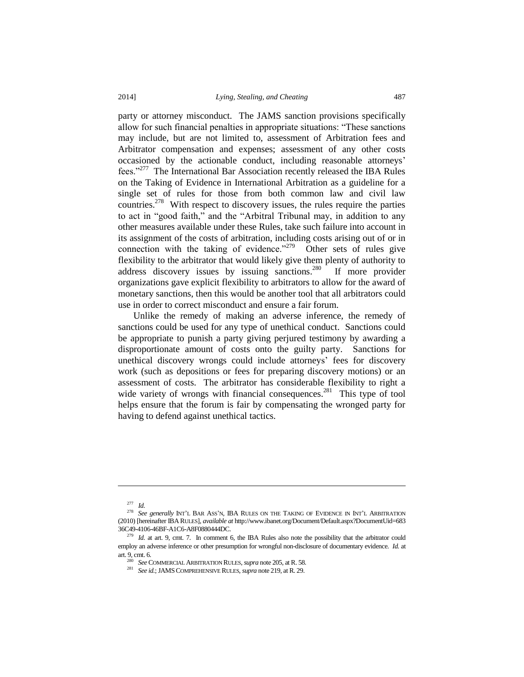party or attorney misconduct. The JAMS sanction provisions specifically allow for such financial penalties in appropriate situations: "These sanctions may include, but are not limited to, assessment of Arbitration fees and Arbitrator compensation and expenses; assessment of any other costs occasioned by the actionable conduct, including reasonable attorneys' fees."<sup>277</sup> The International Bar Association recently released the IBA Rules on the Taking of Evidence in International Arbitration as a guideline for a single set of rules for those from both common law and civil law countries.<sup>278</sup> With respect to discovery issues, the rules require the parties to act in "good faith," and the "Arbitral Tribunal may, in addition to any other measures available under these Rules, take such failure into account in its assignment of the costs of arbitration, including costs arising out of or in connection with the taking of evidence." $279$  Other sets of rules give flexibility to the arbitrator that would likely give them plenty of authority to address discovery issues by issuing sanctions.<sup>280</sup> If more provider organizations gave explicit flexibility to arbitrators to allow for the award of monetary sanctions, then this would be another tool that all arbitrators could use in order to correct misconduct and ensure a fair forum.

Unlike the remedy of making an adverse inference, the remedy of sanctions could be used for any type of unethical conduct. Sanctions could be appropriate to punish a party giving perjured testimony by awarding a disproportionate amount of costs onto the guilty party. Sanctions for unethical discovery wrongs could include attorneys' fees for discovery work (such as depositions or fees for preparing discovery motions) or an assessment of costs. The arbitrator has considerable flexibility to right a wide variety of wrongs with financial consequences.<sup>281</sup> This type of tool helps ensure that the forum is fair by compensating the wronged party for having to defend against unethical tactics.

<sup>277</sup> *Id.* 

<sup>278</sup> *See generally* INT'L BAR ASS'N, IBA RULES ON THE TAKING OF EVIDENCE IN INT'L ARBITRATION (2010) [hereinafter IBA RULES], *available at* http://www.ibanet.org/Document/Default.aspx?DocumentUid=683 36C49-4106-46BF-A1C6-A8F0880444DC.

<sup>&</sup>lt;sup>279</sup> *Id.* at art. 9, cmt. 7. In comment 6, the IBA Rules also note the possibility that the arbitrator could employ an adverse inference or other presumption for wrongful non-disclosure of documentary evidence. *Id.* at art. 9, cmt. 6.

<sup>280</sup> *See* COMMERCIAL ARBITRATION RULES, *supra* note 205, at R. 58.

<sup>281</sup> *See id.*; JAMSCOMPREHENSIVE RULES, *supra* note 219, at R. 29.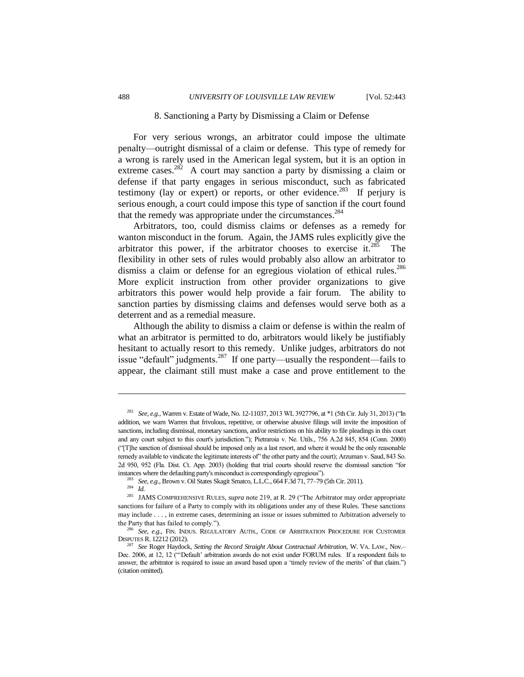#### 8. Sanctioning a Party by Dismissing a Claim or Defense

For very serious wrongs, an arbitrator could impose the ultimate penalty—outright dismissal of a claim or defense. This type of remedy for a wrong is rarely used in the American legal system, but it is an option in extreme cases.<sup>282</sup> A court may sanction a party by dismissing a claim or defense if that party engages in serious misconduct, such as fabricated testimony (lay or expert) or reports, or other evidence.<sup>283</sup> If perjury is serious enough, a court could impose this type of sanction if the court found that the remedy was appropriate under the circumstances.<sup>284</sup>

Arbitrators, too, could dismiss claims or defenses as a remedy for wanton misconduct in the forum. Again, the JAMS rules explicitly give the arbitrator this power, if the arbitrator chooses to exercise it. $285$  The flexibility in other sets of rules would probably also allow an arbitrator to dismiss a claim or defense for an egregious violation of ethical rules.<sup>286</sup> More explicit instruction from other provider organizations to give arbitrators this power would help provide a fair forum. The ability to sanction parties by dismissing claims and defenses would serve both as a deterrent and as a remedial measure.

Although the ability to dismiss a claim or defense is within the realm of what an arbitrator is permitted to do, arbitrators would likely be justifiably hesitant to actually resort to this remedy. Unlike judges, arbitrators do not issue "default" judgments.<sup>287</sup> If one party—usually the respondent—fails to appear, the claimant still must make a case and prove entitlement to the

<sup>282</sup> *See, e.g.*, Warren v. Estate of Wade, No. 12-11037, 2013 WL 3927796, at \*1 (5th Cir. July 31, 2013) ("In addition, we warn Warren that frivolous, repetitive, or otherwise abusive filings will invite the imposition of sanctions, including dismissal, monetary sanctions, and/or restrictions on his ability to file pleadings in this court and any court subject to this court's jurisdiction."); Pietraroia v. Ne. Utils., 756 A.2d 845, 854 (Conn. 2000) ("[T]he sanction of dismissal should be imposed only as a last resort, and where it would be the only reasonable remedy available to vindicate the legitimate interests of" the other party and the court); Arzuman v. Saud, 843 So. 2d 950, 952 (Fla. Dist. Ct. App. 2003) (holding that trial courts should reserve the dismissal sanction "for instances where the defaulting party's misconduct is correspondingly egregious").

<sup>283</sup> *See, e.g.*, Brown v. Oil States Skagit Smatco, L.L.C., 664 F.3d 71, 77–79 (5th Cir. 2011).

<sup>284</sup> *Id.*

<sup>&</sup>lt;sup>285</sup> JAMS COMPREHENSIVE RULES, *supra* note 219, at R. 29 ("The Arbitrator may order appropriate sanctions for failure of a Party to comply with its obligations under any of these Rules. These sanctions may include . . . , in extreme cases, determining an issue or issues submitted to Arbitration adversely to the Party that has failed to comply.").

<sup>286</sup> *See, e.g.*, FIN. INDUS. REGULATORY AUTH., CODE OF ARBITRATION PROCEDURE FOR CUSTOMER DISPUTES R. 12212 (2012).

<sup>287</sup> *See* Roger Haydock, *Setting the Record Straight About Contractual Arbitration*, W. VA. LAW., Nov.– Dec. 2006, at 12, 12 ("'Default' arbitration awards do not exist under FORUM rules. If a respondent fails to answer, the arbitrator is required to issue an award based upon a 'timely review of the merits' of that claim.") (citation omitted).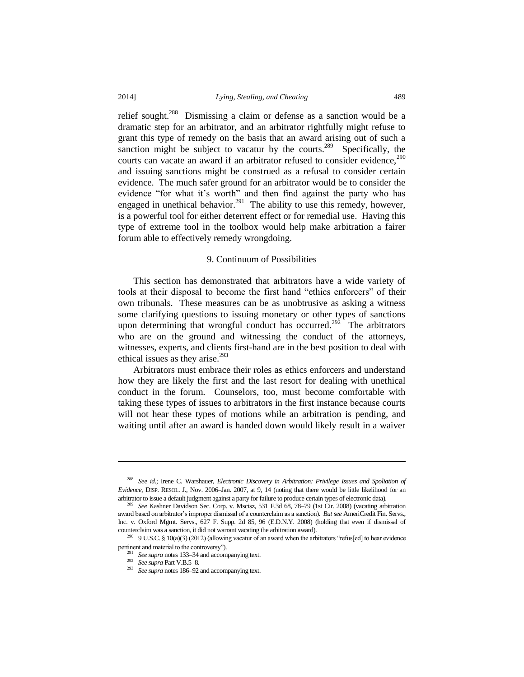relief sought.<sup>288</sup> Dismissing a claim or defense as a sanction would be a dramatic step for an arbitrator, and an arbitrator rightfully might refuse to grant this type of remedy on the basis that an award arising out of such a sanction might be subject to vacatur by the courts.<sup>289</sup> Specifically, the courts can vacate an award if an arbitrator refused to consider evidence.<sup>290</sup> and issuing sanctions might be construed as a refusal to consider certain evidence. The much safer ground for an arbitrator would be to consider the evidence "for what it's worth" and then find against the party who has engaged in unethical behavior.<sup>291</sup> The ability to use this remedy, however, is a powerful tool for either deterrent effect or for remedial use. Having this type of extreme tool in the toolbox would help make arbitration a fairer forum able to effectively remedy wrongdoing.

#### 9. Continuum of Possibilities

This section has demonstrated that arbitrators have a wide variety of tools at their disposal to become the first hand "ethics enforcers" of their own tribunals. These measures can be as unobtrusive as asking a witness some clarifying questions to issuing monetary or other types of sanctions upon determining that wrongful conduct has occurred.<sup>292</sup> The arbitrators who are on the ground and witnessing the conduct of the attorneys, witnesses, experts, and clients first-hand are in the best position to deal with ethical issues as they arise. $293$ 

Arbitrators must embrace their roles as ethics enforcers and understand how they are likely the first and the last resort for dealing with unethical conduct in the forum. Counselors, too, must become comfortable with taking these types of issues to arbitrators in the first instance because courts will not hear these types of motions while an arbitration is pending, and waiting until after an award is handed down would likely result in a waiver

 $\overline{a}$ 

<sup>288</sup> *See id.*; Irene C. Warshauer, *Electronic Discovery in Arbitration: Privilege Issues and Spoliation of Evidence*, DISP. RESOL. J., Nov. 2006–Jan. 2007, at 9, 14 (noting that there would be little likelihood for an arbitrator to issue a default judgment against a party for failure to produce certain types of electronic data).

<sup>289</sup> *See* Kashner Davidson Sec. Corp. v. Mscisz, 531 F.3d 68, 78–79 (1st Cir. 2008) (vacating arbitration award based on arbitrator's improper dismissal of a counterclaim as a sanction). *But see* AmeriCredit Fin. Servs., Inc. v. Oxford Mgmt. Servs., 627 F. Supp. 2d 85, 96 (E.D.N.Y. 2008) (holding that even if dismissal of counterclaim was a sanction, it did not warrant vacating the arbitration award).

<sup>&</sup>lt;sup>290</sup> 9 U.S.C. § 10(a)(3) (2012) (allowing vacatur of an award when the arbitrators "refus[ed] to hear evidence pertinent and material to the controversy").

<sup>291</sup> *See supra* notes 133–34 and accompanying text.

<sup>292</sup> *See supra* Part V.B.5–8.

<sup>293</sup> *See supra* notes 186–92 and accompanying text.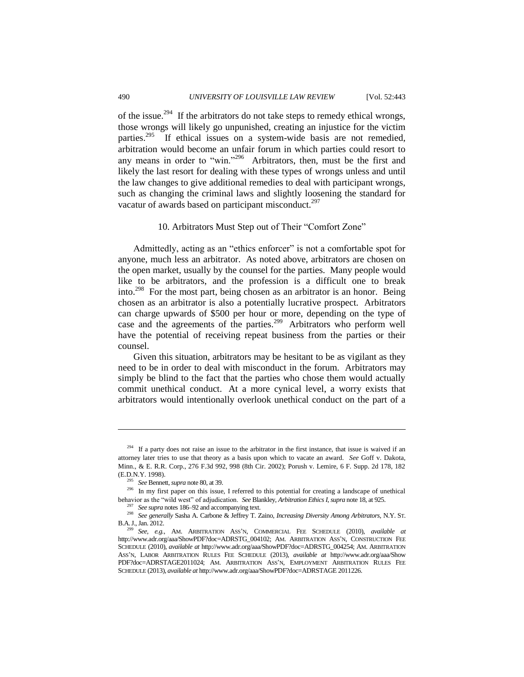of the issue.<sup>294</sup> If the arbitrators do not take steps to remedy ethical wrongs, those wrongs will likely go unpunished, creating an injustice for the victim parties.<sup>295</sup> If ethical issues on a system-wide basis are not remedied, arbitration would become an unfair forum in which parties could resort to any means in order to "win."<sup>296</sup> Arbitrators, then, must be the first and likely the last resort for dealing with these types of wrongs unless and until the law changes to give additional remedies to deal with participant wrongs, such as changing the criminal laws and slightly loosening the standard for vacatur of awards based on participant misconduct.<sup>297</sup>

#### 10. Arbitrators Must Step out of Their "Comfort Zone"

Admittedly, acting as an "ethics enforcer" is not a comfortable spot for anyone, much less an arbitrator. As noted above, arbitrators are chosen on the open market, usually by the counsel for the parties. Many people would like to be arbitrators, and the profession is a difficult one to break into.<sup>298</sup> For the most part, being chosen as an arbitrator is an honor. Being chosen as an arbitrator is also a potentially lucrative prospect. Arbitrators can charge upwards of \$500 per hour or more, depending on the type of case and the agreements of the parties.<sup>299</sup> Arbitrators who perform well have the potential of receiving repeat business from the parties or their counsel.

Given this situation, arbitrators may be hesitant to be as vigilant as they need to be in order to deal with misconduct in the forum. Arbitrators may simply be blind to the fact that the parties who chose them would actually commit unethical conduct. At a more cynical level, a worry exists that arbitrators would intentionally overlook unethical conduct on the part of a

 $294$  If a party does not raise an issue to the arbitrator in the first instance, that issue is waived if an attorney later tries to use that theory as a basis upon which to vacate an award. *See* Goff v. Dakota, Minn., & E. R.R. Corp., 276 F.3d 992, 998 (8th Cir. 2002); Porush v. Lemire, 6 F. Supp. 2d 178, 182 (E.D.N.Y. 1998).

<sup>295</sup> *See* Bennett, *supra* note 80, at 39.

<sup>296</sup> In my first paper on this issue, I referred to this potential for creating a landscape of unethical behavior as the "wild west" of adjudication. *See* Blankley, *Arbitration Ethics I*, *supra* not[e 18,](#page-3-0) at 925.

<sup>297</sup> *See supra* notes 186–92 and accompanying text.

<sup>298</sup> *See generally* Sasha A. Carbone & Jeffrey T. Zaino, *Increasing Diversity Among Arbitrators*, N.Y. ST. B.A.J., Jan. 2012.

<sup>299</sup> *See, e.g.*, AM. ARBITRATION ASS'N, COMMERCIAL FEE SCHEDULE (2010), *available at* http://www.adr.org/aaa/ShowPDF?doc=ADRSTG\_004102; AM. ARBITRATION ASS'N, CONSTRUCTION FEE SCHEDULE (2010), *available at* http://www.adr.org/aaa/ShowPDF?doc=ADRSTG\_004254; AM. ARBITRATION ASS'N, LABOR ARBITRATION RULES FEE SCHEDULE (2013), *available at* http://www.adr.org/aaa/Show PDF?doc=ADRSTAGE2011024; AM. ARBITRATION ASS'N, EMPLOYMENT ARBITRATION RULES FEE SCHEDULE (2013), *available at* http://www.adr.org/aaa/ShowPDF?doc=ADRSTAGE 2011226.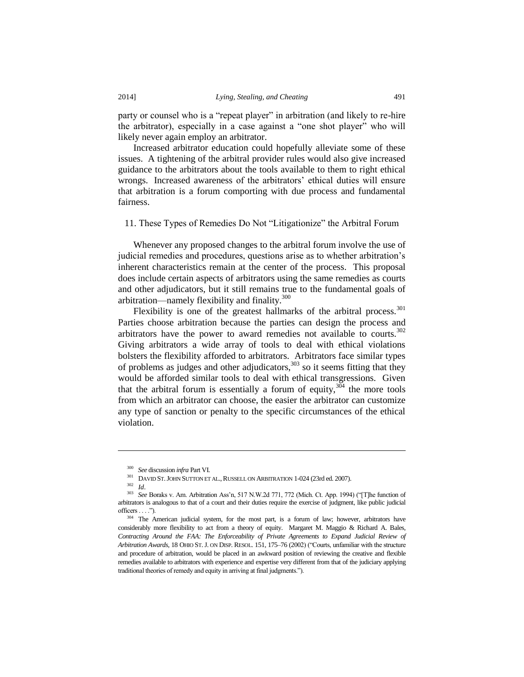party or counsel who is a "repeat player" in arbitration (and likely to re-hire the arbitrator), especially in a case against a "one shot player" who will likely never again employ an arbitrator.

Increased arbitrator education could hopefully alleviate some of these issues. A tightening of the arbitral provider rules would also give increased guidance to the arbitrators about the tools available to them to right ethical wrongs. Increased awareness of the arbitrators' ethical duties will ensure that arbitration is a forum comporting with due process and fundamental fairness.

11. These Types of Remedies Do Not "Litigationize" the Arbitral Forum

Whenever any proposed changes to the arbitral forum involve the use of judicial remedies and procedures, questions arise as to whether arbitration's inherent characteristics remain at the center of the process. This proposal does include certain aspects of arbitrators using the same remedies as courts and other adjudicators, but it still remains true to the fundamental goals of arbitration—namely flexibility and finality.<sup>300</sup>

Flexibility is one of the greatest hallmarks of the arbitral process.<sup>301</sup> Parties choose arbitration because the parties can design the process and arbitrators have the power to award remedies not available to courts. $302$ Giving arbitrators a wide array of tools to deal with ethical violations bolsters the flexibility afforded to arbitrators. Arbitrators face similar types of problems as judges and other adjudicators, $303$  so it seems fitting that they would be afforded similar tools to deal with ethical transgressions. Given that the arbitral forum is essentially a forum of equity,  $3\frac{304}{4}$  the more tools from which an arbitrator can choose, the easier the arbitrator can customize any type of sanction or penalty to the specific circumstances of the ethical violation.

 $\overline{a}$ 

<sup>300</sup> *See* discussion *infra* Part VI.

<sup>&</sup>lt;sup>301</sup> DAVID ST. JOHN SUTTON ET AL., RUSSELL ON ARBITRATION 1-024 (23rd ed. 2007).

<sup>302</sup> *Id*.

<sup>303</sup> *See* Boraks v. Am. Arbitration Ass'n, 517 N.W.2d 771, 772 (Mich. Ct. App. 1994) ("[T]he function of arbitrators is analogous to that of a court and their duties require the exercise of judgment, like public judicial  $officers \ldots$ ").

<sup>&</sup>lt;sup>304</sup> The American judicial system, for the most part, is a forum of law; however, arbitrators have considerably more flexibility to act from a theory of equity. Margaret M. Maggio & Richard A. Bales, Contracting Around the FAA: The Enforceability of Private Agreements to Expand Judicial Review of *Arbitration Awards*, 18 OHIO ST.J. ON DISP. RESOL. 151, 175–76 (2002) ("Courts, unfamiliar with the structure and procedure of arbitration, would be placed in an awkward position of reviewing the creative and flexible remedies available to arbitrators with experience and expertise very different from that of the judiciary applying traditional theories of remedy and equity in arriving at final judgments.").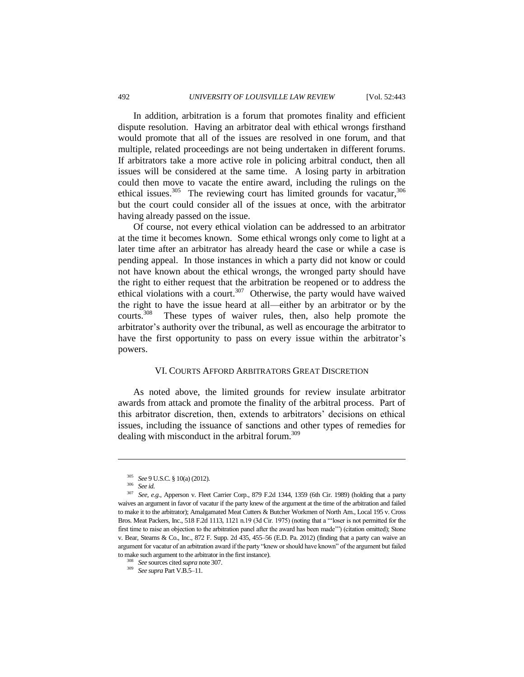In addition, arbitration is a forum that promotes finality and efficient dispute resolution. Having an arbitrator deal with ethical wrongs firsthand would promote that all of the issues are resolved in one forum, and that multiple, related proceedings are not being undertaken in different forums. If arbitrators take a more active role in policing arbitral conduct, then all issues will be considered at the same time. A losing party in arbitration could then move to vacate the entire award, including the rulings on the ethical issues.<sup>305</sup> The reviewing court has limited grounds for vacatur,  $306$ but the court could consider all of the issues at once, with the arbitrator having already passed on the issue.

Of course, not every ethical violation can be addressed to an arbitrator at the time it becomes known. Some ethical wrongs only come to light at a later time after an arbitrator has already heard the case or while a case is pending appeal. In those instances in which a party did not know or could not have known about the ethical wrongs, the wronged party should have the right to either request that the arbitration be reopened or to address the ethical violations with a court.<sup>307</sup> Otherwise, the party would have waived the right to have the issue heard at all—either by an arbitrator or by the courts.<sup>308</sup> These types of waiver rules, then, also help promote the arbitrator's authority over the tribunal, as well as encourage the arbitrator to have the first opportunity to pass on every issue within the arbitrator's powers.

#### VI. COURTS AFFORD ARBITRATORS GREAT DISCRETION

As noted above, the limited grounds for review insulate arbitrator awards from attack and promote the finality of the arbitral process. Part of this arbitrator discretion, then, extends to arbitrators' decisions on ethical issues, including the issuance of sanctions and other types of remedies for dealing with misconduct in the arbitral forum.<sup>309</sup>

<sup>305</sup> *See* 9 U.S.C. § 10(a) (2012).

<sup>306</sup> *See id.*

<sup>307</sup> *See, e.g.*, Apperson v. Fleet Carrier Corp., 879 F.2d 1344, 1359 (6th Cir. 1989) (holding that a party waives an argument in favor of vacatur if the party knew of the argument at the time of the arbitration and failed to make it to the arbitrator); Amalgamated Meat Cutters & Butcher Workmen of North Am., Local 195 v. Cross Bros. Meat Packers, Inc., 518 F.2d 1113, 1121 n.19 (3d Cir. 1975) (noting that a "'loser is not permitted for the first time to raise an objection to the arbitration panel after the award has been made'") (citation omitted); Stone v. Bear, Stearns & Co., Inc., 872 F. Supp. 2d 435, 455–56 (E.D. Pa. 2012) (finding that a party can waive an argument for vacatur of an arbitration award if the party "knew or should have known" of the argument but failed to make such argument to the arbitrator in the first instance).

<sup>308</sup> *See* sources cited *supra* note 307.

<sup>309</sup> *See supra* Part V.B.5–11.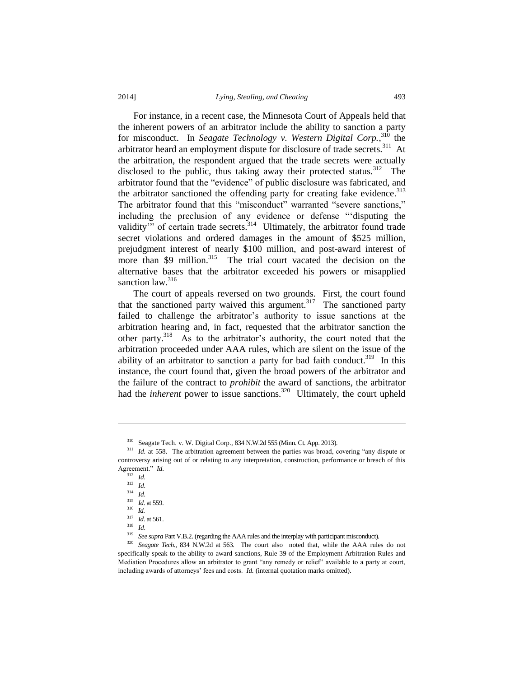For instance, in a recent case, the Minnesota Court of Appeals held that the inherent powers of an arbitrator include the ability to sanction a party for misconduct. In *Seagate Technology v. Western Digital Corp.*, <sup>310</sup> the arbitrator heard an employment dispute for disclosure of trade secrets.<sup>311</sup> At the arbitration, the respondent argued that the trade secrets were actually disclosed to the public, thus taking away their protected status.<sup>312</sup> The arbitrator found that the "evidence" of public disclosure was fabricated, and the arbitrator sanctioned the offending party for creating fake evidence.<sup>313</sup> The arbitrator found that this "misconduct" warranted "severe sanctions," including the preclusion of any evidence or defense "'disputing the validity" of certain trade secrets.<sup>314</sup> Ultimately, the arbitrator found trade secret violations and ordered damages in the amount of \$525 million, prejudgment interest of nearly \$100 million, and post-award interest of more than \$9 million.<sup>315</sup> The trial court vacated the decision on the alternative bases that the arbitrator exceeded his powers or misapplied sanction law.<sup>316</sup>

The court of appeals reversed on two grounds. First, the court found that the sanctioned party waived this argument.<sup>317</sup> The sanctioned party failed to challenge the arbitrator's authority to issue sanctions at the arbitration hearing and, in fact, requested that the arbitrator sanction the other party.<sup>318</sup> As to the arbitrator's authority, the court noted that the arbitration proceeded under AAA rules, which are silent on the issue of the ability of an arbitrator to sanction a party for bad faith conduct.<sup>319</sup> In this instance, the court found that, given the broad powers of the arbitrator and the failure of the contract to *prohibit* the award of sanctions, the arbitrator had the *inherent* power to issue sanctions.<sup>320</sup> Ultimately, the court upheld

l

<sup>318</sup> *Id.*

<sup>319</sup> *See supra* Part V.B.2. (regarding the AAA rules and the interplay with participant misconduct).

<sup>310</sup> Seagate Tech. v. W. Digital Corp., 834 N.W.2d 555 (Minn. Ct. App. 2013).

<sup>&</sup>lt;sup>311</sup> *Id.* at 558. The arbitration agreement between the parties was broad, covering "any dispute or controversy arising out of or relating to any interpretation, construction, performance or breach of this Agreement." *Id.*

<sup>312</sup> *Id.*

<sup>313</sup> *Id.*

<sup>314</sup> *Id.*

<sup>315</sup> *Id.* at 559.

<sup>316</sup> *Id.*

<sup>317</sup> *Id.* at 561.

<sup>&</sup>lt;sup>320</sup> *Seagate Tech.*, 834 N.W.2d at 563. The court also noted that, while the AAA rules do not specifically speak to the ability to award sanctions, Rule 39 of the Employment Arbitration Rules and Mediation Procedures allow an arbitrator to grant "any remedy or relief" available to a party at court, including awards of attorneys' fees and costs. *Id.* (internal quotation marks omitted).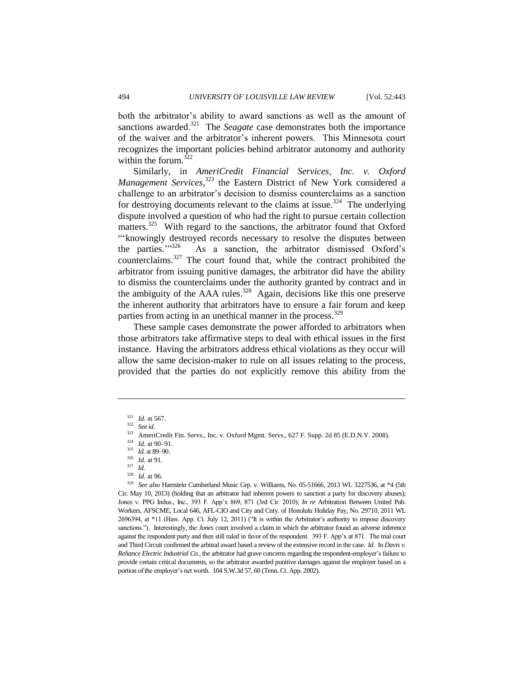both the arbitrator's ability to award sanctions as well as the amount of sanctions awarded.<sup>321</sup> The *Seagate* case demonstrates both the importance of the waiver and the arbitrator's inherent powers. This Minnesota court recognizes the important policies behind arbitrator autonomy and authority within the forum. $322$ 

Similarly, in *AmeriCredit Financial Services, Inc. v. Oxford Management Services*, <sup>323</sup> the Eastern District of New York considered a challenge to an arbitrator's decision to dismiss counterclaims as a sanction for destroying documents relevant to the claims at issue.<sup>324</sup> The underlying dispute involved a question of who had the right to pursue certain collection matters.<sup>325</sup> With regard to the sanctions, the arbitrator found that Oxford "'knowingly destroyed records necessary to resolve the disputes between the parties."326 As a sanction, the arbitrator dismissed Oxford's counterclaims.<sup>327</sup> The court found that, while the contract prohibited the arbitrator from issuing punitive damages, the arbitrator did have the ability to dismiss the counterclaims under the authority granted by contract and in the ambiguity of the AAA rules.<sup>328</sup> Again, decisions like this one preserve the inherent authority that arbitrators have to ensure a fair forum and keep parties from acting in an unethical manner in the process.<sup>329</sup>

These sample cases demonstrate the power afforded to arbitrators when those arbitrators take affirmative steps to deal with ethical issues in the first instance. Having the arbitrators address ethical violations as they occur will allow the same decision-maker to rule on all issues relating to the process, provided that the parties do not explicitly remove this ability from the

l

*Id.* at 96.

<sup>329</sup> *See also* Hamstein Cumberland Music Grp. v. Williams, No. 05-51666, 2013 WL 3227536, at \*4 (5th Cir. May 10, 2013) (holding that an arbitrator had inherent powers to sanction a party for discovery abuses); Jones v. PPG Indus., Inc., 393 F. App'x 869, 871 (3rd Cir. 2010); *In re* Arbitration Between United Pub. Workers, AFSCME, Local 646, AFL-CIO and City and Cnty. of Honolulu Holiday Pay, No. 29710, 2011 WL 2696394, at \*11 (Haw. App. Ct. July 12, 2011) ("It is within the Arbitrator's authority to impose discovery sanctions."). Interestingly, the *Jones* court involved a claim in which the arbitrator found an adverse inference against the respondent party and then still ruled in favor of the respondent. 393 F. App'x at 871. The trial court and Third Circuit confirmed the arbitral award based a review of the extensive record in the case. *Id.* In *Davis v. Reliance Electric Industrial Co.,* the arbitrator had grave concerns regarding the respondent-employer's failure to provide certain critical documents, so the arbitrator awarded punitive damages against the employer based on a portion of the employer's net worth. 104 S.W.3d 57, 60 (Tenn. Ct. App. 2002).

<sup>321</sup> *Id.* at 567.

<sup>322</sup> *See id.* 

<sup>&</sup>lt;sup>323</sup> AmeriCredit Fin. Servs., Inc. v. Oxford Mgmt. Servs., 627 F. Supp. 2d 85 (E.D.N.Y. 2008).

<sup>324</sup> *Id.* at 90–91.

<sup>325</sup> *Id.* at 89–90.

<sup>326</sup> *Id.* at 91.

 $rac{327}{328}$  *Id.*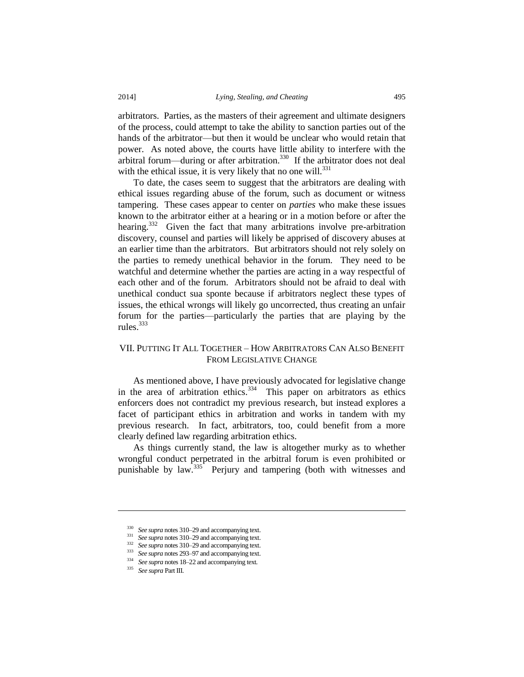arbitrators. Parties, as the masters of their agreement and ultimate designers of the process, could attempt to take the ability to sanction parties out of the hands of the arbitrator—but then it would be unclear who would retain that power. As noted above, the courts have little ability to interfere with the arbitral forum—during or after arbitration.<sup>330</sup> If the arbitrator does not deal with the ethical issue, it is very likely that no one will. $^{331}$ 

To date, the cases seem to suggest that the arbitrators are dealing with ethical issues regarding abuse of the forum, such as document or witness tampering. These cases appear to center on *parties* who make these issues known to the arbitrator either at a hearing or in a motion before or after the hearing.<sup>332</sup> Given the fact that many arbitrations involve pre-arbitration discovery, counsel and parties will likely be apprised of discovery abuses at an earlier time than the arbitrators. But arbitrators should not rely solely on the parties to remedy unethical behavior in the forum. They need to be watchful and determine whether the parties are acting in a way respectful of each other and of the forum. Arbitrators should not be afraid to deal with unethical conduct sua sponte because if arbitrators neglect these types of issues, the ethical wrongs will likely go uncorrected, thus creating an unfair forum for the parties—particularly the parties that are playing by the rules. $333$ 

# VII. PUTTING IT ALL TOGETHER – HOW ARBITRATORS CAN ALSO BENEFIT FROM LEGISLATIVE CHANGE

As mentioned above, I have previously advocated for legislative change in the area of arbitration ethics.<sup>334</sup> This paper on arbitrators as ethics enforcers does not contradict my previous research, but instead explores a facet of participant ethics in arbitration and works in tandem with my previous research. In fact, arbitrators, too, could benefit from a more clearly defined law regarding arbitration ethics.

As things currently stand, the law is altogether murky as to whether wrongful conduct perpetrated in the arbitral forum is even prohibited or punishable by law.<sup>335</sup> Perjury and tampering (both with witnesses and

<sup>330</sup> *See supra* notes 310–29 and accompanying text.

<sup>331</sup> *See supra* notes 310–29 and accompanying text.

<sup>&</sup>lt;sup>332</sup> *See supra* notes 310–29 and accompanying text.

<sup>333</sup> *See supra* notes 293–97 and accompanying text.

<sup>&</sup>lt;sup>334</sup> *See supra* notes 18–22 and accompanying text.<br><sup>335</sup> See supra Part III

<sup>335</sup> *See supra* Part III.